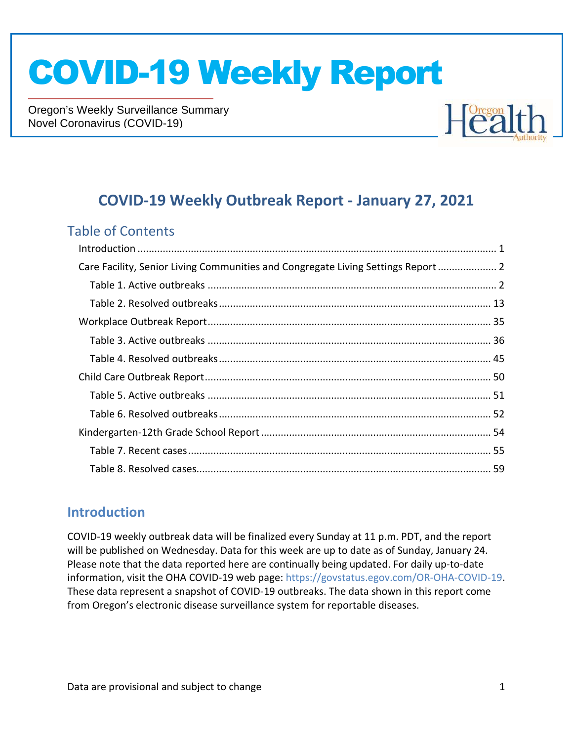Oregon's Weekly Surveillance Summary Novel Coronavirus (COVID-19)



#### **COVID-19 Weekly Outbreak Report - January 27, 2021**

#### Table of Contents

| Care Facility, Senior Living Communities and Congregate Living Settings Report  2 |  |
|-----------------------------------------------------------------------------------|--|
|                                                                                   |  |
|                                                                                   |  |
|                                                                                   |  |
|                                                                                   |  |
|                                                                                   |  |
|                                                                                   |  |
|                                                                                   |  |
|                                                                                   |  |
|                                                                                   |  |
|                                                                                   |  |
|                                                                                   |  |
|                                                                                   |  |

#### **Introduction**

COVID-19 weekly outbreak data will be finalized every Sunday at 11 p.m. PDT, and the report will be published on Wednesday. Data for this week are up to date as of Sunday, January 24. Please note that the data reported here are continually being updated. For daily up-to-date information, visit the OHA COVID-19 web page: https://govstatus.egov.com/OR-OHA-COVID-19. These data represent a snapshot of COVID-19 outbreaks. The data shown in this report come from Oregon's electronic disease surveillance system for reportable diseases.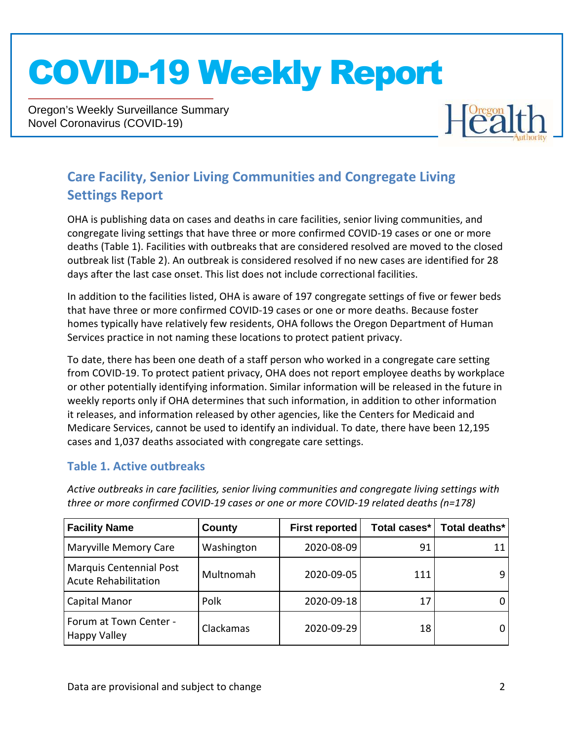Oregon's Weekly Surveillance Summary Novel Coronavirus (COVID-19)



#### **Care Facility, Senior Living Communities and Congregate Living Settings Report**

OHA is publishing data on cases and deaths in care facilities, senior living communities, and congregate living settings that have three or more confirmed COVID-19 cases or one or more deaths (Table 1). Facilities with outbreaks that are considered resolved are moved to the closed outbreak list (Table 2). An outbreak is considered resolved if no new cases are identified for 28 days after the last case onset. This list does not include correctional facilities.

In addition to the facilities listed, OHA is aware of 197 congregate settings of five or fewer beds that have three or more confirmed COVID-19 cases or one or more deaths. Because foster homes typically have relatively few residents, OHA follows the Oregon Department of Human Services practice in not naming these locations to protect patient privacy.

To date, there has been one death of a staff person who worked in a congregate care setting from COVID-19. To protect patient privacy, OHA does not report employee deaths by workplace or other potentially identifying information. Similar information will be released in the future in weekly reports only if OHA determines that such information, in addition to other information it releases, and information released by other agencies, like the Centers for Medicaid and Medicare Services, cannot be used to identify an individual. To date, there have been 12,195 cases and 1,037 deaths associated with congregate care settings.

#### **Table 1. Active outbreaks**

| <b>Facility Name</b>                                          | County     | <b>First reported</b> | Total cases* | Total deaths* |
|---------------------------------------------------------------|------------|-----------------------|--------------|---------------|
| <b>Maryville Memory Care</b>                                  | Washington | 2020-08-09            | 91           |               |
| <b>Marquis Centennial Post</b><br><b>Acute Rehabilitation</b> | Multnomah  | 2020-09-05            | 111          |               |
| Capital Manor                                                 | Polk       | 2020-09-18            | 17           |               |
| Forum at Town Center -<br><b>Happy Valley</b>                 | Clackamas  | 2020-09-29            | 18           |               |

*Active outbreaks in care facilities, senior living communities and congregate living settings with three or more confirmed COVID-19 cases or one or more COVID-19 related deaths (n=178)*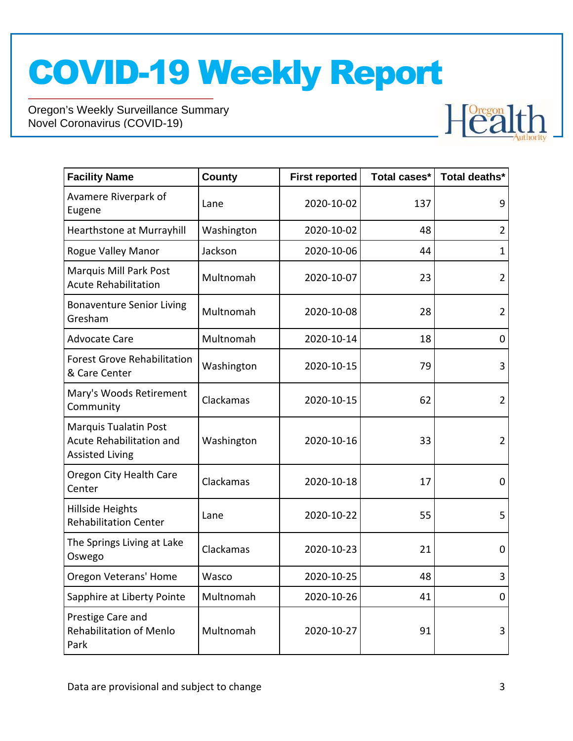

| <b>Facility Name</b>                                                        | <b>County</b> | <b>First reported</b> | Total cases* | Total deaths*  |
|-----------------------------------------------------------------------------|---------------|-----------------------|--------------|----------------|
| Avamere Riverpark of<br>Eugene                                              | Lane          | 2020-10-02            | 137          | 9              |
| Hearthstone at Murrayhill                                                   | Washington    | 2020-10-02            | 48           | $\overline{2}$ |
| <b>Rogue Valley Manor</b>                                                   | Jackson       | 2020-10-06            | 44           | $\mathbf{1}$   |
| Marquis Mill Park Post<br><b>Acute Rehabilitation</b>                       | Multnomah     | 2020-10-07            | 23           | $\overline{2}$ |
| <b>Bonaventure Senior Living</b><br>Gresham                                 | Multnomah     | 2020-10-08            | 28           | $\overline{2}$ |
| <b>Advocate Care</b>                                                        | Multnomah     | 2020-10-14            | 18           | 0              |
| <b>Forest Grove Rehabilitation</b><br>& Care Center                         | Washington    | 2020-10-15            | 79           | 3              |
| Mary's Woods Retirement<br>Community                                        | Clackamas     | 2020-10-15            | 62           | $\overline{2}$ |
| Marquis Tualatin Post<br>Acute Rehabilitation and<br><b>Assisted Living</b> | Washington    | 2020-10-16            | 33           | $\overline{2}$ |
| Oregon City Health Care<br>Center                                           | Clackamas     | 2020-10-18            | 17           | $\mathbf 0$    |
| Hillside Heights<br><b>Rehabilitation Center</b>                            | Lane          | 2020-10-22            | 55           | 5              |
| The Springs Living at Lake<br>Oswego                                        | Clackamas     | 2020-10-23            | 21           | 0              |
| Oregon Veterans' Home                                                       | Wasco         | 2020-10-25            | 48           | 3              |
| Sapphire at Liberty Pointe                                                  | Multnomah     | 2020-10-26            | 41           | $\overline{0}$ |
| Prestige Care and<br><b>Rehabilitation of Menlo</b><br>Park                 | Multnomah     | 2020-10-27            | 91           | 3              |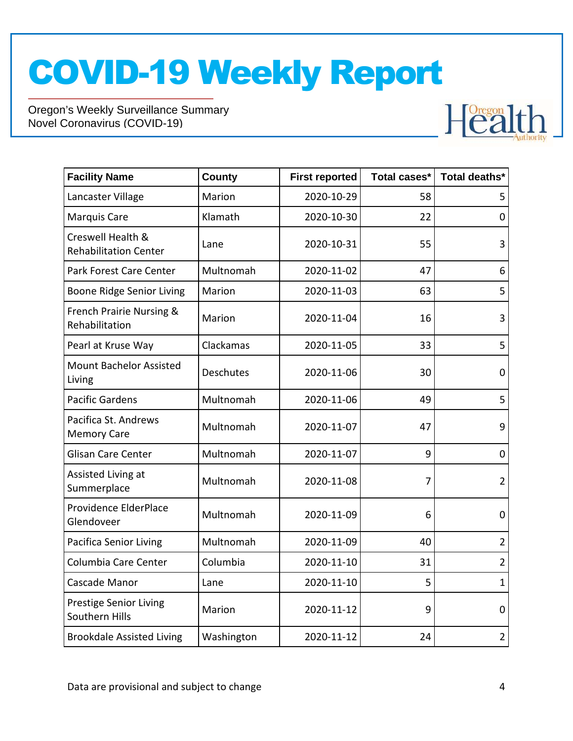

| <b>Facility Name</b>                              | <b>County</b> | <b>First reported</b> | Total cases* | Total deaths*  |
|---------------------------------------------------|---------------|-----------------------|--------------|----------------|
| Lancaster Village                                 | Marion        | 2020-10-29            | 58           | 5              |
| <b>Marquis Care</b>                               | Klamath       | 2020-10-30            | 22           | $\overline{0}$ |
| Creswell Health &<br><b>Rehabilitation Center</b> | Lane          | 2020-10-31            | 55           | 3              |
| Park Forest Care Center                           | Multnomah     | 2020-11-02            | 47           | 6              |
| Boone Ridge Senior Living                         | Marion        | 2020-11-03            | 63           | 5              |
| French Prairie Nursing &<br>Rehabilitation        | Marion        | 2020-11-04            | 16           | 3              |
| Pearl at Kruse Way                                | Clackamas     | 2020-11-05            | 33           | 5              |
| <b>Mount Bachelor Assisted</b><br>Living          | Deschutes     | 2020-11-06            | 30           | 0              |
| <b>Pacific Gardens</b>                            | Multnomah     | 2020-11-06            | 49           | 5              |
| Pacifica St. Andrews<br><b>Memory Care</b>        | Multnomah     | 2020-11-07            | 47           | 9              |
| <b>Glisan Care Center</b>                         | Multnomah     | 2020-11-07            | 9            | 0              |
| Assisted Living at<br>Summerplace                 | Multnomah     | 2020-11-08            | 7            | $\overline{2}$ |
| Providence ElderPlace<br>Glendoveer               | Multnomah     | 2020-11-09            | 6            | 0              |
| <b>Pacifica Senior Living</b>                     | Multnomah     | 2020-11-09            | 40           | $\overline{2}$ |
| Columbia Care Center                              | Columbia      | 2020-11-10            | 31           | $\overline{2}$ |
| Cascade Manor                                     | Lane          | 2020-11-10            | 5            | $\mathbf{1}$   |
| <b>Prestige Senior Living</b><br>Southern Hills   | Marion        | 2020-11-12            | 9            | 0              |
| <b>Brookdale Assisted Living</b>                  | Washington    | 2020-11-12            | 24           | $\overline{2}$ |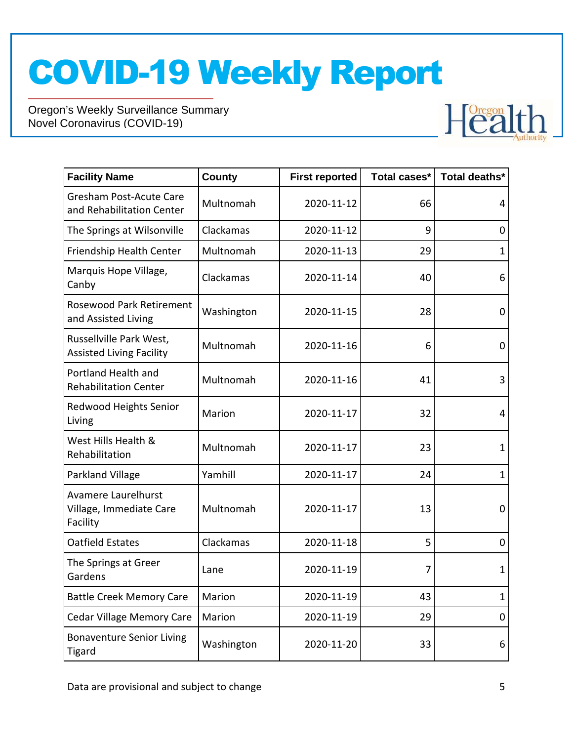

| <b>Facility Name</b>                                        | <b>County</b> | <b>First reported</b> | Total cases* | Total deaths* |
|-------------------------------------------------------------|---------------|-----------------------|--------------|---------------|
| <b>Gresham Post-Acute Care</b><br>and Rehabilitation Center | Multnomah     | 2020-11-12            | 66           | 4             |
| The Springs at Wilsonville                                  | Clackamas     | 2020-11-12            | 9            | 0             |
| Friendship Health Center                                    | Multnomah     | 2020-11-13            | 29           | $\mathbf 1$   |
| Marquis Hope Village,<br>Canby                              | Clackamas     | 2020-11-14            | 40           | 6             |
| <b>Rosewood Park Retirement</b><br>and Assisted Living      | Washington    | 2020-11-15            | 28           | 0             |
| Russellville Park West,<br><b>Assisted Living Facility</b>  | Multnomah     | 2020-11-16            | 6            | 0             |
| Portland Health and<br><b>Rehabilitation Center</b>         | Multnomah     | 2020-11-16            | 41           | 3             |
| Redwood Heights Senior<br>Living                            | Marion        | 2020-11-17            | 32           | 4             |
| West Hills Health &<br>Rehabilitation                       | Multnomah     | 2020-11-17            | 23           | $\mathbf 1$   |
| Parkland Village                                            | Yamhill       | 2020-11-17            | 24           | $\mathbf{1}$  |
| Avamere Laurelhurst<br>Village, Immediate Care<br>Facility  | Multnomah     | 2020-11-17            | 13           | 0             |
| <b>Oatfield Estates</b>                                     | Clackamas     | 2020-11-18            | 5            | 0             |
| The Springs at Greer<br>Gardens                             | Lane          | 2020-11-19            | 7            | 1             |
| <b>Battle Creek Memory Care</b>                             | Marion        | 2020-11-19            | 43           | $\mathbf{1}$  |
| <b>Cedar Village Memory Care</b>                            | Marion        | 2020-11-19            | 29           | 0             |
| <b>Bonaventure Senior Living</b><br><b>Tigard</b>           | Washington    | 2020-11-20            | 33           | 6             |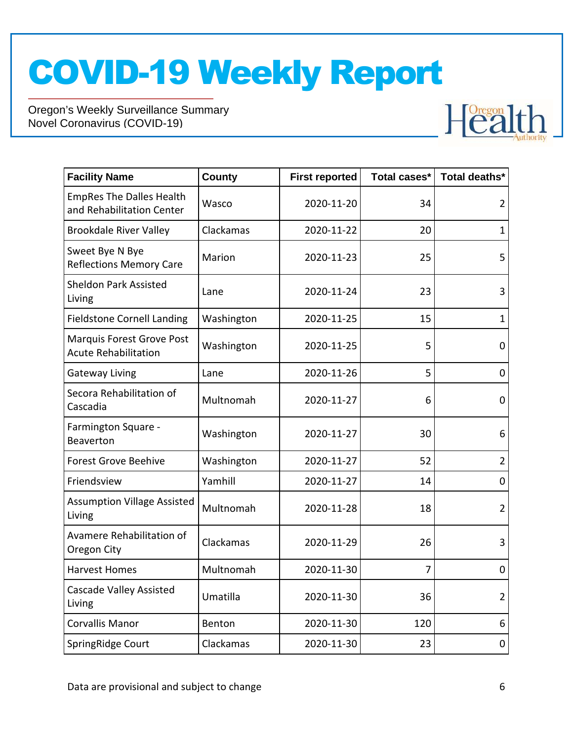

| <b>Facility Name</b>                                         | <b>County</b> | <b>First reported</b> | Total cases* | Total deaths*  |
|--------------------------------------------------------------|---------------|-----------------------|--------------|----------------|
| <b>EmpRes The Dalles Health</b><br>and Rehabilitation Center | Wasco         | 2020-11-20            | 34           | $\overline{2}$ |
| <b>Brookdale River Valley</b>                                | Clackamas     | 2020-11-22            | 20           | $\mathbf{1}$   |
| Sweet Bye N Bye<br><b>Reflections Memory Care</b>            | Marion        | 2020-11-23            | 25           | 5              |
| <b>Sheldon Park Assisted</b><br>Living                       | Lane          | 2020-11-24            | 23           | 3              |
| <b>Fieldstone Cornell Landing</b>                            | Washington    | 2020-11-25            | 15           | $\mathbf{1}$   |
| Marquis Forest Grove Post<br><b>Acute Rehabilitation</b>     | Washington    | 2020-11-25            | 5            | 0              |
| <b>Gateway Living</b>                                        | Lane          | 2020-11-26            | 5            | 0              |
| Secora Rehabilitation of<br>Cascadia                         | Multnomah     | 2020-11-27            | 6            | $\mathbf 0$    |
| Farmington Square -<br>Beaverton                             | Washington    | 2020-11-27            | 30           | 6              |
| <b>Forest Grove Beehive</b>                                  | Washington    | 2020-11-27            | 52           | $\overline{2}$ |
| Friendsview                                                  | Yamhill       | 2020-11-27            | 14           | 0              |
| <b>Assumption Village Assisted</b><br>Living                 | Multnomah     | 2020-11-28            | 18           | $\overline{2}$ |
| Avamere Rehabilitation of<br>Oregon City                     | Clackamas     | 2020-11-29            | 26           | 3              |
| <b>Harvest Homes</b>                                         | Multnomah     | 2020-11-30            | 7            | $\mathbf 0$    |
| Cascade Valley Assisted<br>Living                            | Umatilla      | 2020-11-30            | 36           | $\overline{2}$ |
| <b>Corvallis Manor</b>                                       | Benton        | 2020-11-30            | 120          | 6              |
| SpringRidge Court                                            | Clackamas     | 2020-11-30            | 23           | 0              |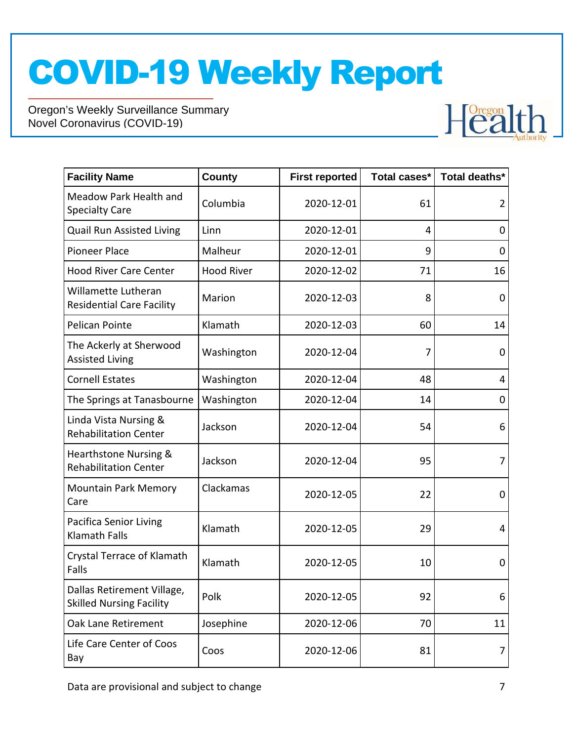

| <b>Facility Name</b>                                          | County            | <b>First reported</b> | Total cases* | Total deaths* |
|---------------------------------------------------------------|-------------------|-----------------------|--------------|---------------|
| Meadow Park Health and<br><b>Specialty Care</b>               | Columbia          | 2020-12-01            | 61           | 2             |
| Quail Run Assisted Living                                     | Linn              | 2020-12-01            | 4            | 0             |
| <b>Pioneer Place</b>                                          | Malheur           | 2020-12-01            | 9            | 0             |
| <b>Hood River Care Center</b>                                 | <b>Hood River</b> | 2020-12-02            | 71           | 16            |
| Willamette Lutheran<br><b>Residential Care Facility</b>       | Marion            | 2020-12-03            | 8            | 0             |
| <b>Pelican Pointe</b>                                         | Klamath           | 2020-12-03            | 60           | 14            |
| The Ackerly at Sherwood<br><b>Assisted Living</b>             | Washington        | 2020-12-04            | 7            | $\mathbf 0$   |
| <b>Cornell Estates</b>                                        | Washington        | 2020-12-04            | 48           | 4             |
| The Springs at Tanasbourne                                    | Washington        | 2020-12-04            | 14           | 0             |
| Linda Vista Nursing &<br><b>Rehabilitation Center</b>         | Jackson           | 2020-12-04            | 54           | 6             |
| Hearthstone Nursing &<br><b>Rehabilitation Center</b>         | Jackson           | 2020-12-04            | 95           | 7             |
| <b>Mountain Park Memory</b><br>Care                           | Clackamas         | 2020-12-05            | 22           | 0             |
| <b>Pacifica Senior Living</b><br><b>Klamath Falls</b>         | Klamath           | 2020-12-05            | 29           | 4             |
| Crystal Terrace of Klamath<br>Falls                           | Klamath           | 2020-12-05            | 10           | 0             |
| Dallas Retirement Village,<br><b>Skilled Nursing Facility</b> | Polk              | 2020-12-05            | 92           | 6             |
| Oak Lane Retirement                                           | Josephine         | 2020-12-06            | 70           | 11            |
| Life Care Center of Coos<br>Bay                               | Coos              | 2020-12-06            | 81           | 7             |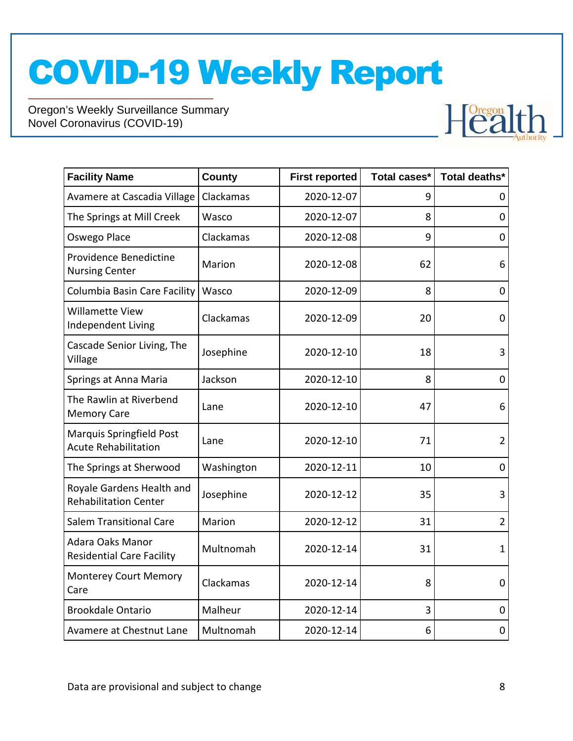

| <b>Facility Name</b>                                      | County     | <b>First reported</b> | Total cases* | Total deaths*  |
|-----------------------------------------------------------|------------|-----------------------|--------------|----------------|
| Avamere at Cascadia Village                               | Clackamas  | 2020-12-07            | 9            | 0              |
| The Springs at Mill Creek                                 | Wasco      | 2020-12-07            | 8            | $\pmb{0}$      |
| Oswego Place                                              | Clackamas  | 2020-12-08            | 9            | 0              |
| Providence Benedictine<br><b>Nursing Center</b>           | Marion     | 2020-12-08            | 62           | 6              |
| Columbia Basin Care Facility                              | Wasco      | 2020-12-09            | 8            | 0              |
| Willamette View<br>Independent Living                     | Clackamas  | 2020-12-09            | 20           | 0              |
| Cascade Senior Living, The<br>Village                     | Josephine  | 2020-12-10            | 18           | 3              |
| Springs at Anna Maria                                     | Jackson    | 2020-12-10            | 8            | $\overline{0}$ |
| The Rawlin at Riverbend<br><b>Memory Care</b>             | Lane       | 2020-12-10            | 47           | 6              |
| Marquis Springfield Post<br><b>Acute Rehabilitation</b>   | Lane       | 2020-12-10            | 71           | $\overline{2}$ |
| The Springs at Sherwood                                   | Washington | 2020-12-11            | 10           | 0              |
| Royale Gardens Health and<br><b>Rehabilitation Center</b> | Josephine  | 2020-12-12            | 35           | 3              |
| <b>Salem Transitional Care</b>                            | Marion     | 2020-12-12            | 31           | $\overline{2}$ |
| Adara Oaks Manor<br><b>Residential Care Facility</b>      | Multnomah  | 2020-12-14            | 31           | $\mathbf{1}$   |
| <b>Monterey Court Memory</b><br>Care                      | Clackamas  | 2020-12-14            | 8            | 0              |
| <b>Brookdale Ontario</b>                                  | Malheur    | 2020-12-14            | 3            | $\mathbf 0$    |
| Avamere at Chestnut Lane                                  | Multnomah  | 2020-12-14            | 6            | 0              |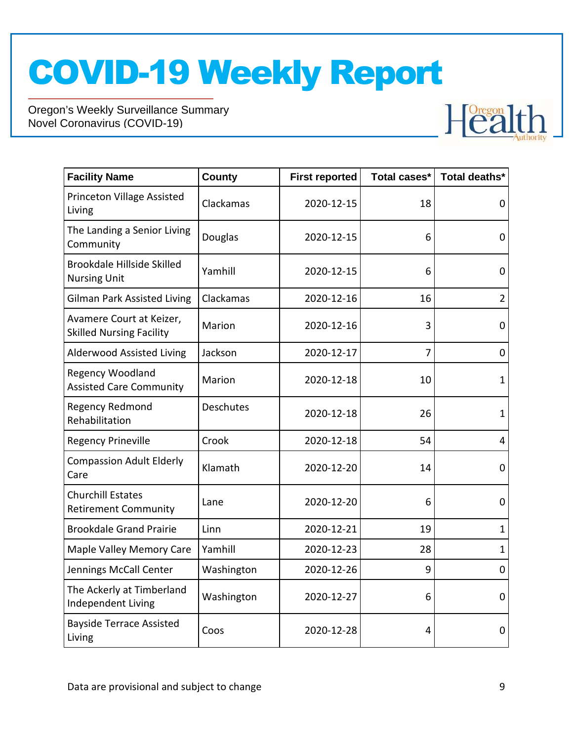

| <b>Facility Name</b>                                        | <b>County</b> | <b>First reported</b> | Total cases*   | Total deaths*  |
|-------------------------------------------------------------|---------------|-----------------------|----------------|----------------|
| Princeton Village Assisted<br>Living                        | Clackamas     | 2020-12-15            | 18             | 0              |
| The Landing a Senior Living<br>Community                    | Douglas       | 2020-12-15            | 6              | $\overline{0}$ |
| Brookdale Hillside Skilled<br><b>Nursing Unit</b>           | Yamhill       | 2020-12-15            | 6              | 0              |
| <b>Gilman Park Assisted Living</b>                          | Clackamas     | 2020-12-16            | 16             | $\overline{2}$ |
| Avamere Court at Keizer,<br><b>Skilled Nursing Facility</b> | Marion        | 2020-12-16            | 3              | 0              |
| <b>Alderwood Assisted Living</b>                            | Jackson       | 2020-12-17            | $\overline{7}$ | $\mathbf 0$    |
| Regency Woodland<br><b>Assisted Care Community</b>          | Marion        | 2020-12-18            | 10             | $\mathbf{1}$   |
| <b>Regency Redmond</b><br>Rehabilitation                    | Deschutes     | 2020-12-18            | 26             | $\mathbf{1}$   |
| <b>Regency Prineville</b>                                   | Crook         | 2020-12-18            | 54             | 4              |
| <b>Compassion Adult Elderly</b><br>Care                     | Klamath       | 2020-12-20            | 14             | $\overline{0}$ |
| <b>Churchill Estates</b><br><b>Retirement Community</b>     | Lane          | 2020-12-20            | 6              | 0              |
| <b>Brookdale Grand Prairie</b>                              | Linn          | 2020-12-21            | 19             | $\mathbf{1}$   |
| Maple Valley Memory Care                                    | Yamhill       | 2020-12-23            | 28             | $\mathbf{1}$   |
| Jennings McCall Center                                      | Washington    | 2020-12-26            | 9              | 0              |
| The Ackerly at Timberland<br>Independent Living             | Washington    | 2020-12-27            | 6              | $\overline{0}$ |
| <b>Bayside Terrace Assisted</b><br>Living                   | Coos          | 2020-12-28            | 4              | 0              |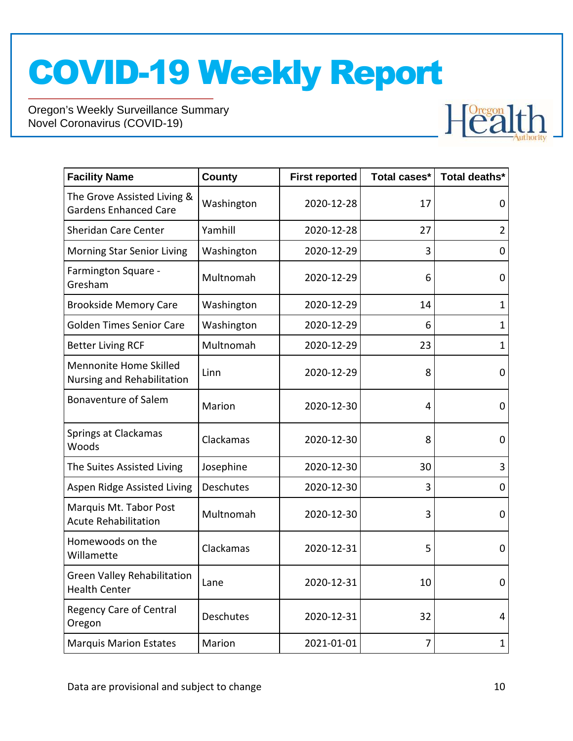

| <b>Facility Name</b>                                        | <b>County</b> | <b>First reported</b> | Total cases* | Total deaths*  |
|-------------------------------------------------------------|---------------|-----------------------|--------------|----------------|
| The Grove Assisted Living &<br><b>Gardens Enhanced Care</b> | Washington    | 2020-12-28            | 17           | 0              |
| Sheridan Care Center                                        | Yamhill       | 2020-12-28            | 27           | $\overline{2}$ |
| Morning Star Senior Living                                  | Washington    | 2020-12-29            | 3            | 0              |
| Farmington Square -<br>Gresham                              | Multnomah     | 2020-12-29            | 6            | $\mathbf 0$    |
| <b>Brookside Memory Care</b>                                | Washington    | 2020-12-29            | 14           | $\mathbf{1}$   |
| <b>Golden Times Senior Care</b>                             | Washington    | 2020-12-29            | 6            | $\mathbf{1}$   |
| <b>Better Living RCF</b>                                    | Multnomah     | 2020-12-29            | 23           | $\mathbf{1}$   |
| Mennonite Home Skilled<br>Nursing and Rehabilitation        | Linn          | 2020-12-29            | 8            | 0              |
| <b>Bonaventure of Salem</b>                                 | Marion        | 2020-12-30            | 4            | 0              |
| Springs at Clackamas<br>Woods                               | Clackamas     | 2020-12-30            | 8            | 0              |
| The Suites Assisted Living                                  | Josephine     | 2020-12-30            | 30           | 3              |
| Aspen Ridge Assisted Living                                 | Deschutes     | 2020-12-30            | 3            | 0              |
| Marquis Mt. Tabor Post<br><b>Acute Rehabilitation</b>       | Multnomah     | 2020-12-30            | 3            | 0              |
| Homewoods on the<br>Willamette                              | Clackamas     | 2020-12-31            | 5            | 0              |
| <b>Green Valley Rehabilitation</b><br><b>Health Center</b>  | Lane          | 2020-12-31            | 10           | $\overline{0}$ |
| <b>Regency Care of Central</b><br>Oregon                    | Deschutes     | 2020-12-31            | 32           | 4              |
| <b>Marquis Marion Estates</b>                               | Marion        | 2021-01-01            | 7            | $\mathbf{1}$   |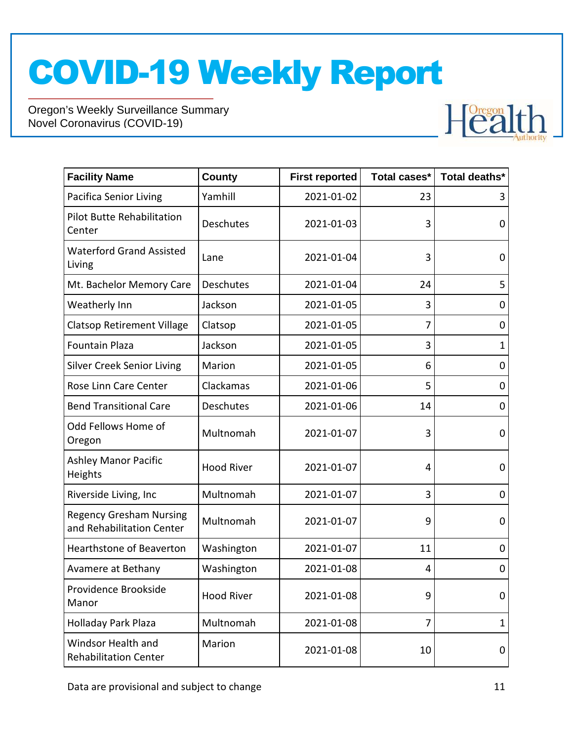

| <b>Facility Name</b>                                        | <b>County</b>     | <b>First reported</b> | Total cases* | Total deaths* |
|-------------------------------------------------------------|-------------------|-----------------------|--------------|---------------|
| <b>Pacifica Senior Living</b>                               | Yamhill           | 2021-01-02            | 23           | 3             |
| <b>Pilot Butte Rehabilitation</b><br>Center                 | Deschutes         | 2021-01-03            | 3            | 0             |
| <b>Waterford Grand Assisted</b><br>Living                   | Lane              | 2021-01-04            | 3            | 0             |
| Mt. Bachelor Memory Care                                    | Deschutes         | 2021-01-04            | 24           | 5             |
| Weatherly Inn                                               | Jackson           | 2021-01-05            | 3            | 0             |
| <b>Clatsop Retirement Village</b>                           | Clatsop           | 2021-01-05            | 7            | 0             |
| <b>Fountain Plaza</b>                                       | Jackson           | 2021-01-05            | 3            | $\mathbf{1}$  |
| <b>Silver Creek Senior Living</b>                           | Marion            | 2021-01-05            | 6            | 0             |
| Rose Linn Care Center                                       | Clackamas         | 2021-01-06            | 5            | 0             |
| <b>Bend Transitional Care</b>                               | <b>Deschutes</b>  | 2021-01-06            | 14           | 0             |
| Odd Fellows Home of<br>Oregon                               | Multnomah         | 2021-01-07            | 3            | 0             |
| <b>Ashley Manor Pacific</b><br>Heights                      | <b>Hood River</b> | 2021-01-07            | 4            | 0             |
| Riverside Living, Inc                                       | Multnomah         | 2021-01-07            | 3            | 0             |
| <b>Regency Gresham Nursing</b><br>and Rehabilitation Center | Multnomah         | 2021-01-07            | 9            | 0             |
| Hearthstone of Beaverton                                    | Washington        | 2021-01-07            | 11           | 0             |
| Avamere at Bethany                                          | Washington        | 2021-01-08            | 4            | 0             |
| Providence Brookside<br>Manor                               | <b>Hood River</b> | 2021-01-08            | 9            | 0             |
| Holladay Park Plaza                                         | Multnomah         | 2021-01-08            | 7            | $\mathbf{1}$  |
| Windsor Health and<br><b>Rehabilitation Center</b>          | Marion            | 2021-01-08            | 10           | 0             |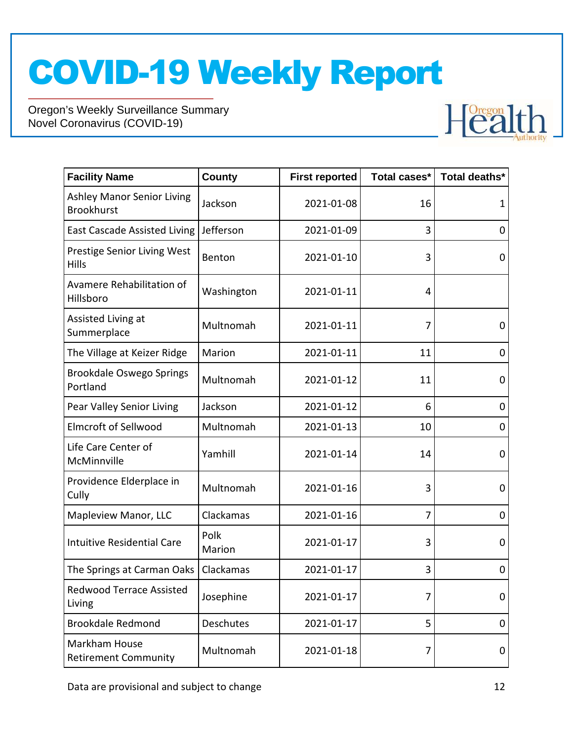

| <b>Facility Name</b>                                   | <b>County</b>    | <b>First reported</b> | Total cases*   | Total deaths* |
|--------------------------------------------------------|------------------|-----------------------|----------------|---------------|
| <b>Ashley Manor Senior Living</b><br><b>Brookhurst</b> | Jackson          | 2021-01-08            | 16             | 1             |
| <b>East Cascade Assisted Living</b>                    | Jefferson        | 2021-01-09            | 3              | 0             |
| Prestige Senior Living West<br>Hills                   | Benton           | 2021-01-10            | 3              | 0             |
| Avamere Rehabilitation of<br>Hillsboro                 | Washington       | 2021-01-11            | 4              |               |
| Assisted Living at<br>Summerplace                      | Multnomah        | 2021-01-11            | 7              | $\mathbf 0$   |
| The Village at Keizer Ridge                            | Marion           | 2021-01-11            | 11             | 0             |
| Brookdale Oswego Springs<br>Portland                   | Multnomah        | 2021-01-12            | 11             | 0             |
| Pear Valley Senior Living                              | Jackson          | 2021-01-12            | 6              | 0             |
| <b>Elmcroft of Sellwood</b>                            | Multnomah        | 2021-01-13            | 10             | 0             |
| Life Care Center of<br>McMinnville                     | Yamhill          | 2021-01-14            | 14             | 0             |
| Providence Elderplace in<br>Cully                      | Multnomah        | 2021-01-16            | 3              | 0             |
| Mapleview Manor, LLC                                   | Clackamas        | 2021-01-16            | $\overline{7}$ | 0             |
| <b>Intuitive Residential Care</b>                      | Polk<br>Marion   | 2021-01-17            | 3              | 0             |
| The Springs at Carman Oaks                             | Clackamas        | 2021-01-17            | 3              | 0             |
| <b>Redwood Terrace Assisted</b><br>Living              | Josephine        | 2021-01-17            | 7              | 0             |
| <b>Brookdale Redmond</b>                               | <b>Deschutes</b> | 2021-01-17            | 5              | 0             |
| Markham House<br><b>Retirement Community</b>           | Multnomah        | 2021-01-18            | 7              | 0             |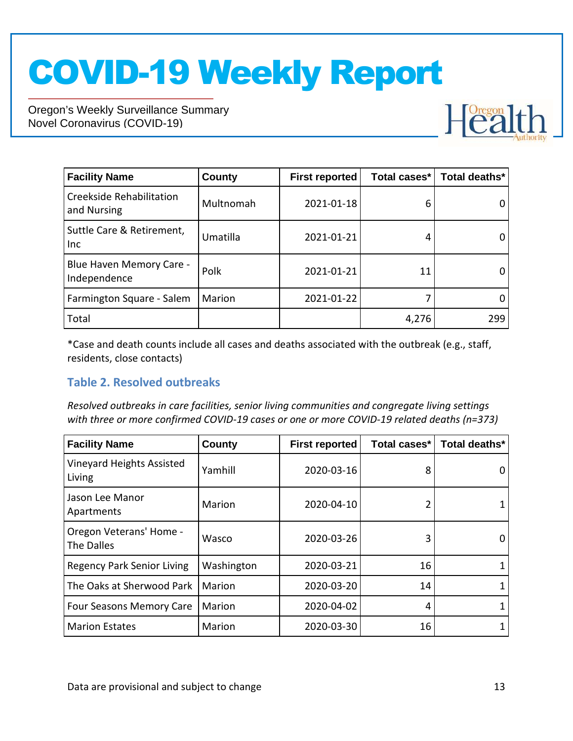Oregon's Weekly Surveillance Summary Novel Coronavirus (COVID-19)



| <b>Facility Name</b>                     | County    | <b>First reported</b> | Total cases* | Total deaths* |
|------------------------------------------|-----------|-----------------------|--------------|---------------|
| Creekside Rehabilitation<br>and Nursing  | Multnomah | 2021-01-18            | 6            |               |
| Suttle Care & Retirement,<br>Inc         | Umatilla  | 2021-01-21            |              |               |
| Blue Haven Memory Care -<br>Independence | Polk      | 2021-01-21            | 11           |               |
| Farmington Square - Salem                | Marion    | 2021-01-22            |              |               |
| Total                                    |           |                       | 4,276        | 299           |

\*Case and death counts include all cases and deaths associated with the outbreak (e.g., staff, residents, close contacts)

#### **Table 2. Resolved outbreaks**

*Resolved outbreaks in care facilities, senior living communities and congregate living settings with three or more confirmed COVID-19 cases or one or more COVID-19 related deaths (n=373)*

| <b>Facility Name</b>                  | County     | <b>First reported</b> | Total cases* | Total deaths* |
|---------------------------------------|------------|-----------------------|--------------|---------------|
| Vineyard Heights Assisted<br>Living   | Yamhill    | 2020-03-16            | 8            |               |
| Jason Lee Manor<br>Apartments         | Marion     | 2020-04-10            |              |               |
| Oregon Veterans' Home -<br>The Dalles | Wasco      | 2020-03-26            | 3            |               |
| <b>Regency Park Senior Living</b>     | Washington | 2020-03-21            | 16           |               |
| The Oaks at Sherwood Park             | Marion     | 2020-03-20            | 14           |               |
| <b>Four Seasons Memory Care</b>       | Marion     | 2020-04-02            | 4            |               |
| <b>Marion Estates</b>                 | Marion     | 2020-03-30            | 16           |               |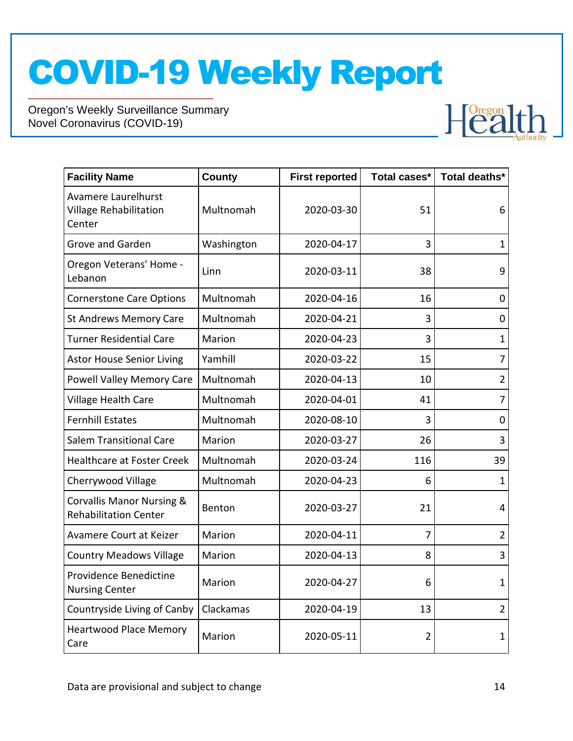

| <b>Facility Name</b>                                                 | <b>County</b> | <b>First reported</b> | Total cases*   | Total deaths*  |
|----------------------------------------------------------------------|---------------|-----------------------|----------------|----------------|
| Avamere Laurelhurst<br><b>Village Rehabilitation</b><br>Center       | Multnomah     | 2020-03-30            | 51             | 6              |
| <b>Grove and Garden</b>                                              | Washington    | 2020-04-17            | 3              | $\mathbf{1}$   |
| Oregon Veterans' Home -<br>Lebanon                                   | Linn          | 2020-03-11            | 38             | 9              |
| <b>Cornerstone Care Options</b>                                      | Multnomah     | 2020-04-16            | 16             | 0              |
| <b>St Andrews Memory Care</b>                                        | Multnomah     | 2020-04-21            | 3              | $\overline{0}$ |
| <b>Turner Residential Care</b>                                       | Marion        | 2020-04-23            | 3              | $\mathbf{1}$   |
| <b>Astor House Senior Living</b>                                     | Yamhill       | 2020-03-22            | 15             | $\overline{7}$ |
| Powell Valley Memory Care                                            | Multnomah     | 2020-04-13            | 10             | $\overline{2}$ |
| Village Health Care                                                  | Multnomah     | 2020-04-01            | 41             | $\overline{7}$ |
| <b>Fernhill Estates</b>                                              | Multnomah     | 2020-08-10            | 3              | 0              |
| <b>Salem Transitional Care</b>                                       | Marion        | 2020-03-27            | 26             | 3              |
| <b>Healthcare at Foster Creek</b>                                    | Multnomah     | 2020-03-24            | 116            | 39             |
| Cherrywood Village                                                   | Multnomah     | 2020-04-23            | 6              | $\mathbf{1}$   |
| <b>Corvallis Manor Nursing &amp;</b><br><b>Rehabilitation Center</b> | Benton        | 2020-03-27            | 21             | $\overline{4}$ |
| Avamere Court at Keizer                                              | Marion        | 2020-04-11            | 7              | $\overline{2}$ |
| <b>Country Meadows Village</b>                                       | Marion        | 2020-04-13            | 8              | 3              |
| Providence Benedictine<br><b>Nursing Center</b>                      | Marion        | 2020-04-27            | 6              | $\mathbf{1}$   |
| Countryside Living of Canby                                          | Clackamas     | 2020-04-19            | 13             | $\overline{2}$ |
| <b>Heartwood Place Memory</b><br>Care                                | Marion        | 2020-05-11            | $\overline{2}$ | 1              |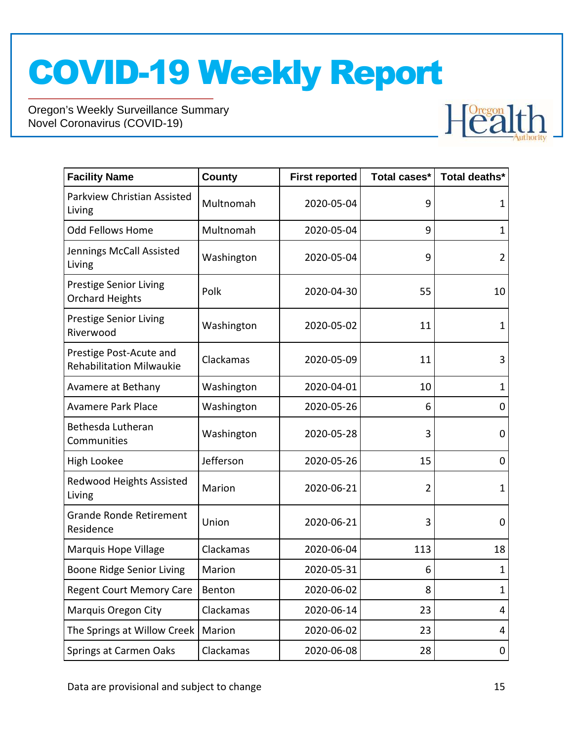

| <b>Facility Name</b>                                       | <b>County</b> | <b>First reported</b> | Total cases* | Total deaths*  |
|------------------------------------------------------------|---------------|-----------------------|--------------|----------------|
| Parkview Christian Assisted<br>Living                      | Multnomah     | 2020-05-04            | 9            | 1              |
| Odd Fellows Home                                           | Multnomah     | 2020-05-04            | 9            | $\mathbf 1$    |
| Jennings McCall Assisted<br>Living                         | Washington    | 2020-05-04            | 9            | $\overline{2}$ |
| <b>Prestige Senior Living</b><br><b>Orchard Heights</b>    | Polk          | 2020-04-30            | 55           | 10             |
| <b>Prestige Senior Living</b><br>Riverwood                 | Washington    | 2020-05-02            | 11           | 1              |
| Prestige Post-Acute and<br><b>Rehabilitation Milwaukie</b> | Clackamas     | 2020-05-09            | 11           | 3              |
| Avamere at Bethany                                         | Washington    | 2020-04-01            | 10           | $\mathbf 1$    |
| <b>Avamere Park Place</b>                                  | Washington    | 2020-05-26            | 6            | 0              |
| Bethesda Lutheran<br>Communities                           | Washington    | 2020-05-28            | 3            | 0              |
| High Lookee                                                | Jefferson     | 2020-05-26            | 15           | 0              |
| Redwood Heights Assisted<br>Living                         | Marion        | 2020-06-21            | 2            | $\mathbf 1$    |
| <b>Grande Ronde Retirement</b><br>Residence                | Union         | 2020-06-21            | 3            | 0              |
| Marquis Hope Village                                       | Clackamas     | 2020-06-04            | 113          | 18             |
| Boone Ridge Senior Living                                  | Marion        | 2020-05-31            | 6            | 1              |
| <b>Regent Court Memory Care</b>                            | Benton        | 2020-06-02            | 8            | $\mathbf{1}$   |
| <b>Marquis Oregon City</b>                                 | Clackamas     | 2020-06-14            | 23           | 4              |
| The Springs at Willow Creek                                | Marion        | 2020-06-02            | 23           | 4              |
| Springs at Carmen Oaks                                     | Clackamas     | 2020-06-08            | 28           | 0              |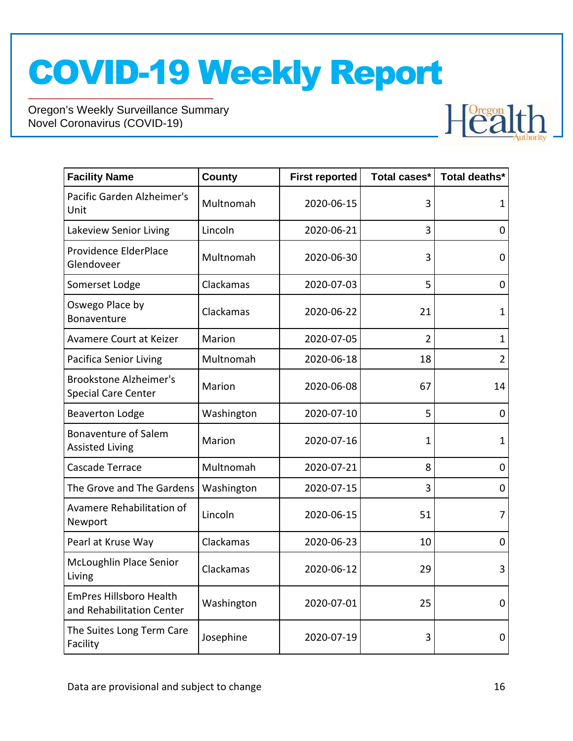

| <b>Facility Name</b>                                        | <b>County</b> | <b>First reported</b> | Total cases*   | Total deaths*  |
|-------------------------------------------------------------|---------------|-----------------------|----------------|----------------|
| Pacific Garden Alzheimer's<br>Unit                          | Multnomah     | 2020-06-15            | 3              | $\mathbf 1$    |
| Lakeview Senior Living                                      | Lincoln       | 2020-06-21            | 3              | 0              |
| Providence ElderPlace<br>Glendoveer                         | Multnomah     | 2020-06-30            | 3              | 0              |
| Somerset Lodge                                              | Clackamas     | 2020-07-03            | 5              | $\mathbf 0$    |
| Oswego Place by<br>Bonaventure                              | Clackamas     | 2020-06-22            | 21             | 1              |
| Avamere Court at Keizer                                     | Marion        | 2020-07-05            | $\overline{2}$ | $\mathbf{1}$   |
| <b>Pacifica Senior Living</b>                               | Multnomah     | 2020-06-18            | 18             | $\overline{2}$ |
| <b>Brookstone Alzheimer's</b><br><b>Special Care Center</b> | Marion        | 2020-06-08            | 67             | 14             |
| <b>Beaverton Lodge</b>                                      | Washington    | 2020-07-10            | 5              | $\mathbf 0$    |
| <b>Bonaventure of Salem</b><br><b>Assisted Living</b>       | Marion        | 2020-07-16            | 1              | $\mathbf 1$    |
| Cascade Terrace                                             | Multnomah     | 2020-07-21            | 8              | 0              |
| The Grove and The Gardens                                   | Washington    | 2020-07-15            | 3              | 0              |
| Avamere Rehabilitation of<br>Newport                        | Lincoln       | 2020-06-15            | 51             | $\overline{7}$ |
| Pearl at Kruse Way                                          | Clackamas     | 2020-06-23            | 10             | $\mathbf 0$    |
| McLoughlin Place Senior<br>Living                           | Clackamas     | 2020-06-12            | 29             | 3              |
| <b>EmPres Hillsboro Health</b><br>and Rehabilitation Center | Washington    | 2020-07-01            | 25             | 0              |
| The Suites Long Term Care<br>Facility                       | Josephine     | 2020-07-19            | 3              | 0              |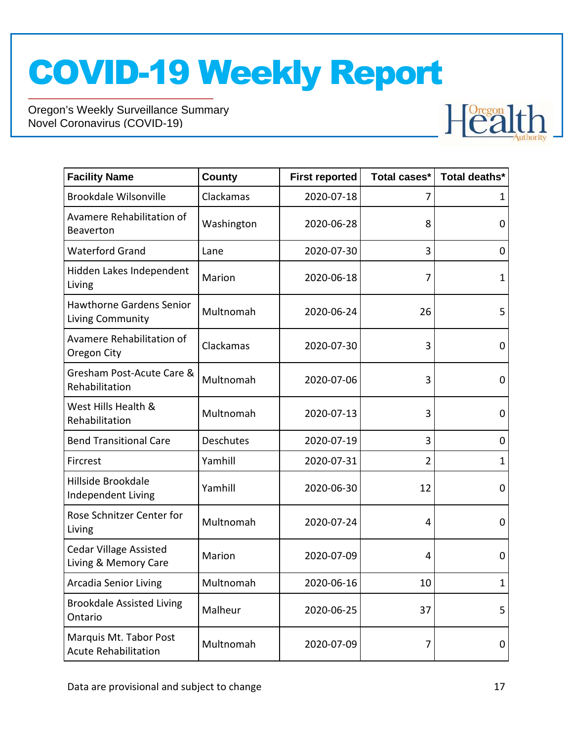

| <b>Facility Name</b>                                  | <b>County</b> | <b>First reported</b> | Total cases*   | Total deaths* |
|-------------------------------------------------------|---------------|-----------------------|----------------|---------------|
| <b>Brookdale Wilsonville</b>                          | Clackamas     | 2020-07-18            |                | 1             |
| Avamere Rehabilitation of<br><b>Beaverton</b>         | Washington    | 2020-06-28            | 8              | 0             |
| <b>Waterford Grand</b>                                | Lane          | 2020-07-30            | 3              | 0             |
| Hidden Lakes Independent<br>Living                    | Marion        | 2020-06-18            | 7              | $\mathbf{1}$  |
| <b>Hawthorne Gardens Senior</b><br>Living Community   | Multnomah     | 2020-06-24            | 26             | 5             |
| Avamere Rehabilitation of<br>Oregon City              | Clackamas     | 2020-07-30            | 3              | 0             |
| Gresham Post-Acute Care &<br>Rehabilitation           | Multnomah     | 2020-07-06            | 3              | 0             |
| West Hills Health &<br>Rehabilitation                 | Multnomah     | 2020-07-13            | 3              | 0             |
| <b>Bend Transitional Care</b>                         | Deschutes     | 2020-07-19            | 3              | 0             |
| Fircrest                                              | Yamhill       | 2020-07-31            | $\overline{2}$ | 1             |
| Hillside Brookdale<br>Independent Living              | Yamhill       | 2020-06-30            | 12             | 0             |
| Rose Schnitzer Center for<br>Living                   | Multnomah     | 2020-07-24            | 4              | 0             |
| <b>Cedar Village Assisted</b><br>Living & Memory Care | Marion        | 2020-07-09            | 4              | 0             |
| <b>Arcadia Senior Living</b>                          | Multnomah     | 2020-06-16            | 10             | 1             |
| <b>Brookdale Assisted Living</b><br>Ontario           | Malheur       | 2020-06-25            | 37             | 5             |
| Marquis Mt. Tabor Post<br><b>Acute Rehabilitation</b> | Multnomah     | 2020-07-09            | 7              | 0             |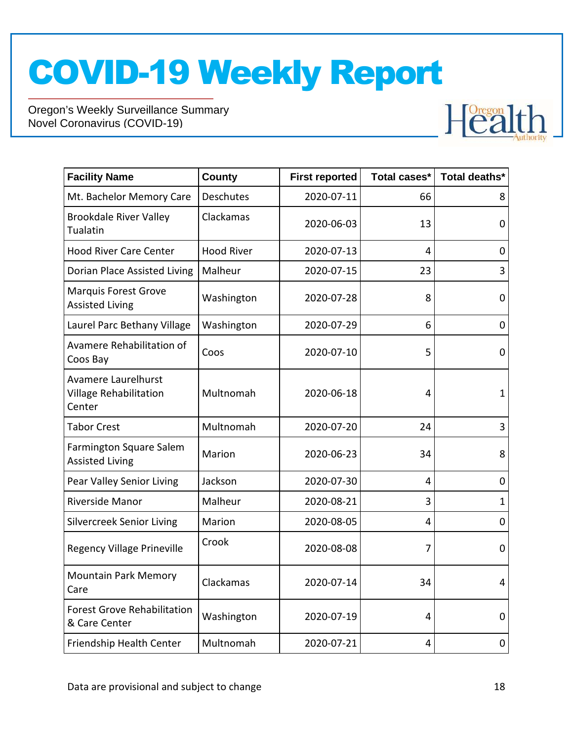

| <b>Facility Name</b>                                           | County            | <b>First reported</b> | Total cases*   | Total deaths*  |
|----------------------------------------------------------------|-------------------|-----------------------|----------------|----------------|
| Mt. Bachelor Memory Care                                       | <b>Deschutes</b>  | 2020-07-11            | 66             | 8              |
| <b>Brookdale River Valley</b><br>Tualatin                      | Clackamas         | 2020-06-03            | 13             | 0              |
| <b>Hood River Care Center</b>                                  | <b>Hood River</b> | 2020-07-13            | 4              | 0              |
| Dorian Place Assisted Living                                   | Malheur           | 2020-07-15            | 23             | 3              |
| <b>Marquis Forest Grove</b><br><b>Assisted Living</b>          | Washington        | 2020-07-28            | 8              | 0              |
| Laurel Parc Bethany Village                                    | Washington        | 2020-07-29            | 6              | 0              |
| Avamere Rehabilitation of<br>Coos Bay                          | Coos              | 2020-07-10            | 5              | 0              |
| Avamere Laurelhurst<br><b>Village Rehabilitation</b><br>Center | Multnomah         | 2020-06-18            | 4              | $\mathbf{1}$   |
| <b>Tabor Crest</b>                                             | Multnomah         | 2020-07-20            | 24             | 3              |
| Farmington Square Salem<br><b>Assisted Living</b>              | Marion            | 2020-06-23            | 34             | 8              |
| Pear Valley Senior Living                                      | Jackson           | 2020-07-30            | 4              | 0              |
| Riverside Manor                                                | Malheur           | 2020-08-21            | 3              | 1              |
| <b>Silvercreek Senior Living</b>                               | Marion            | 2020-08-05            | $\overline{4}$ | $\overline{0}$ |
| <b>Regency Village Prineville</b>                              | Crook             | 2020-08-08            | 7              | 0              |
| <b>Mountain Park Memory</b><br>Care                            | Clackamas         | 2020-07-14            | 34             | 4              |
| <b>Forest Grove Rehabilitation</b><br>& Care Center            | Washington        | 2020-07-19            | 4              | 0              |
| Friendship Health Center                                       | Multnomah         | 2020-07-21            | 4              | 0              |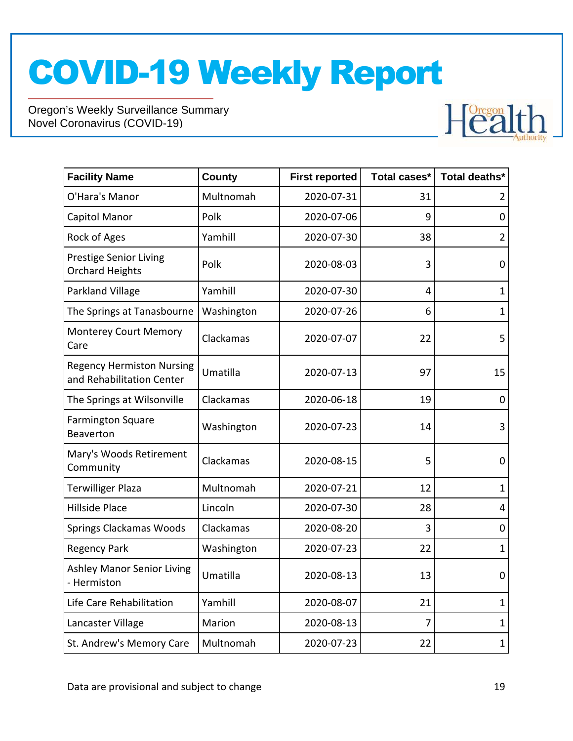

| <b>Facility Name</b>                                          | County     | <b>First reported</b> | Total cases* | Total deaths*  |
|---------------------------------------------------------------|------------|-----------------------|--------------|----------------|
| O'Hara's Manor                                                | Multnomah  | 2020-07-31            | 31           | 2              |
| Capitol Manor                                                 | Polk       | 2020-07-06            | 9            | $\overline{0}$ |
| Rock of Ages                                                  | Yamhill    | 2020-07-30            | 38           | $\overline{2}$ |
| <b>Prestige Senior Living</b><br><b>Orchard Heights</b>       | Polk       | 2020-08-03            | 3            | 0              |
| Parkland Village                                              | Yamhill    | 2020-07-30            | 4            | $\mathbf{1}$   |
| The Springs at Tanasbourne                                    | Washington | 2020-07-26            | 6            | $\mathbf{1}$   |
| <b>Monterey Court Memory</b><br>Care                          | Clackamas  | 2020-07-07            | 22           | 5              |
| <b>Regency Hermiston Nursing</b><br>and Rehabilitation Center | Umatilla   | 2020-07-13            | 97           | 15             |
| The Springs at Wilsonville                                    | Clackamas  | 2020-06-18            | 19           | 0              |
| <b>Farmington Square</b><br>Beaverton                         | Washington | 2020-07-23            | 14           | 3              |
| Mary's Woods Retirement<br>Community                          | Clackamas  | 2020-08-15            | 5            | $\mathbf 0$    |
| <b>Terwilliger Plaza</b>                                      | Multnomah  | 2020-07-21            | 12           | $\mathbf 1$    |
| <b>Hillside Place</b>                                         | Lincoln    | 2020-07-30            | 28           | 4              |
| Springs Clackamas Woods                                       | Clackamas  | 2020-08-20            | 3            | 0              |
| <b>Regency Park</b>                                           | Washington | 2020-07-23            | 22           | $\mathbf{1}$   |
| <b>Ashley Manor Senior Living</b><br>- Hermiston              | Umatilla   | 2020-08-13            | 13           | $\mathbf 0$    |
| Life Care Rehabilitation                                      | Yamhill    | 2020-08-07            | 21           | $\mathbf{1}$   |
| Lancaster Village                                             | Marion     | 2020-08-13            | 7            | $\mathbf{1}$   |
| St. Andrew's Memory Care                                      | Multnomah  | 2020-07-23            | 22           | $\mathbf{1}$   |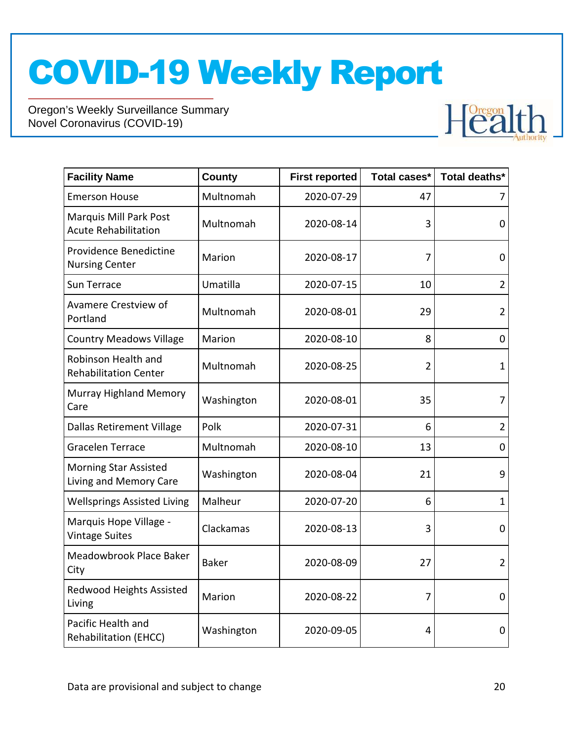

| <b>Facility Name</b>                                   | County       | <b>First reported</b> | Total cases*   | Total deaths*  |
|--------------------------------------------------------|--------------|-----------------------|----------------|----------------|
| <b>Emerson House</b>                                   | Multnomah    | 2020-07-29            | 47             | 7              |
| Marquis Mill Park Post<br><b>Acute Rehabilitation</b>  | Multnomah    | 2020-08-14            | 3              | 0              |
| Providence Benedictine<br><b>Nursing Center</b>        | Marion       | 2020-08-17            | 7              | 0              |
| Sun Terrace                                            | Umatilla     | 2020-07-15            | 10             | $\overline{2}$ |
| Avamere Crestview of<br>Portland                       | Multnomah    | 2020-08-01            | 29             | $\overline{2}$ |
| <b>Country Meadows Village</b>                         | Marion       | 2020-08-10            | 8              | 0              |
| Robinson Health and<br><b>Rehabilitation Center</b>    | Multnomah    | 2020-08-25            | $\overline{2}$ | $\mathbf{1}$   |
| <b>Murray Highland Memory</b><br>Care                  | Washington   | 2020-08-01            | 35             | 7              |
| <b>Dallas Retirement Village</b>                       | Polk         | 2020-07-31            | 6              | $\overline{2}$ |
| <b>Gracelen Terrace</b>                                | Multnomah    | 2020-08-10            | 13             | $\mathbf 0$    |
| <b>Morning Star Assisted</b><br>Living and Memory Care | Washington   | 2020-08-04            | 21             | 9              |
| <b>Wellsprings Assisted Living</b>                     | Malheur      | 2020-07-20            | 6              | $\mathbf{1}$   |
| Marquis Hope Village -<br><b>Vintage Suites</b>        | Clackamas    | 2020-08-13            | 3              | 0              |
| Meadowbrook Place Baker<br>City                        | <b>Baker</b> | 2020-08-09            | 27             | $\overline{2}$ |
| Redwood Heights Assisted<br>Living                     | Marion       | 2020-08-22            | 7              | $\overline{0}$ |
| Pacific Health and<br>Rehabilitation (EHCC)            | Washington   | 2020-09-05            | 4              | 0              |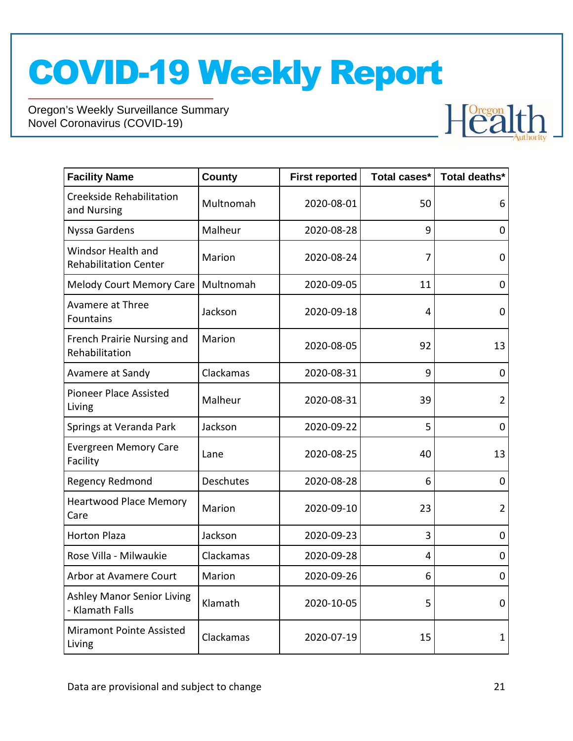

| <b>Facility Name</b>                                 | <b>County</b>    | <b>First reported</b> | Total cases* | Total deaths*  |
|------------------------------------------------------|------------------|-----------------------|--------------|----------------|
| <b>Creekside Rehabilitation</b><br>and Nursing       | Multnomah        | 2020-08-01            | 50           | 6              |
| Nyssa Gardens                                        | Malheur          | 2020-08-28            | 9            | $\overline{0}$ |
| Windsor Health and<br><b>Rehabilitation Center</b>   | Marion           | 2020-08-24            | 7            | 0              |
| <b>Melody Court Memory Care</b>                      | Multnomah        | 2020-09-05            | 11           | 0              |
| Avamere at Three<br><b>Fountains</b>                 | Jackson          | 2020-09-18            | 4            | $\mathbf 0$    |
| French Prairie Nursing and<br>Rehabilitation         | Marion           | 2020-08-05            | 92           | 13             |
| Avamere at Sandy                                     | Clackamas        | 2020-08-31            | 9            | $\mathbf 0$    |
| <b>Pioneer Place Assisted</b><br>Living              | Malheur          | 2020-08-31            | 39           | $\overline{2}$ |
| Springs at Veranda Park                              | Jackson          | 2020-09-22            | 5            | $\mathbf 0$    |
| <b>Evergreen Memory Care</b><br>Facility             | Lane             | 2020-08-25            | 40           | 13             |
| Regency Redmond                                      | <b>Deschutes</b> | 2020-08-28            | 6            | 0              |
| <b>Heartwood Place Memory</b><br>Care                | Marion           | 2020-09-10            | 23           | $\overline{2}$ |
| <b>Horton Plaza</b>                                  | Jackson          | 2020-09-23            | 3            | 0              |
| Rose Villa - Milwaukie                               | Clackamas        | 2020-09-28            | 4            | 0              |
| Arbor at Avamere Court                               | Marion           | 2020-09-26            | 6            | 0              |
| <b>Ashley Manor Senior Living</b><br>- Klamath Falls | Klamath          | 2020-10-05            | 5            | 0              |
| Miramont Pointe Assisted<br>Living                   | Clackamas        | 2020-07-19            | 15           | 1              |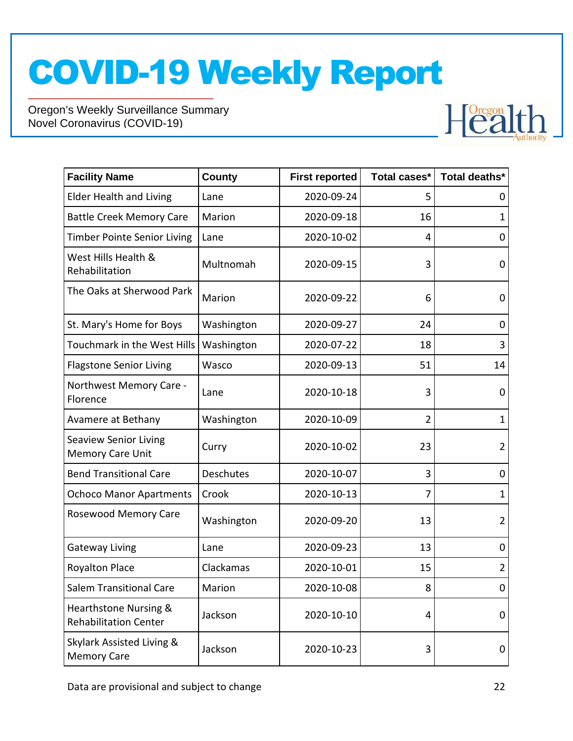

| <b>Facility Name</b>                                    | County     | <b>First reported</b> | Total cases*   | Total deaths*  |
|---------------------------------------------------------|------------|-----------------------|----------------|----------------|
| <b>Elder Health and Living</b>                          | Lane       | 2020-09-24            | 5              | 0              |
| <b>Battle Creek Memory Care</b>                         | Marion     | 2020-09-18            | 16             | 1              |
| <b>Timber Pointe Senior Living</b>                      | Lane       | 2020-10-02            | 4              | 0              |
| West Hills Health &<br>Rehabilitation                   | Multnomah  | 2020-09-15            | 3              | 0              |
| The Oaks at Sherwood Park                               | Marion     | 2020-09-22            | 6              | 0              |
| St. Mary's Home for Boys                                | Washington | 2020-09-27            | 24             | 0              |
| Touchmark in the West Hills                             | Washington | 2020-07-22            | 18             | 3              |
| <b>Flagstone Senior Living</b>                          | Wasco      | 2020-09-13            | 51             | 14             |
| Northwest Memory Care -<br>Florence                     | Lane       | 2020-10-18            | 3              | 0              |
| Avamere at Bethany                                      | Washington | 2020-10-09            | $\overline{2}$ | $\mathbf{1}$   |
| <b>Seaview Senior Living</b><br><b>Memory Care Unit</b> | Curry      | 2020-10-02            | 23             | $\overline{2}$ |
| <b>Bend Transitional Care</b>                           | Deschutes  | 2020-10-07            | 3              | 0              |
| <b>Ochoco Manor Apartments</b>                          | Crook      | 2020-10-13            | 7              | 1              |
| Rosewood Memory Care                                    | Washington | 2020-09-20            | 13             | $\overline{2}$ |
| <b>Gateway Living</b>                                   | Lane       | 2020-09-23            | 13             | 0              |
| <b>Royalton Place</b>                                   | Clackamas  | 2020-10-01            | 15             | $\overline{2}$ |
| <b>Salem Transitional Care</b>                          | Marion     | 2020-10-08            | 8              | $\overline{0}$ |
| Hearthstone Nursing &<br><b>Rehabilitation Center</b>   | Jackson    | 2020-10-10            | 4              | 0              |
| Skylark Assisted Living &<br><b>Memory Care</b>         | Jackson    | 2020-10-23            | 3              | 0              |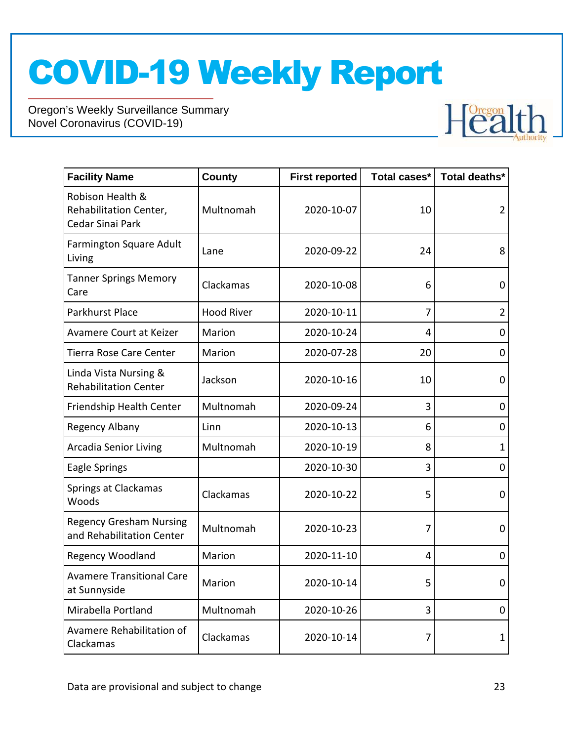

| <b>Facility Name</b>                                           | <b>County</b>     | <b>First reported</b> | Total cases*   | Total deaths*  |
|----------------------------------------------------------------|-------------------|-----------------------|----------------|----------------|
| Robison Health &<br>Rehabilitation Center,<br>Cedar Sinai Park | Multnomah         | 2020-10-07            | 10             | $\overline{2}$ |
| Farmington Square Adult<br>Living                              | Lane              | 2020-09-22            | 24             | 8              |
| <b>Tanner Springs Memory</b><br>Care                           | Clackamas         | 2020-10-08            | 6              | 0              |
| Parkhurst Place                                                | <b>Hood River</b> | 2020-10-11            | $\overline{7}$ | $\overline{2}$ |
| Avamere Court at Keizer                                        | Marion            | 2020-10-24            | 4              | 0              |
| Tierra Rose Care Center                                        | Marion            | 2020-07-28            | 20             | 0              |
| Linda Vista Nursing &<br><b>Rehabilitation Center</b>          | Jackson           | 2020-10-16            | 10             | 0              |
| Friendship Health Center                                       | Multnomah         | 2020-09-24            | 3              | 0              |
| Regency Albany                                                 | Linn              | 2020-10-13            | 6              | 0              |
| <b>Arcadia Senior Living</b>                                   | Multnomah         | 2020-10-19            | 8              | 1              |
| Eagle Springs                                                  |                   | 2020-10-30            | 3              | 0              |
| Springs at Clackamas<br>Woods                                  | Clackamas         | 2020-10-22            | 5              | 0              |
| <b>Regency Gresham Nursing</b><br>and Rehabilitation Center    | Multnomah         | 2020-10-23            | 7              | 0              |
| Regency Woodland                                               | Marion            | 2020-11-10            | $\overline{4}$ | 0              |
| <b>Avamere Transitional Care</b><br>at Sunnyside               | Marion            | 2020-10-14            | 5              | $\mathbf 0$    |
| Mirabella Portland                                             | Multnomah         | 2020-10-26            | 3              | 0              |
| Avamere Rehabilitation of<br>Clackamas                         | Clackamas         | 2020-10-14            | 7              | 1              |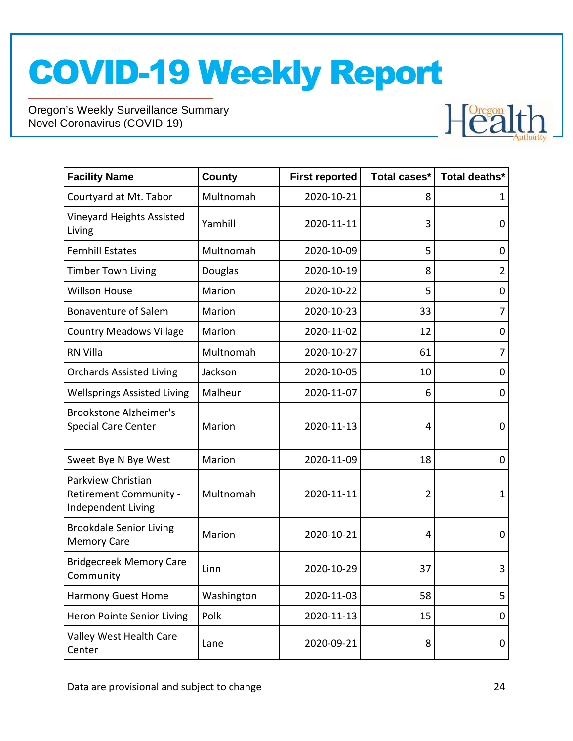

| <b>Facility Name</b>                                                      | <b>County</b> | <b>First reported</b> | Total cases* | Total deaths*  |
|---------------------------------------------------------------------------|---------------|-----------------------|--------------|----------------|
| Courtyard at Mt. Tabor                                                    | Multnomah     | 2020-10-21            | 8            | 1              |
| Vineyard Heights Assisted<br>Living                                       | Yamhill       | 2020-11-11            | 3            | 0              |
| <b>Fernhill Estates</b>                                                   | Multnomah     | 2020-10-09            | 5            | 0              |
| <b>Timber Town Living</b>                                                 | Douglas       | 2020-10-19            | 8            | $\overline{2}$ |
| <b>Willson House</b>                                                      | Marion        | 2020-10-22            | 5            | 0              |
| <b>Bonaventure of Salem</b>                                               | Marion        | 2020-10-23            | 33           | 7              |
| <b>Country Meadows Village</b>                                            | Marion        | 2020-11-02            | 12           | 0              |
| <b>RN Villa</b>                                                           | Multnomah     | 2020-10-27            | 61           | 7              |
| <b>Orchards Assisted Living</b>                                           | Jackson       | 2020-10-05            | 10           | 0              |
| <b>Wellsprings Assisted Living</b>                                        | Malheur       | 2020-11-07            | 6            | 0              |
| <b>Brookstone Alzheimer's</b><br><b>Special Care Center</b>               | Marion        | 2020-11-13            | 4            | 0              |
| Sweet Bye N Bye West                                                      | Marion        | 2020-11-09            | 18           | 0              |
| Parkview Christian<br><b>Retirement Community -</b><br>Independent Living | Multnomah     | 2020-11-11            | 2            | 1              |
| <b>Brookdale Senior Living</b><br><b>Memory Care</b>                      | Marion        | 2020-10-21            | 4            | 0              |
| <b>Bridgecreek Memory Care</b><br>Community                               | Linn          | 2020-10-29            | 37           | 3              |
| <b>Harmony Guest Home</b>                                                 | Washington    | 2020-11-03            | 58           | 5              |
| Heron Pointe Senior Living                                                | Polk          | 2020-11-13            | 15           | 0              |
| Valley West Health Care<br>Center                                         | Lane          | 2020-09-21            | 8            | 0              |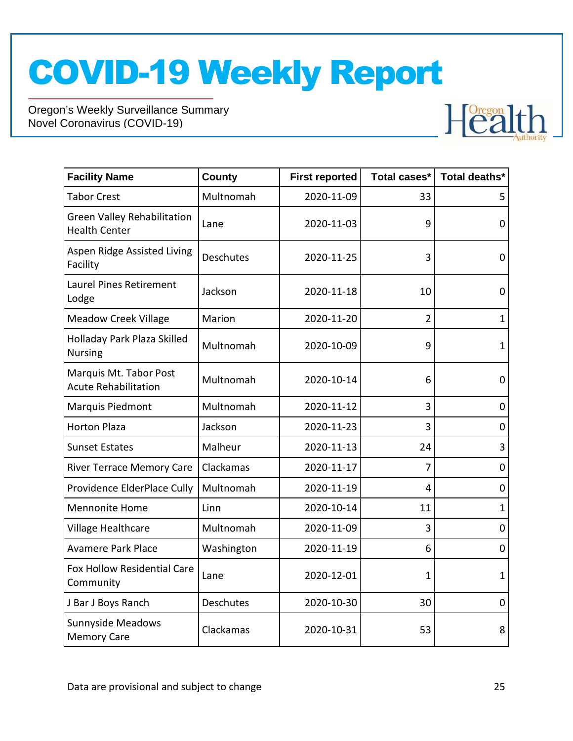

| <b>Facility Name</b>                                       | County           | <b>First reported</b> | Total cases* | Total deaths*       |
|------------------------------------------------------------|------------------|-----------------------|--------------|---------------------|
| <b>Tabor Crest</b>                                         | Multnomah        | 2020-11-09            | 33           | 5                   |
| <b>Green Valley Rehabilitation</b><br><b>Health Center</b> | Lane             | 2020-11-03            | 9            | 0                   |
| Aspen Ridge Assisted Living<br>Facility                    | <b>Deschutes</b> | 2020-11-25            | 3            | 0                   |
| <b>Laurel Pines Retirement</b><br>Lodge                    | Jackson          | 2020-11-18            | 10           | 0                   |
| <b>Meadow Creek Village</b>                                | Marion           | 2020-11-20            | 2            | $\mathbf{1}$        |
| Holladay Park Plaza Skilled<br><b>Nursing</b>              | Multnomah        | 2020-10-09            | 9            | $\mathbf{1}$        |
| Marquis Mt. Tabor Post<br><b>Acute Rehabilitation</b>      | Multnomah        | 2020-10-14            | 6            | 0                   |
| Marquis Piedmont                                           | Multnomah        | 2020-11-12            | 3            | 0                   |
| <b>Horton Plaza</b>                                        | Jackson          | 2020-11-23            | 3            | 0                   |
| <b>Sunset Estates</b>                                      | Malheur          | 2020-11-13            | 24           | 3                   |
| <b>River Terrace Memory Care</b>                           | Clackamas        | 2020-11-17            | 7            | 0                   |
| Providence ElderPlace Cully                                | Multnomah        | 2020-11-19            | 4            | $\mathsf{O}\xspace$ |
| <b>Mennonite Home</b>                                      | Linn             | 2020-10-14            | 11           | $\mathbf{1}$        |
| Village Healthcare                                         | Multnomah        | 2020-11-09            | 3            | 0                   |
| <b>Avamere Park Place</b>                                  | Washington       | 2020-11-19            | 6            | 0                   |
| Fox Hollow Residential Care<br>Community                   | Lane             | 2020-12-01            | 1            | $\mathbf{1}$        |
| J Bar J Boys Ranch                                         | <b>Deschutes</b> | 2020-10-30            | 30           | $\mathbf 0$         |
| Sunnyside Meadows<br><b>Memory Care</b>                    | Clackamas        | 2020-10-31            | 53           | 8                   |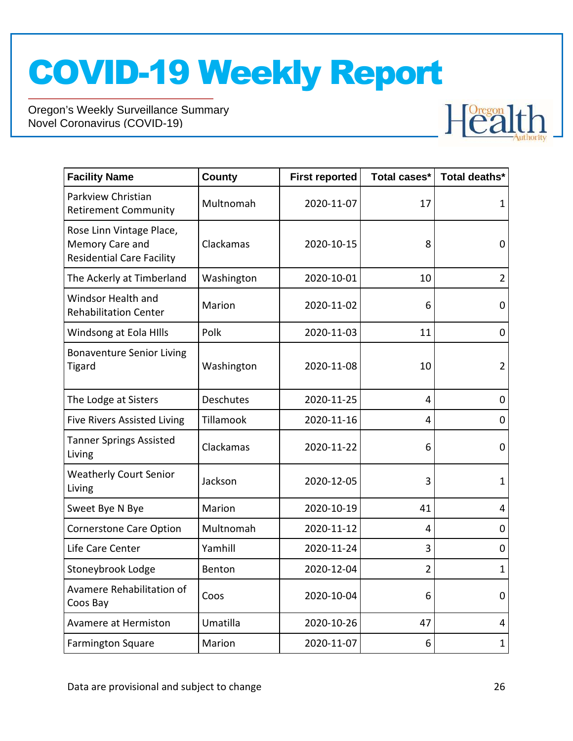

| <b>Facility Name</b>                                                            | County     | <b>First reported</b> | Total cases*   | Total deaths*  |
|---------------------------------------------------------------------------------|------------|-----------------------|----------------|----------------|
| Parkview Christian<br><b>Retirement Community</b>                               | Multnomah  | 2020-11-07            | 17             | $\mathbf{1}$   |
| Rose Linn Vintage Place,<br>Memory Care and<br><b>Residential Care Facility</b> | Clackamas  | 2020-10-15            | 8              | $\mathbf 0$    |
| The Ackerly at Timberland                                                       | Washington | 2020-10-01            | 10             | $\overline{2}$ |
| Windsor Health and<br><b>Rehabilitation Center</b>                              | Marion     | 2020-11-02            | 6              | 0              |
| Windsong at Eola HIlls                                                          | Polk       | 2020-11-03            | 11             | 0              |
| <b>Bonaventure Senior Living</b><br><b>Tigard</b>                               | Washington | 2020-11-08            | 10             | $\overline{2}$ |
| The Lodge at Sisters                                                            | Deschutes  | 2020-11-25            | 4              | $\mathbf 0$    |
| <b>Five Rivers Assisted Living</b>                                              | Tillamook  | 2020-11-16            | 4              | $\mathbf 0$    |
| <b>Tanner Springs Assisted</b><br>Living                                        | Clackamas  | 2020-11-22            | 6              | 0              |
| <b>Weatherly Court Senior</b><br>Living                                         | Jackson    | 2020-12-05            | 3              | $\mathbf 1$    |
| Sweet Bye N Bye                                                                 | Marion     | 2020-10-19            | 41             | 4              |
| <b>Cornerstone Care Option</b>                                                  | Multnomah  | 2020-11-12            | 4              | 0              |
| Life Care Center                                                                | Yamhill    | 2020-11-24            | 3              | 0              |
| Stoneybrook Lodge                                                               | Benton     | 2020-12-04            | $\overline{2}$ | $\mathbf{1}$   |
| Avamere Rehabilitation of<br>Coos Bay                                           | Coos       | 2020-10-04            | 6              | $\mathbf 0$    |
| Avamere at Hermiston                                                            | Umatilla   | 2020-10-26            | 47             | 4              |
| <b>Farmington Square</b>                                                        | Marion     | 2020-11-07            | 6              | $\mathbf{1}$   |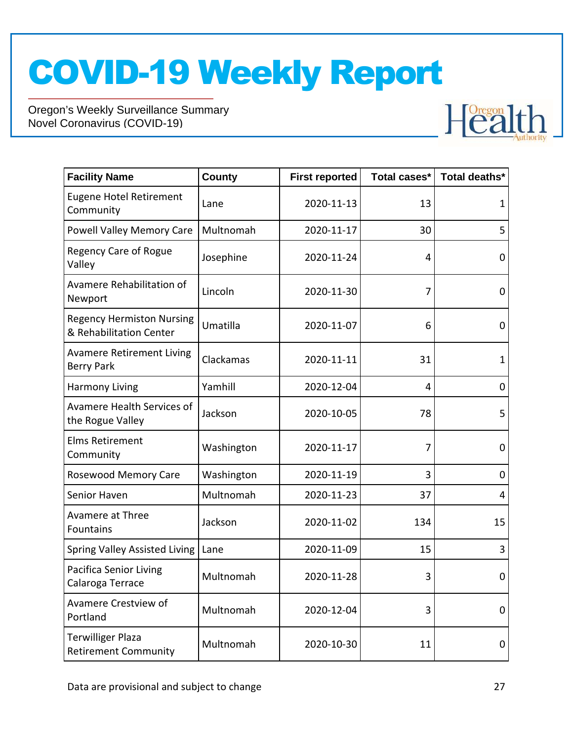

| <b>Facility Name</b>                                        | <b>County</b> | <b>First reported</b> | Total cases* | Total deaths* |
|-------------------------------------------------------------|---------------|-----------------------|--------------|---------------|
| <b>Eugene Hotel Retirement</b><br>Community                 | Lane          | 2020-11-13            | 13           | 1             |
| <b>Powell Valley Memory Care</b>                            | Multnomah     | 2020-11-17            | 30           | 5             |
| Regency Care of Rogue<br>Valley                             | Josephine     | 2020-11-24            | 4            | $\mathbf 0$   |
| Avamere Rehabilitation of<br>Newport                        | Lincoln       | 2020-11-30            | 7            | $\mathbf 0$   |
| <b>Regency Hermiston Nursing</b><br>& Rehabilitation Center | Umatilla      | 2020-11-07            | 6            | $\mathbf 0$   |
| <b>Avamere Retirement Living</b><br><b>Berry Park</b>       | Clackamas     | 2020-11-11            | 31           | $\mathbf 1$   |
| <b>Harmony Living</b>                                       | Yamhill       | 2020-12-04            | 4            | 0             |
| Avamere Health Services of<br>the Rogue Valley              | Jackson       | 2020-10-05            | 78           | 5             |
| <b>Elms Retirement</b><br>Community                         | Washington    | 2020-11-17            | 7            | 0             |
| Rosewood Memory Care                                        | Washington    | 2020-11-19            | 3            | 0             |
| Senior Haven                                                | Multnomah     | 2020-11-23            | 37           | 4             |
| <b>Avamere at Three</b><br>Fountains                        | Jackson       | 2020-11-02            | 134          | 15            |
| <b>Spring Valley Assisted Living</b>                        | Lane          | 2020-11-09            | 15           | 3             |
| <b>Pacifica Senior Living</b><br>Calaroga Terrace           | Multnomah     | 2020-11-28            | 3            | 0             |
| Avamere Crestview of<br>Portland                            | Multnomah     | 2020-12-04            | 3            | 0             |
| <b>Terwilliger Plaza</b><br><b>Retirement Community</b>     | Multnomah     | 2020-10-30            | 11           | 0             |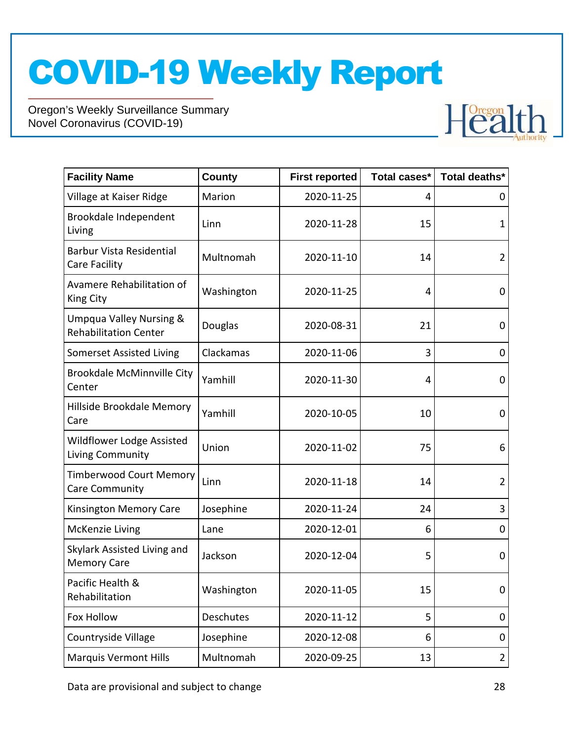

| <b>Facility Name</b>                                               | <b>County</b> | <b>First reported</b> | Total cases* | Total deaths*  |
|--------------------------------------------------------------------|---------------|-----------------------|--------------|----------------|
| Village at Kaiser Ridge                                            | Marion        | 2020-11-25            | 4            | 0              |
| Brookdale Independent<br>Living                                    | Linn          | 2020-11-28            | 15           | $\mathbf 1$    |
| <b>Barbur Vista Residential</b><br>Care Facility                   | Multnomah     | 2020-11-10            | 14           | $\overline{2}$ |
| Avamere Rehabilitation of<br>King City                             | Washington    | 2020-11-25            | 4            | 0              |
| <b>Umpqua Valley Nursing &amp;</b><br><b>Rehabilitation Center</b> | Douglas       | 2020-08-31            | 21           | 0              |
| <b>Somerset Assisted Living</b>                                    | Clackamas     | 2020-11-06            | 3            | 0              |
| <b>Brookdale McMinnville City</b><br>Center                        | Yamhill       | 2020-11-30            | 4            | 0              |
| Hillside Brookdale Memory<br>Care                                  | Yamhill       | 2020-10-05            | 10           | 0              |
| <b>Wildflower Lodge Assisted</b><br>Living Community               | Union         | 2020-11-02            | 75           | 6              |
| <b>Timberwood Court Memory</b><br>Care Community                   | Linn          | 2020-11-18            | 14           | $\overline{2}$ |
| Kinsington Memory Care                                             | Josephine     | 2020-11-24            | 24           | 3              |
| McKenzie Living                                                    | Lane          | 2020-12-01            | 6            | 0              |
| Skylark Assisted Living and<br><b>Memory Care</b>                  | Jackson       | 2020-12-04            | 5            | 0              |
| Pacific Health &<br>Rehabilitation                                 | Washington    | 2020-11-05            | 15           | 0              |
| Fox Hollow                                                         | Deschutes     | 2020-11-12            | 5            | 0              |
| Countryside Village                                                | Josephine     | 2020-12-08            | 6            | 0              |
| <b>Marquis Vermont Hills</b>                                       | Multnomah     | 2020-09-25            | 13           | $\overline{2}$ |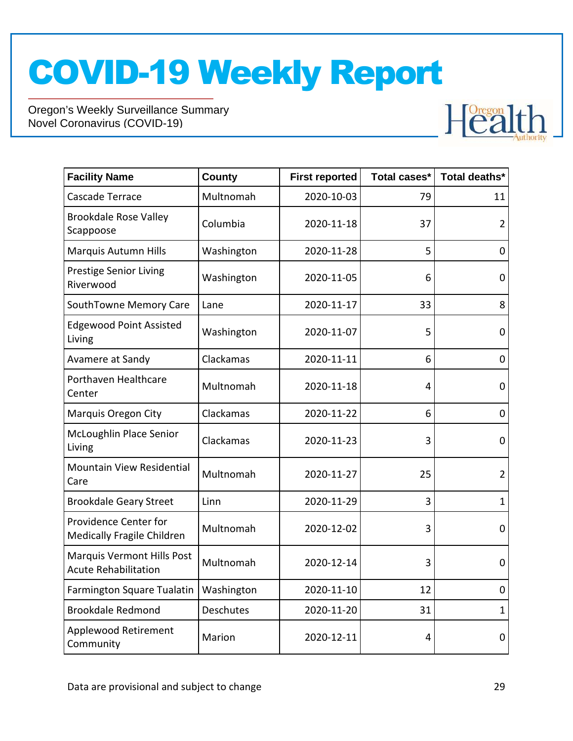

| <b>Facility Name</b>                                      | <b>County</b> | <b>First reported</b> | Total cases* | Total deaths*  |
|-----------------------------------------------------------|---------------|-----------------------|--------------|----------------|
| Cascade Terrace                                           | Multnomah     | 2020-10-03            | 79           | 11             |
| <b>Brookdale Rose Valley</b><br>Scappoose                 | Columbia      | 2020-11-18            | 37           | $\overline{2}$ |
| Marquis Autumn Hills                                      | Washington    | 2020-11-28            | 5            | 0              |
| <b>Prestige Senior Living</b><br>Riverwood                | Washington    | 2020-11-05            | 6            | 0              |
| SouthTowne Memory Care                                    | Lane          | 2020-11-17            | 33           | 8              |
| <b>Edgewood Point Assisted</b><br>Living                  | Washington    | 2020-11-07            | 5            | 0              |
| Avamere at Sandy                                          | Clackamas     | 2020-11-11            | 6            | 0              |
| Porthaven Healthcare<br>Center                            | Multnomah     | 2020-11-18            | 4            | 0              |
| <b>Marquis Oregon City</b>                                | Clackamas     | 2020-11-22            | 6            | 0              |
| McLoughlin Place Senior<br>Living                         | Clackamas     | 2020-11-23            | 3            | 0              |
| Mountain View Residential<br>Care                         | Multnomah     | 2020-11-27            | 25           | $\overline{2}$ |
| <b>Brookdale Geary Street</b>                             | Linn          | 2020-11-29            | 3            | $\mathbf{1}$   |
| Providence Center for<br>Medically Fragile Children       | Multnomah     | 2020-12-02            | 3            | 0              |
| Marquis Vermont Hills Post<br><b>Acute Rehabilitation</b> | Multnomah     | 2020-12-14            | 3            | 0              |
| <b>Farmington Square Tualatin</b>                         | Washington    | 2020-11-10            | 12           | 0              |
| <b>Brookdale Redmond</b>                                  | Deschutes     | 2020-11-20            | 31           | $\mathbf{1}$   |
| Applewood Retirement<br>Community                         | Marion        | 2020-12-11            | 4            | 0              |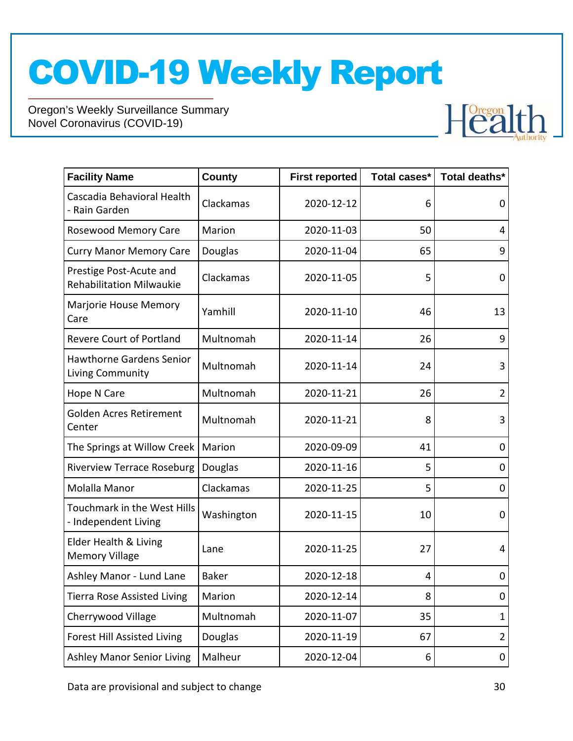Oregon's Weekly Surveillance Summary Novel Coronavirus (COVID-19)



| <b>Facility Name</b>                                       | <b>County</b> | <b>First reported</b> | Total cases* | Total deaths*  |
|------------------------------------------------------------|---------------|-----------------------|--------------|----------------|
| Cascadia Behavioral Health<br>- Rain Garden                | Clackamas     | 2020-12-12            | 6            | 0              |
| Rosewood Memory Care                                       | Marion        | 2020-11-03            | 50           | 4              |
| <b>Curry Manor Memory Care</b>                             | Douglas       | 2020-11-04            | 65           | 9              |
| Prestige Post-Acute and<br><b>Rehabilitation Milwaukie</b> | Clackamas     | 2020-11-05            | 5            | 0              |
| Marjorie House Memory<br>Care                              | Yamhill       | 2020-11-10            | 46           | 13             |
| <b>Revere Court of Portland</b>                            | Multnomah     | 2020-11-14            | 26           | 9              |
| <b>Hawthorne Gardens Senior</b><br>Living Community        | Multnomah     | 2020-11-14            | 24           | 3              |
| Hope N Care                                                | Multnomah     | 2020-11-21            | 26           | $\overline{2}$ |
| Golden Acres Retirement<br>Center                          | Multnomah     | 2020-11-21            | 8            | 3              |
| The Springs at Willow Creek                                | Marion        | 2020-09-09            | 41           | 0              |
| <b>Riverview Terrace Roseburg</b>                          | Douglas       | 2020-11-16            | 5            | 0              |
| Molalla Manor                                              | Clackamas     | 2020-11-25            | 5            | 0              |
| Touchmark in the West Hills<br>- Independent Living        | Washington    | 2020-11-15            | 10           | 0              |
| Elder Health & Living<br><b>Memory Village</b>             | Lane          | 2020-11-25            | 27           | 4              |
| Ashley Manor - Lund Lane                                   | <b>Baker</b>  | 2020-12-18            | 4            | 0              |
| <b>Tierra Rose Assisted Living</b>                         | Marion        | 2020-12-14            | 8            | 0              |
| Cherrywood Village                                         | Multnomah     | 2020-11-07            | 35           | $\mathbf{1}$   |
| <b>Forest Hill Assisted Living</b>                         | Douglas       | 2020-11-19            | 67           | $\overline{2}$ |
| <b>Ashley Manor Senior Living</b>                          | Malheur       | 2020-12-04            | 6            | 0              |

Data are provisional and subject to change 30 and 30 and 30 and 30 and 30 and 30 and 30 and 30 and 30 and 30 and 30 and 30 and 30 and 30 and 30 and 30 and 30 and 30 and 30 and 30 and 30 and 30 and 30 and 30 and 30 and 30 a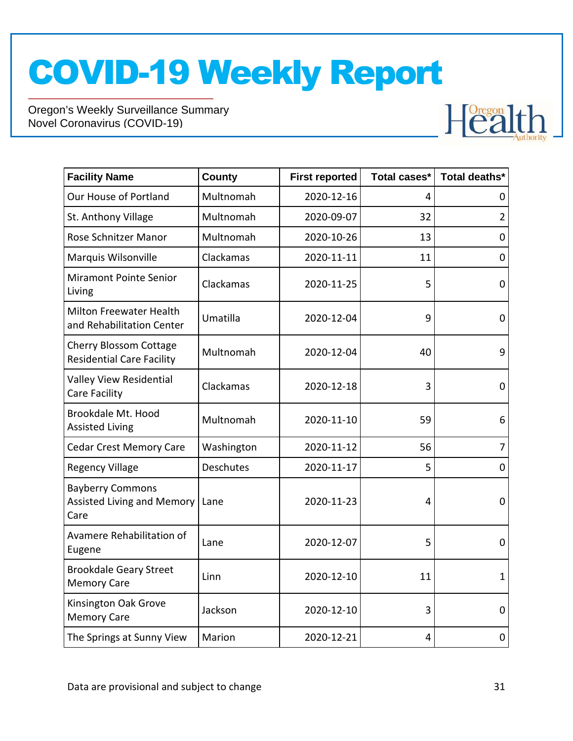

| <b>Facility Name</b>                                                 | <b>County</b> | <b>First reported</b> | Total cases* | Total deaths*  |
|----------------------------------------------------------------------|---------------|-----------------------|--------------|----------------|
| Our House of Portland                                                | Multnomah     | 2020-12-16            | 4            | 0              |
| St. Anthony Village                                                  | Multnomah     | 2020-09-07            | 32           | $\overline{2}$ |
| Rose Schnitzer Manor                                                 | Multnomah     | 2020-10-26            | 13           | 0              |
| Marquis Wilsonville                                                  | Clackamas     | 2020-11-11            | 11           | 0              |
| <b>Miramont Pointe Senior</b><br>Living                              | Clackamas     | 2020-11-25            | 5            | 0              |
| <b>Milton Freewater Health</b><br>and Rehabilitation Center          | Umatilla      | 2020-12-04            | 9            | $\mathbf 0$    |
| Cherry Blossom Cottage<br><b>Residential Care Facility</b>           | Multnomah     | 2020-12-04            | 40           | 9              |
| Valley View Residential<br>Care Facility                             | Clackamas     | 2020-12-18            | 3            | 0              |
| Brookdale Mt. Hood<br><b>Assisted Living</b>                         | Multnomah     | 2020-11-10            | 59           | 6              |
| <b>Cedar Crest Memory Care</b>                                       | Washington    | 2020-11-12            | 56           | $\overline{7}$ |
| <b>Regency Village</b>                                               | Deschutes     | 2020-11-17            | 5            | 0              |
| <b>Bayberry Commons</b><br><b>Assisted Living and Memory</b><br>Care | Lane          | 2020-11-23            | 4            | 0              |
| Avamere Rehabilitation of<br>Eugene                                  | Lane          | 2020-12-07            | 5            | $\mathbf 0$    |
| <b>Brookdale Geary Street</b><br><b>Memory Care</b>                  | Linn          | 2020-12-10            | 11           | $\mathbf{1}$   |
| Kinsington Oak Grove<br><b>Memory Care</b>                           | Jackson       | 2020-12-10            | 3            | 0              |
| The Springs at Sunny View                                            | Marion        | 2020-12-21            | 4            | 0              |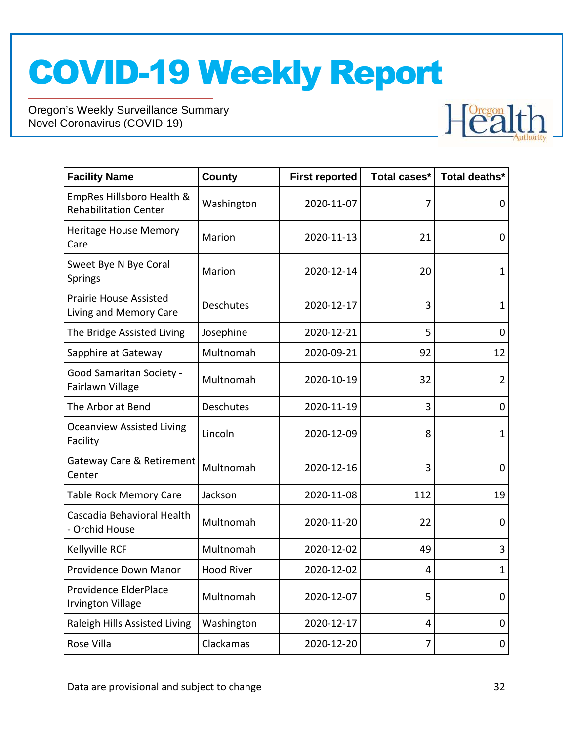

| <b>Facility Name</b>                                      | <b>County</b>     | <b>First reported</b> | Total cases* | Total deaths*  |
|-----------------------------------------------------------|-------------------|-----------------------|--------------|----------------|
| EmpRes Hillsboro Health &<br><b>Rehabilitation Center</b> | Washington        | 2020-11-07            | 7            | 0              |
| <b>Heritage House Memory</b><br>Care                      | Marion            | 2020-11-13            | 21           | 0              |
| Sweet Bye N Bye Coral<br><b>Springs</b>                   | Marion            | 2020-12-14            | 20           | $\mathbf{1}$   |
| <b>Prairie House Assisted</b><br>Living and Memory Care   | <b>Deschutes</b>  | 2020-12-17            | 3            | $\mathbf 1$    |
| The Bridge Assisted Living                                | Josephine         | 2020-12-21            | 5            | 0              |
| Sapphire at Gateway                                       | Multnomah         | 2020-09-21            | 92           | 12             |
| <b>Good Samaritan Society -</b><br>Fairlawn Village       | Multnomah         | 2020-10-19            | 32           | $\overline{2}$ |
| The Arbor at Bend                                         | Deschutes         | 2020-11-19            | 3            | $\mathbf 0$    |
| <b>Oceanview Assisted Living</b><br>Facility              | Lincoln           | 2020-12-09            | 8            | 1              |
| Gateway Care & Retirement<br>Center                       | Multnomah         | 2020-12-16            | 3            | 0              |
| <b>Table Rock Memory Care</b>                             | Jackson           | 2020-11-08            | 112          | 19             |
| Cascadia Behavioral Health<br>- Orchid House              | Multnomah         | 2020-11-20            | 22           | $\mathbf 0$    |
| Kellyville RCF                                            | Multnomah         | 2020-12-02            | 49           | 3              |
| Providence Down Manor                                     | <b>Hood River</b> | 2020-12-02            | 4            | $\mathbf{1}$   |
| Providence ElderPlace<br><b>Irvington Village</b>         | Multnomah         | 2020-12-07            | 5            | $\mathbf 0$    |
| Raleigh Hills Assisted Living                             | Washington        | 2020-12-17            | 4            | 0              |
| Rose Villa                                                | Clackamas         | 2020-12-20            | 7            | $\mathbf 0$    |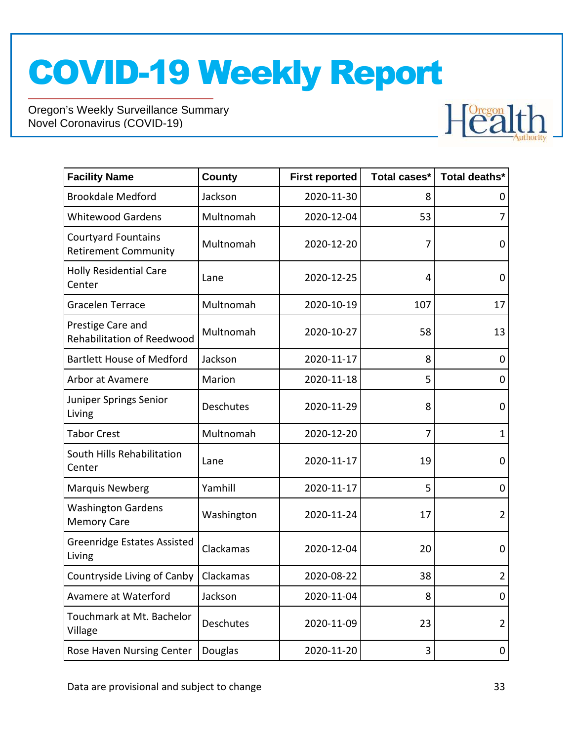

| <b>Facility Name</b>                                      | <b>County</b> | <b>First reported</b> | Total cases* | Total deaths*  |
|-----------------------------------------------------------|---------------|-----------------------|--------------|----------------|
| <b>Brookdale Medford</b>                                  | Jackson       | 2020-11-30            | 8            | 0              |
| <b>Whitewood Gardens</b>                                  | Multnomah     | 2020-12-04            | 53           | 7              |
| <b>Courtyard Fountains</b><br><b>Retirement Community</b> | Multnomah     | 2020-12-20            | 7            | 0              |
| <b>Holly Residential Care</b><br>Center                   | Lane          | 2020-12-25            | 4            | 0              |
| Gracelen Terrace                                          | Multnomah     | 2020-10-19            | 107          | 17             |
| Prestige Care and<br>Rehabilitation of Reedwood           | Multnomah     | 2020-10-27            | 58           | 13             |
| <b>Bartlett House of Medford</b>                          | Jackson       | 2020-11-17            | 8            | 0              |
| Arbor at Avamere                                          | Marion        | 2020-11-18            | 5            | 0              |
| Juniper Springs Senior<br>Living                          | Deschutes     | 2020-11-29            | 8            | 0              |
| <b>Tabor Crest</b>                                        | Multnomah     | 2020-12-20            | 7            | 1              |
| South Hills Rehabilitation<br>Center                      | Lane          | 2020-11-17            | 19           | 0              |
| <b>Marquis Newberg</b>                                    | Yamhill       | 2020-11-17            | 5            | 0              |
| <b>Washington Gardens</b><br><b>Memory Care</b>           | Washington    | 2020-11-24            | 17           | $\overline{2}$ |
| <b>Greenridge Estates Assisted</b><br>Living              | Clackamas     | 2020-12-04            | 20           | 0              |
| Countryside Living of Canby                               | Clackamas     | 2020-08-22            | 38           | $\overline{2}$ |
| Avamere at Waterford                                      | Jackson       | 2020-11-04            | 8            | 0              |
| Touchmark at Mt. Bachelor<br>Village                      | Deschutes     | 2020-11-09            | 23           | $\overline{2}$ |
| Rose Haven Nursing Center                                 | Douglas       | 2020-11-20            | 3            | 0              |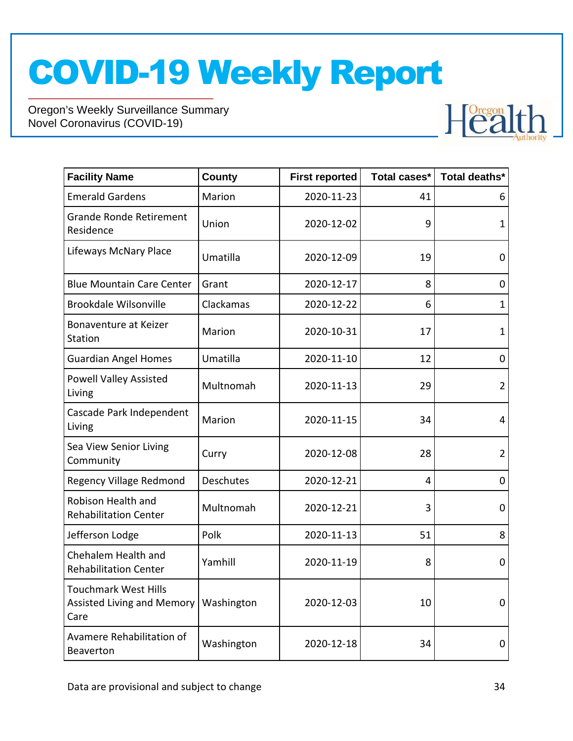

| <b>Facility Name</b>                                              | <b>County</b> | <b>First reported</b> | Total cases* | Total deaths*  |
|-------------------------------------------------------------------|---------------|-----------------------|--------------|----------------|
| <b>Emerald Gardens</b>                                            | Marion        | 2020-11-23            | 41           | 6              |
| <b>Grande Ronde Retirement</b><br>Residence                       | Union         | 2020-12-02            | 9            | 1              |
| Lifeways McNary Place                                             | Umatilla      | 2020-12-09            | 19           | $\mathbf 0$    |
| <b>Blue Mountain Care Center</b>                                  | Grant         | 2020-12-17            | 8            | 0              |
| <b>Brookdale Wilsonville</b>                                      | Clackamas     | 2020-12-22            | 6            | 1              |
| Bonaventure at Keizer<br>Station                                  | Marion        | 2020-10-31            | 17           | $\mathbf 1$    |
| <b>Guardian Angel Homes</b>                                       | Umatilla      | 2020-11-10            | 12           | 0              |
| <b>Powell Valley Assisted</b><br>Living                           | Multnomah     | 2020-11-13            | 29           | $\overline{2}$ |
| Cascade Park Independent<br>Living                                | Marion        | 2020-11-15            | 34           | $\overline{4}$ |
| Sea View Senior Living<br>Community                               | Curry         | 2020-12-08            | 28           | $\overline{2}$ |
| <b>Regency Village Redmond</b>                                    | Deschutes     | 2020-12-21            | 4            | 0              |
| Robison Health and<br><b>Rehabilitation Center</b>                | Multnomah     | 2020-12-21            | 3            | 0              |
| Jefferson Lodge                                                   | Polk          | 2020-11-13            | 51           | 8              |
| Chehalem Health and<br><b>Rehabilitation Center</b>               | Yamhill       | 2020-11-19            | 8            | $\mathbf 0$    |
| <b>Touchmark West Hills</b><br>Assisted Living and Memory<br>Care | Washington    | 2020-12-03            | 10           | 0              |
| Avamere Rehabilitation of<br>Beaverton                            | Washington    | 2020-12-18            | 34           | 0              |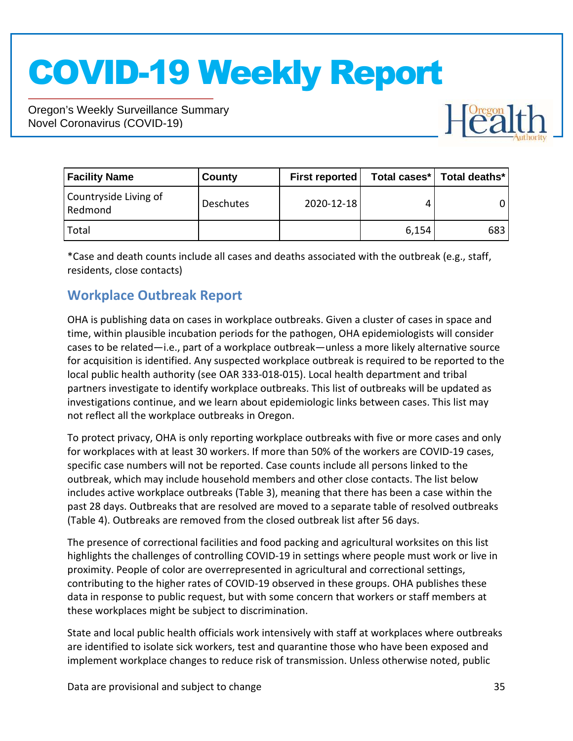Oregon's Weekly Surveillance Summary Novel Coronavirus (COVID-19)



| <b>Facility Name</b>             | County           | <b>First reported</b> |       | Total cases*   Total deaths* |
|----------------------------------|------------------|-----------------------|-------|------------------------------|
| Countryside Living of<br>Redmond | <b>Deschutes</b> | 2020-12-18            |       |                              |
| Total                            |                  |                       | 6,154 | 683                          |

\*Case and death counts include all cases and deaths associated with the outbreak (e.g., staff, residents, close contacts)

#### **Workplace Outbreak Report**

OHA is publishing data on cases in workplace outbreaks. Given a cluster of cases in space and time, within plausible incubation periods for the pathogen, OHA epidemiologists will consider cases to be related—i.e., part of a workplace outbreak—unless a more likely alternative source for acquisition is identified. Any suspected workplace outbreak is required to be reported to the local public health authority (see OAR 333-018-015). Local health department and tribal partners investigate to identify workplace outbreaks. This list of outbreaks will be updated as investigations continue, and we learn about epidemiologic links between cases. This list may not reflect all the workplace outbreaks in Oregon.

To protect privacy, OHA is only reporting workplace outbreaks with five or more cases and only for workplaces with at least 30 workers. If more than 50% of the workers are COVID-19 cases, specific case numbers will not be reported. Case counts include all persons linked to the outbreak, which may include household members and other close contacts. The list below includes active workplace outbreaks (Table 3), meaning that there has been a case within the past 28 days. Outbreaks that are resolved are moved to a separate table of resolved outbreaks (Table 4). Outbreaks are removed from the closed outbreak list after 56 days.

The presence of correctional facilities and food packing and agricultural worksites on this list highlights the challenges of controlling COVID-19 in settings where people must work or live in proximity. People of color are overrepresented in agricultural and correctional settings, contributing to the higher rates of COVID-19 observed in these groups. OHA publishes these data in response to public request, but with some concern that workers or staff members at these workplaces might be subject to discrimination.

State and local public health officials work intensively with staff at workplaces where outbreaks are identified to isolate sick workers, test and quarantine those who have been exposed and implement workplace changes to reduce risk of transmission. Unless otherwise noted, public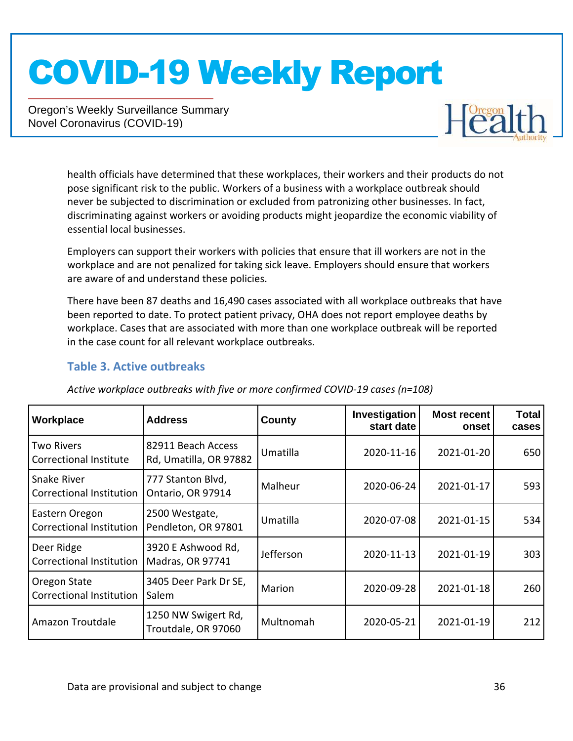Oregon's Weekly Surveillance Summary Novel Coronavirus (COVID-19)



health officials have determined that these workplaces, their workers and their products do not pose significant risk to the public. Workers of a business with a workplace outbreak should never be subjected to discrimination or excluded from patronizing other businesses. In fact, discriminating against workers or avoiding products might jeopardize the economic viability of essential local businesses.

Employers can support their workers with policies that ensure that ill workers are not in the workplace and are not penalized for taking sick leave. Employers should ensure that workers are aware of and understand these policies.

There have been 87 deaths and 16,490 cases associated with all workplace outbreaks that have been reported to date. To protect patient privacy, OHA does not report employee deaths by workplace. Cases that are associated with more than one workplace outbreak will be reported in the case count for all relevant workplace outbreaks.

#### **Table 3. Active outbreaks**

| Workplace                                          | <b>Address</b>                               | County        | Investigation<br>start date | <b>Most recent</b><br>onset | <b>Total</b><br>cases |
|----------------------------------------------------|----------------------------------------------|---------------|-----------------------------|-----------------------------|-----------------------|
| <b>Two Rivers</b><br><b>Correctional Institute</b> | 82911 Beach Access<br>Rd, Umatilla, OR 97882 | Umatilla      | 2020-11-16                  | 2021-01-20                  | 650                   |
| Snake River<br><b>Correctional Institution</b>     | 777 Stanton Blvd,<br>Ontario, OR 97914       | Malheur       | 2020-06-24                  | 2021-01-17                  | 593                   |
| Eastern Oregon<br><b>Correctional Institution</b>  | 2500 Westgate,<br>Pendleton, OR 97801        | Umatilla      | 2020-07-08                  | 2021-01-15                  | 534                   |
| Deer Ridge<br><b>Correctional Institution</b>      | 3920 E Ashwood Rd,<br>Madras, OR 97741       | Jefferson     | 2020-11-13                  | 2021-01-19                  | 303                   |
| Oregon State<br><b>Correctional Institution</b>    | 3405 Deer Park Dr SE,<br>Salem               | <b>Marion</b> | 2020-09-28                  | 2021-01-18                  | 260                   |
| Amazon Troutdale                                   | 1250 NW Swigert Rd,<br>Troutdale, OR 97060   | Multnomah     | 2020-05-21                  | 2021-01-19                  | 212                   |

*Active workplace outbreaks with five or more confirmed COVID-19 cases (n=108)*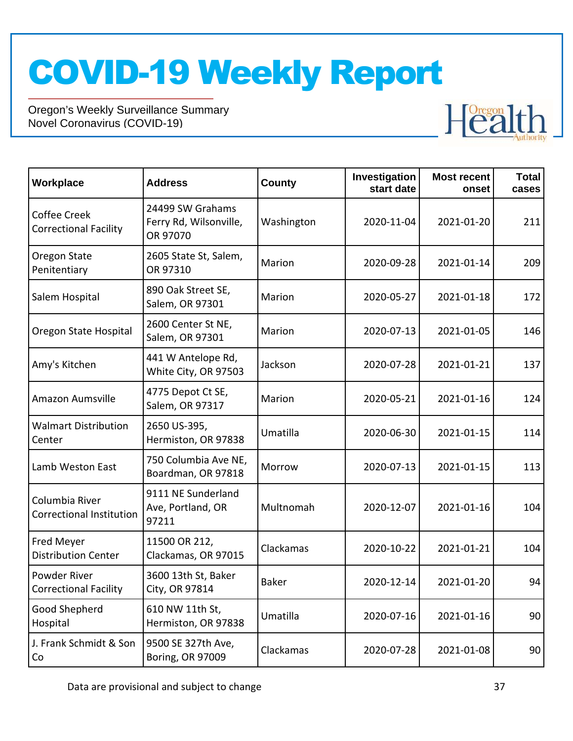

| Workplace                                         | <b>Address</b>                                         | County     | Investigation<br>start date | <b>Most recent</b><br>onset | <b>Total</b><br>cases |
|---------------------------------------------------|--------------------------------------------------------|------------|-----------------------------|-----------------------------|-----------------------|
| Coffee Creek<br><b>Correctional Facility</b>      | 24499 SW Grahams<br>Ferry Rd, Wilsonville,<br>OR 97070 | Washington | 2020-11-04                  | 2021-01-20                  | 211                   |
| Oregon State<br>Penitentiary                      | 2605 State St, Salem,<br>OR 97310                      | Marion     | 2020-09-28                  | 2021-01-14                  | 209                   |
| Salem Hospital                                    | 890 Oak Street SE,<br>Salem, OR 97301                  | Marion     | 2020-05-27                  | 2021-01-18                  | 172                   |
| Oregon State Hospital                             | 2600 Center St NE,<br>Salem, OR 97301                  | Marion     | 2020-07-13                  | 2021-01-05                  | 146                   |
| Amy's Kitchen                                     | 441 W Antelope Rd,<br>White City, OR 97503             | Jackson    | 2020-07-28                  | 2021-01-21                  | 137                   |
| Amazon Aumsville                                  | 4775 Depot Ct SE,<br>Salem, OR 97317                   | Marion     | 2020-05-21                  | 2021-01-16                  | 124                   |
| <b>Walmart Distribution</b><br>Center             | 2650 US-395,<br>Hermiston, OR 97838                    | Umatilla   | 2020-06-30                  | 2021-01-15                  | 114                   |
| Lamb Weston East                                  | 750 Columbia Ave NE,<br>Boardman, OR 97818             | Morrow     | 2020-07-13                  | 2021-01-15                  | 113                   |
| Columbia River<br><b>Correctional Institution</b> | 9111 NE Sunderland<br>Ave, Portland, OR<br>97211       | Multnomah  | 2020-12-07                  | 2021-01-16                  | 104                   |
| Fred Meyer<br><b>Distribution Center</b>          | 11500 OR 212,<br>Clackamas, OR 97015                   | Clackamas  | 2020-10-22                  | 2021-01-21                  | 104                   |
| Powder River<br><b>Correctional Facility</b>      | 3600 13th St, Baker<br>City, OR 97814                  | Baker      | 2020-12-14                  | 2021-01-20                  | 94                    |
| Good Shepherd<br>Hospital                         | 610 NW 11th St,<br>Hermiston, OR 97838                 | Umatilla   | 2020-07-16                  | 2021-01-16                  | 90                    |
| J. Frank Schmidt & Son<br>Co                      | 9500 SE 327th Ave,<br>Boring, OR 97009                 | Clackamas  | 2020-07-28                  | 2021-01-08                  | 90                    |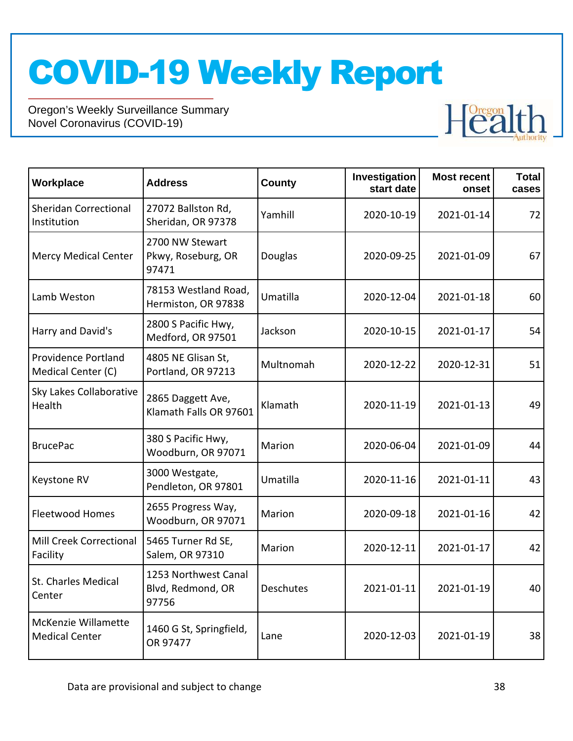

| Workplace                                    | <b>Address</b>                                     | <b>County</b> | Investigation<br>start date | <b>Most recent</b><br>onset | <b>Total</b><br>cases |
|----------------------------------------------|----------------------------------------------------|---------------|-----------------------------|-----------------------------|-----------------------|
| <b>Sheridan Correctional</b><br>Institution  | 27072 Ballston Rd,<br>Sheridan, OR 97378           | Yamhill       | 2020-10-19                  | 2021-01-14                  | 72                    |
| <b>Mercy Medical Center</b>                  | 2700 NW Stewart<br>Pkwy, Roseburg, OR<br>97471     | Douglas       | 2020-09-25                  | 2021-01-09                  | 67                    |
| Lamb Weston                                  | 78153 Westland Road,<br>Hermiston, OR 97838        | Umatilla      | 2020-12-04                  | 2021-01-18                  | 60                    |
| Harry and David's                            | 2800 S Pacific Hwy,<br>Medford, OR 97501           | Jackson       | 2020-10-15                  | 2021-01-17                  | 54                    |
| Providence Portland<br>Medical Center (C)    | 4805 NE Glisan St,<br>Portland, OR 97213           | Multnomah     | 2020-12-22                  | 2020-12-31                  | 51                    |
| Sky Lakes Collaborative<br>Health            | 2865 Daggett Ave,<br>Klamath Falls OR 97601        | Klamath       | 2020-11-19                  | 2021-01-13                  | 49                    |
| <b>BrucePac</b>                              | 380 S Pacific Hwy,<br>Woodburn, OR 97071           | Marion        | 2020-06-04                  | 2021-01-09                  | 44                    |
| Keystone RV                                  | 3000 Westgate,<br>Pendleton, OR 97801              | Umatilla      | 2020-11-16                  | 2021-01-11                  | 43                    |
| <b>Fleetwood Homes</b>                       | 2655 Progress Way,<br>Woodburn, OR 97071           | Marion        | 2020-09-18                  | 2021-01-16                  | 42                    |
| Mill Creek Correctional<br>Facility          | 5465 Turner Rd SE,<br>Salem, OR 97310              | Marion        | 2020-12-11                  | 2021-01-17                  | 42                    |
| St. Charles Medical<br>Center                | 1253 Northwest Canal<br>Blvd, Redmond, OR<br>97756 | Deschutes     | 2021-01-11                  | 2021-01-19                  | 40                    |
| McKenzie Willamette<br><b>Medical Center</b> | 1460 G St, Springfield,<br>OR 97477                | Lane          | 2020-12-03                  | 2021-01-19                  | 38                    |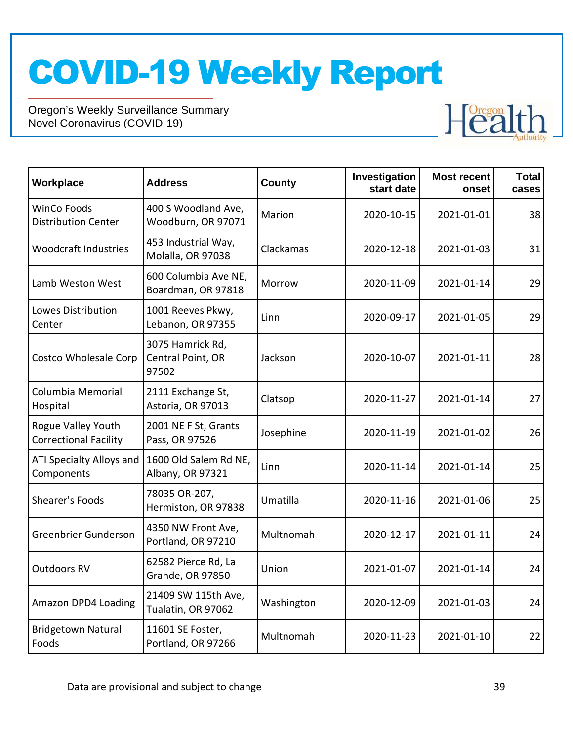

| Workplace                                          | <b>Address</b>                                 | County     | Investigation<br>start date | <b>Most recent</b><br>onset | <b>Total</b><br>cases |
|----------------------------------------------------|------------------------------------------------|------------|-----------------------------|-----------------------------|-----------------------|
| <b>WinCo Foods</b><br><b>Distribution Center</b>   | 400 S Woodland Ave,<br>Woodburn, OR 97071      | Marion     | 2020-10-15                  | 2021-01-01                  | 38                    |
| <b>Woodcraft Industries</b>                        | 453 Industrial Way,<br>Molalla, OR 97038       | Clackamas  | 2020-12-18                  | 2021-01-03                  | 31                    |
| Lamb Weston West                                   | 600 Columbia Ave NE,<br>Boardman, OR 97818     | Morrow     | 2020-11-09                  | 2021-01-14                  | 29                    |
| Lowes Distribution<br>Center                       | 1001 Reeves Pkwy,<br>Lebanon, OR 97355         | Linn       | 2020-09-17                  | 2021-01-05                  | 29                    |
| <b>Costco Wholesale Corp</b>                       | 3075 Hamrick Rd,<br>Central Point, OR<br>97502 | Jackson    | 2020-10-07                  | 2021-01-11                  | 28                    |
| Columbia Memorial<br>Hospital                      | 2111 Exchange St,<br>Astoria, OR 97013         | Clatsop    | 2020-11-27                  | 2021-01-14                  | 27                    |
| Rogue Valley Youth<br><b>Correctional Facility</b> | 2001 NE F St, Grants<br>Pass, OR 97526         | Josephine  | 2020-11-19                  | 2021-01-02                  | 26                    |
| ATI Specialty Alloys and<br>Components             | 1600 Old Salem Rd NE,<br>Albany, OR 97321      | Linn       | 2020-11-14                  | 2021-01-14                  | 25                    |
| Shearer's Foods                                    | 78035 OR-207,<br>Hermiston, OR 97838           | Umatilla   | 2020-11-16                  | 2021-01-06                  | 25                    |
| Greenbrier Gunderson                               | 4350 NW Front Ave,<br>Portland, OR 97210       | Multnomah  | 2020-12-17                  | 2021-01-11                  | 24                    |
| <b>Outdoors RV</b>                                 | 62582 Pierce Rd, La<br>Grande, OR 97850        | Union      | 2021-01-07                  | 2021-01-14                  | 24                    |
| Amazon DPD4 Loading                                | 21409 SW 115th Ave,<br>Tualatin, OR 97062      | Washington | 2020-12-09                  | 2021-01-03                  | 24                    |
| <b>Bridgetown Natural</b><br>Foods                 | 11601 SE Foster,<br>Portland, OR 97266         | Multnomah  | 2020-11-23                  | 2021-01-10                  | 22                    |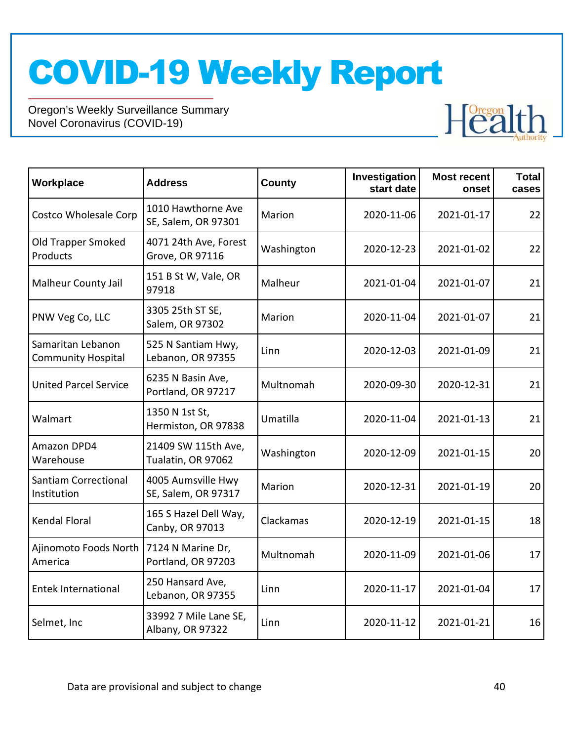

| Workplace                                      | <b>Address</b>                            | <b>County</b> | Investigation<br>start date | <b>Most recent</b><br>onset | <b>Total</b><br>cases |
|------------------------------------------------|-------------------------------------------|---------------|-----------------------------|-----------------------------|-----------------------|
| Costco Wholesale Corp                          | 1010 Hawthorne Ave<br>SE, Salem, OR 97301 | Marion        | 2020-11-06                  | 2021-01-17                  | 22                    |
| Old Trapper Smoked<br>Products                 | 4071 24th Ave, Forest<br>Grove, OR 97116  | Washington    | 2020-12-23                  | 2021-01-02                  | 22                    |
| <b>Malheur County Jail</b>                     | 151 B St W, Vale, OR<br>97918             | Malheur       | 2021-01-04                  | 2021-01-07                  | 21                    |
| PNW Veg Co, LLC                                | 3305 25th ST SE,<br>Salem, OR 97302       | Marion        | 2020-11-04                  | 2021-01-07                  | 21                    |
| Samaritan Lebanon<br><b>Community Hospital</b> | 525 N Santiam Hwy,<br>Lebanon, OR 97355   | Linn          | 2020-12-03                  | 2021-01-09                  | 21                    |
| <b>United Parcel Service</b>                   | 6235 N Basin Ave,<br>Portland, OR 97217   | Multnomah     | 2020-09-30                  | 2020-12-31                  | 21                    |
| Walmart                                        | 1350 N 1st St,<br>Hermiston, OR 97838     | Umatilla      | 2020-11-04                  | 2021-01-13                  | 21                    |
| Amazon DPD4<br>Warehouse                       | 21409 SW 115th Ave,<br>Tualatin, OR 97062 | Washington    | 2020-12-09                  | 2021-01-15                  | 20                    |
| <b>Santiam Correctional</b><br>Institution     | 4005 Aumsville Hwy<br>SE, Salem, OR 97317 | Marion        | 2020-12-31                  | 2021-01-19                  | 20                    |
| <b>Kendal Floral</b>                           | 165 S Hazel Dell Way,<br>Canby, OR 97013  | Clackamas     | 2020-12-19                  | 2021-01-15                  | 18                    |
| Ajinomoto Foods North<br>America               | 7124 N Marine Dr,<br>Portland, OR 97203   | Multnomah     | 2020-11-09                  | 2021-01-06                  | 17                    |
| <b>Entek International</b>                     | 250 Hansard Ave,<br>Lebanon, OR 97355     | Linn          | 2020-11-17                  | 2021-01-04                  | 17                    |
| Selmet, Inc                                    | 33992 7 Mile Lane SE,<br>Albany, OR 97322 | Linn          | 2020-11-12                  | 2021-01-21                  | 16                    |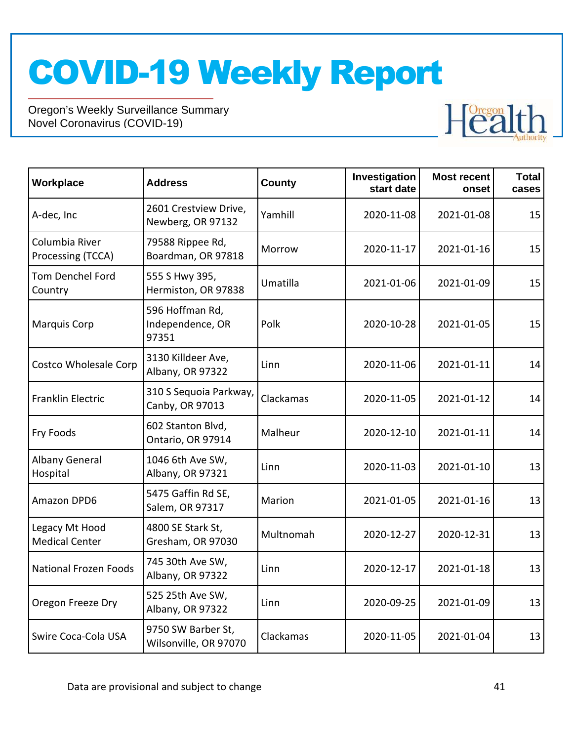

| Workplace                               | <b>Address</b>                               | <b>County</b> | Investigation<br>start date | <b>Most recent</b><br>onset | <b>Total</b><br>cases |
|-----------------------------------------|----------------------------------------------|---------------|-----------------------------|-----------------------------|-----------------------|
| A-dec, Inc                              | 2601 Crestview Drive,<br>Newberg, OR 97132   | Yamhill       | 2020-11-08                  | 2021-01-08                  | 15                    |
| Columbia River<br>Processing (TCCA)     | 79588 Rippee Rd,<br>Boardman, OR 97818       | Morrow        | 2020-11-17                  | 2021-01-16                  | 15                    |
| <b>Tom Denchel Ford</b><br>Country      | 555 S Hwy 395,<br>Hermiston, OR 97838        | Umatilla      | 2021-01-06                  | 2021-01-09                  | 15                    |
| <b>Marquis Corp</b>                     | 596 Hoffman Rd,<br>Independence, OR<br>97351 | Polk          | 2020-10-28                  | 2021-01-05                  | 15                    |
| <b>Costco Wholesale Corp</b>            | 3130 Killdeer Ave,<br>Albany, OR 97322       | Linn          | 2020-11-06                  | 2021-01-11                  | 14                    |
| <b>Franklin Electric</b>                | 310 S Sequoia Parkway,<br>Canby, OR 97013    | Clackamas     | 2020-11-05                  | 2021-01-12                  | 14                    |
| Fry Foods                               | 602 Stanton Blvd,<br>Ontario, OR 97914       | Malheur       | 2020-12-10                  | 2021-01-11                  | 14                    |
| <b>Albany General</b><br>Hospital       | 1046 6th Ave SW,<br>Albany, OR 97321         | Linn          | 2020-11-03                  | 2021-01-10                  | 13                    |
| Amazon DPD6                             | 5475 Gaffin Rd SE,<br>Salem, OR 97317        | Marion        | 2021-01-05                  | 2021-01-16                  | 13                    |
| Legacy Mt Hood<br><b>Medical Center</b> | 4800 SE Stark St,<br>Gresham, OR 97030       | Multnomah     | 2020-12-27                  | 2020-12-31                  | 13                    |
| <b>National Frozen Foods</b>            | 745 30th Ave SW,<br>Albany, OR 97322         | Linn          | 2020-12-17                  | 2021-01-18                  | 13                    |
| Oregon Freeze Dry                       | 525 25th Ave SW,<br>Albany, OR 97322         | Linn          | 2020-09-25                  | 2021-01-09                  | 13                    |
| Swire Coca-Cola USA                     | 9750 SW Barber St,<br>Wilsonville, OR 97070  | Clackamas     | 2020-11-05                  | 2021-01-04                  | 13                    |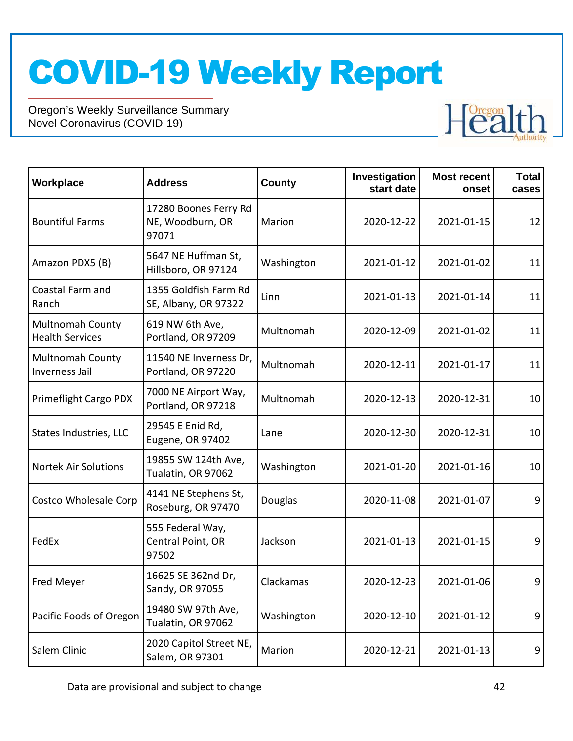

| Workplace                                         | <b>Address</b>                                     | County     | Investigation<br>start date | <b>Most recent</b><br>onset | <b>Total</b><br>cases |
|---------------------------------------------------|----------------------------------------------------|------------|-----------------------------|-----------------------------|-----------------------|
| <b>Bountiful Farms</b>                            | 17280 Boones Ferry Rd<br>NE, Woodburn, OR<br>97071 | Marion     | 2020-12-22                  | 2021-01-15                  | 12                    |
| Amazon PDX5 (B)                                   | 5647 NE Huffman St,<br>Hillsboro, OR 97124         | Washington | 2021-01-12                  | 2021-01-02                  | 11                    |
| Coastal Farm and<br>Ranch                         | 1355 Goldfish Farm Rd<br>SE, Albany, OR 97322      | Linn       | 2021-01-13                  | 2021-01-14                  | 11                    |
| <b>Multnomah County</b><br><b>Health Services</b> | 619 NW 6th Ave,<br>Portland, OR 97209              | Multnomah  | 2020-12-09                  | 2021-01-02                  | 11                    |
| <b>Multnomah County</b><br>Inverness Jail         | 11540 NE Inverness Dr,<br>Portland, OR 97220       | Multnomah  | 2020-12-11                  | 2021-01-17                  | 11                    |
| Primeflight Cargo PDX                             | 7000 NE Airport Way,<br>Portland, OR 97218         | Multnomah  | 2020-12-13                  | 2020-12-31                  | 10                    |
| <b>States Industries, LLC</b>                     | 29545 E Enid Rd,<br>Eugene, OR 97402               | Lane       | 2020-12-30                  | 2020-12-31                  | 10                    |
| <b>Nortek Air Solutions</b>                       | 19855 SW 124th Ave,<br>Tualatin, OR 97062          | Washington | 2021-01-20                  | 2021-01-16                  | 10                    |
| <b>Costco Wholesale Corp</b>                      | 4141 NE Stephens St,<br>Roseburg, OR 97470         | Douglas    | 2020-11-08                  | 2021-01-07                  | 9                     |
| FedEx                                             | 555 Federal Way,<br>Central Point, OR<br>97502     | Jackson    | 2021-01-13                  | 2021-01-15                  | 9                     |
| Fred Meyer                                        | 16625 SE 362nd Dr,<br>Sandy, OR 97055              | Clackamas  | 2020-12-23                  | 2021-01-06                  | 9                     |
| Pacific Foods of Oregon                           | 19480 SW 97th Ave,<br>Tualatin, OR 97062           | Washington | 2020-12-10                  | 2021-01-12                  | 9                     |
| Salem Clinic                                      | 2020 Capitol Street NE,<br>Salem, OR 97301         | Marion     | 2020-12-21                  | 2021-01-13                  | 9                     |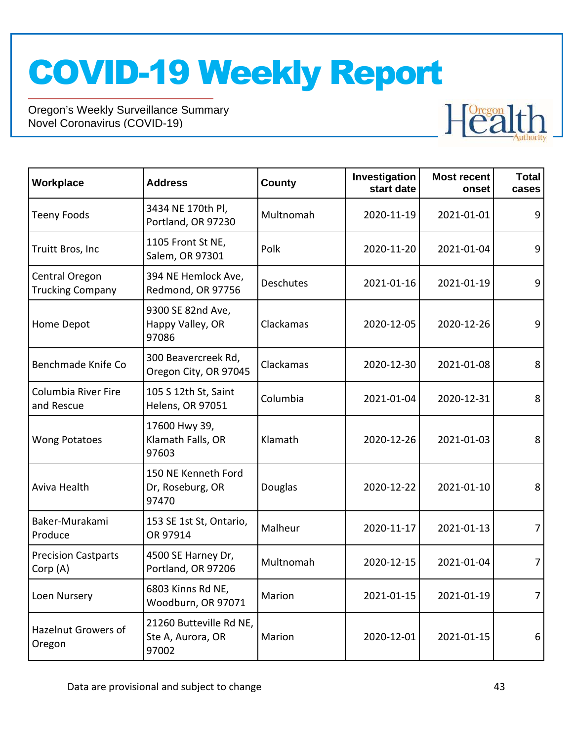

| Workplace                                 | <b>Address</b>                                        | County    | Investigation<br>start date | <b>Most recent</b><br>onset | <b>Total</b><br>cases |
|-------------------------------------------|-------------------------------------------------------|-----------|-----------------------------|-----------------------------|-----------------------|
| <b>Teeny Foods</b>                        | 3434 NE 170th Pl,<br>Portland, OR 97230               | Multnomah | 2020-11-19                  | 2021-01-01                  | 9                     |
| Truitt Bros, Inc                          | 1105 Front St NE,<br>Salem, OR 97301                  | Polk      | 2020-11-20                  | 2021-01-04                  | 9                     |
| Central Oregon<br><b>Trucking Company</b> | 394 NE Hemlock Ave,<br>Redmond, OR 97756              | Deschutes | 2021-01-16                  | 2021-01-19                  | 9                     |
| Home Depot                                | 9300 SE 82nd Ave,<br>Happy Valley, OR<br>97086        | Clackamas | 2020-12-05                  | 2020-12-26                  | 9                     |
| Benchmade Knife Co                        | 300 Beavercreek Rd,<br>Oregon City, OR 97045          | Clackamas | 2020-12-30                  | 2021-01-08                  | 8                     |
| Columbia River Fire<br>and Rescue         | 105 S 12th St, Saint<br>Helens, OR 97051              | Columbia  | 2021-01-04                  | 2020-12-31                  | 8                     |
| <b>Wong Potatoes</b>                      | 17600 Hwy 39,<br>Klamath Falls, OR<br>97603           | Klamath   | 2020-12-26                  | 2021-01-03                  | 8                     |
| Aviva Health                              | 150 NE Kenneth Ford<br>Dr, Roseburg, OR<br>97470      | Douglas   | 2020-12-22                  | 2021-01-10                  | 8                     |
| Baker-Murakami<br>Produce                 | 153 SE 1st St, Ontario,<br>OR 97914                   | Malheur   | 2020-11-17                  | 2021-01-13                  | 7                     |
| <b>Precision Castparts</b><br>Corp (A)    | 4500 SE Harney Dr,<br>Portland, OR 97206              | Multnomah | 2020-12-15                  | 2021-01-04                  | 7                     |
| Loen Nursery                              | 6803 Kinns Rd NE,<br>Woodburn, OR 97071               | Marion    | 2021-01-15                  | 2021-01-19                  | $\overline{7}$        |
| Hazelnut Growers of<br>Oregon             | 21260 Butteville Rd NE,<br>Ste A, Aurora, OR<br>97002 | Marion    | 2020-12-01                  | 2021-01-15                  | 6                     |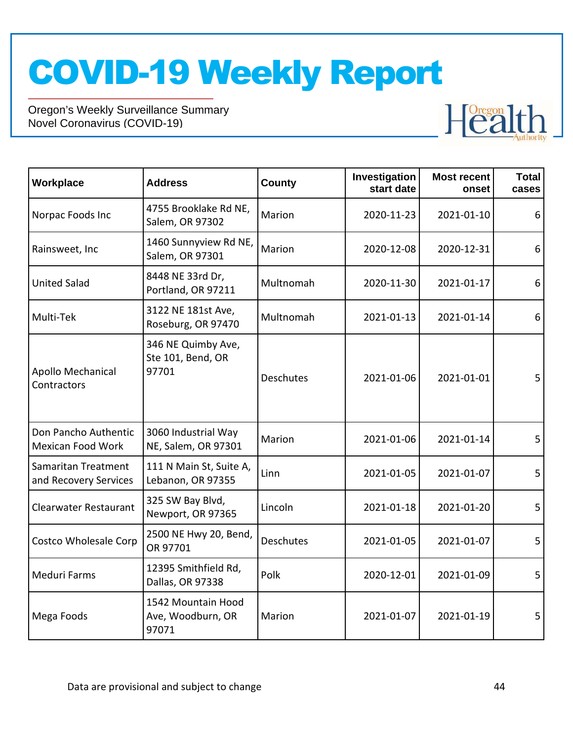

| Workplace                                    | <b>Address</b>                                   | County           | Investigation<br>start date | <b>Most recent</b><br>onset | <b>Total</b><br>cases |
|----------------------------------------------|--------------------------------------------------|------------------|-----------------------------|-----------------------------|-----------------------|
| Norpac Foods Inc                             | 4755 Brooklake Rd NE,<br>Salem, OR 97302         | Marion           | 2020-11-23                  | 2021-01-10                  | 6                     |
| Rainsweet, Inc                               | 1460 Sunnyview Rd NE,<br>Salem, OR 97301         | Marion           | 2020-12-08                  | 2020-12-31                  | 6                     |
| <b>United Salad</b>                          | 8448 NE 33rd Dr,<br>Portland, OR 97211           | Multnomah        | 2020-11-30                  | 2021-01-17                  | 6                     |
| Multi-Tek                                    | 3122 NE 181st Ave,<br>Roseburg, OR 97470         | Multnomah        | 2021-01-13                  | 2021-01-14                  | 6                     |
| Apollo Mechanical<br>Contractors             | 346 NE Quimby Ave,<br>Ste 101, Bend, OR<br>97701 | <b>Deschutes</b> | 2021-01-06                  | 2021-01-01                  | 5                     |
| Don Pancho Authentic<br>Mexican Food Work    | 3060 Industrial Way<br>NE, Salem, OR 97301       | Marion           | 2021-01-06                  | 2021-01-14                  | 5                     |
| Samaritan Treatment<br>and Recovery Services | 111 N Main St, Suite A,<br>Lebanon, OR 97355     | Linn             | 2021-01-05                  | 2021-01-07                  | 5                     |
| <b>Clearwater Restaurant</b>                 | 325 SW Bay Blvd,<br>Newport, OR 97365            | Lincoln          | 2021-01-18                  | 2021-01-20                  | 5                     |
| Costco Wholesale Corp                        | 2500 NE Hwy 20, Bend,<br>OR 97701                | Deschutes        | 2021-01-05                  | 2021-01-07                  | 5                     |
| <b>Meduri Farms</b>                          | 12395 Smithfield Rd,<br>Dallas, OR 97338         | Polk             | 2020-12-01                  | 2021-01-09                  | 5                     |
| Mega Foods                                   | 1542 Mountain Hood<br>Ave, Woodburn, OR<br>97071 | Marion           | 2021-01-07                  | 2021-01-19                  | 5                     |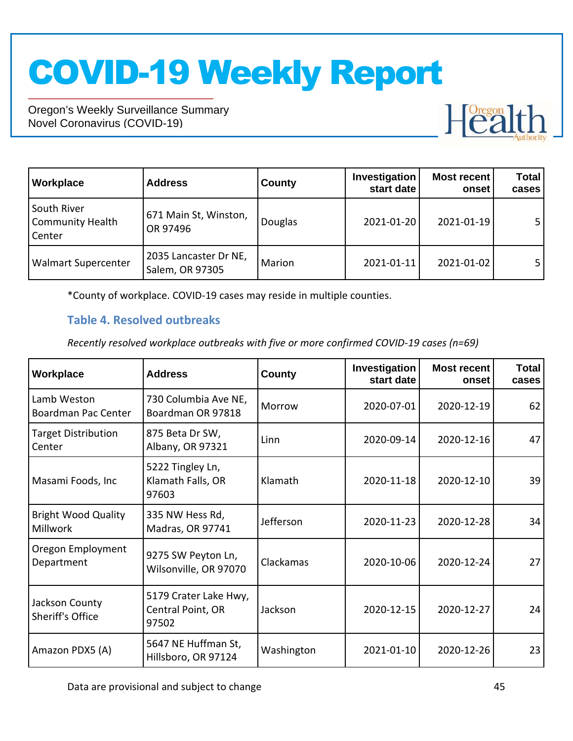Oregon's Weekly Surveillance Summary Novel Coronavirus (COVID-19)



| Workplace                                        | <b>Address</b>                           | <b>County</b> | Investigation<br>start date | <b>Most recent</b><br>onset | <b>Total</b><br>cases |
|--------------------------------------------------|------------------------------------------|---------------|-----------------------------|-----------------------------|-----------------------|
| South River<br><b>Community Health</b><br>Center | 671 Main St, Winston,<br>OR 97496        | Douglas       | 2021-01-20                  | 2021-01-19                  | 5 <sub>1</sub>        |
| <b>Walmart Supercenter</b>                       | 2035 Lancaster Dr NE,<br>Salem, OR 97305 | Marion        | 2021-01-11                  | 2021-01-02                  | 5 <sub>1</sub>        |

\*County of workplace. COVID-19 cases may reside in multiple counties.

### **Table 4. Resolved outbreaks**

*Recently resolved workplace outbreaks with five or more confirmed COVID-19 cases (n=69)*

| Workplace                                     | <b>Address</b>                                      | County     | Investigation<br>start date | <b>Most recent</b><br>onset | <b>Total</b><br>cases |
|-----------------------------------------------|-----------------------------------------------------|------------|-----------------------------|-----------------------------|-----------------------|
| Lamb Weston<br>Boardman Pac Center            | 730 Columbia Ave NE,<br>Boardman OR 97818           | Morrow     | 2020-07-01                  | 2020-12-19                  | 62                    |
| <b>Target Distribution</b><br>Center          | 875 Beta Dr SW,<br>Albany, OR 97321                 | Linn       | 2020-09-14                  | 2020-12-16                  | 47                    |
| Masami Foods, Inc                             | 5222 Tingley Ln,<br>Klamath Falls, OR<br>97603      | Klamath    | 2020-11-18                  | 2020-12-10                  | 39                    |
| <b>Bright Wood Quality</b><br><b>Millwork</b> | 335 NW Hess Rd,<br>Madras, OR 97741                 | Jefferson  | 2020-11-23                  | 2020-12-28                  | 34                    |
| Oregon Employment<br>Department               | 9275 SW Peyton Ln,<br>Wilsonville, OR 97070         | Clackamas  | 2020-10-06                  | 2020-12-24                  | 27                    |
| Jackson County<br><b>Sheriff's Office</b>     | 5179 Crater Lake Hwy,<br>Central Point, OR<br>97502 | Jackson    | 2020-12-15                  | 2020-12-27                  | 24                    |
| Amazon PDX5 (A)                               | 5647 NE Huffman St,<br>Hillsboro, OR 97124          | Washington | 2021-01-10                  | 2020-12-26                  | 23                    |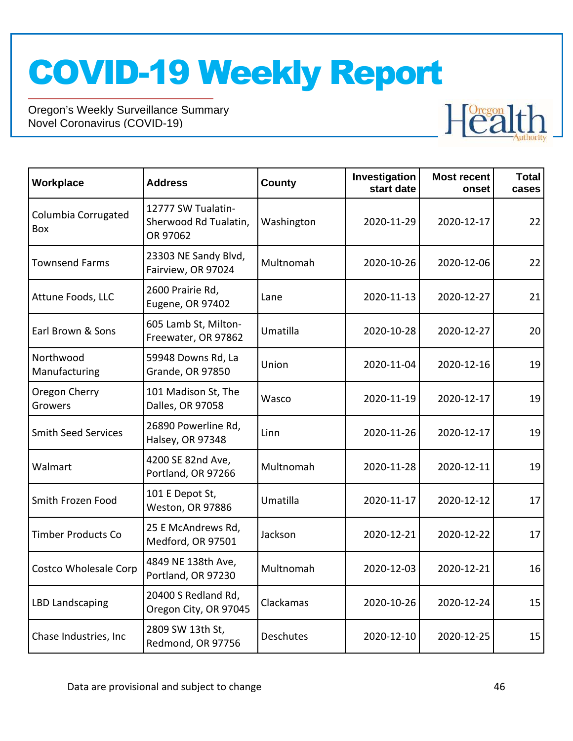

| Workplace                  | <b>Address</b>                                          | <b>County</b>    | Investigation<br>start date | <b>Most recent</b><br>onset | <b>Total</b><br>cases |
|----------------------------|---------------------------------------------------------|------------------|-----------------------------|-----------------------------|-----------------------|
| Columbia Corrugated<br>Box | 12777 SW Tualatin-<br>Sherwood Rd Tualatin,<br>OR 97062 | Washington       | 2020-11-29                  | 2020-12-17                  | 22                    |
| <b>Townsend Farms</b>      | 23303 NE Sandy Blvd,<br>Fairview, OR 97024              | Multnomah        | 2020-10-26                  | 2020-12-06                  | 22                    |
| Attune Foods, LLC          | 2600 Prairie Rd,<br><b>Eugene, OR 97402</b>             | Lane             | 2020-11-13                  | 2020-12-27                  | 21                    |
| Earl Brown & Sons          | 605 Lamb St, Milton-<br>Freewater, OR 97862             | Umatilla         | 2020-10-28                  | 2020-12-27                  | 20                    |
| Northwood<br>Manufacturing | 59948 Downs Rd, La<br>Grande, OR 97850                  | Union            | 2020-11-04                  | 2020-12-16                  | 19                    |
| Oregon Cherry<br>Growers   | 101 Madison St, The<br>Dalles, OR 97058                 | Wasco            | 2020-11-19                  | 2020-12-17                  | 19                    |
| <b>Smith Seed Services</b> | 26890 Powerline Rd,<br>Halsey, OR 97348                 | Linn             | 2020-11-26                  | 2020-12-17                  | 19                    |
| Walmart                    | 4200 SE 82nd Ave,<br>Portland, OR 97266                 | Multnomah        | 2020-11-28                  | 2020-12-11                  | 19                    |
| Smith Frozen Food          | 101 E Depot St,<br>Weston, OR 97886                     | Umatilla         | 2020-11-17                  | 2020-12-12                  | 17                    |
| <b>Timber Products Co</b>  | 25 E McAndrews Rd,<br>Medford, OR 97501                 | Jackson          | 2020-12-21                  | 2020-12-22                  | 17                    |
| Costco Wholesale Corp      | 4849 NE 138th Ave,<br>Portland, OR 97230                | Multnomah        | 2020-12-03                  | 2020-12-21                  | 16                    |
| <b>LBD Landscaping</b>     | 20400 S Redland Rd,<br>Oregon City, OR 97045            | Clackamas        | 2020-10-26                  | 2020-12-24                  | 15                    |
| Chase Industries, Inc.     | 2809 SW 13th St,<br>Redmond, OR 97756                   | <b>Deschutes</b> | 2020-12-10                  | 2020-12-25                  | 15                    |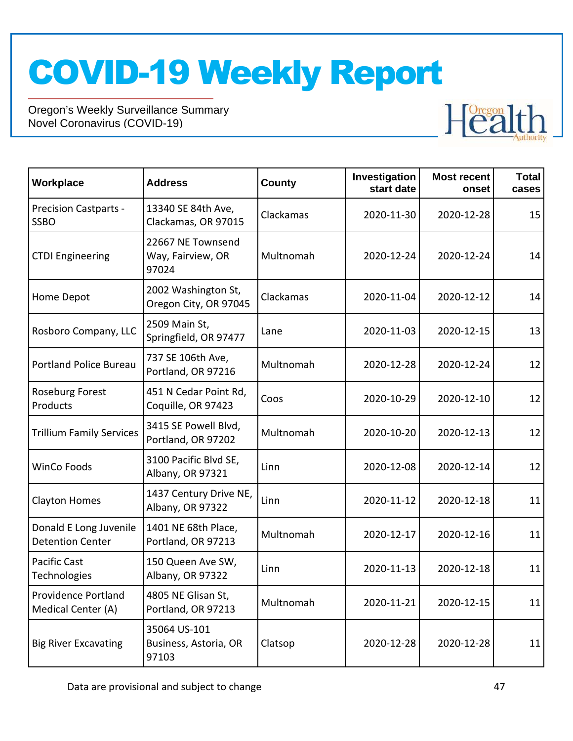

| Workplace                                         | <b>Address</b>                                  | <b>County</b> | Investigation<br>start date | <b>Most recent</b><br>onset | <b>Total</b><br>cases |
|---------------------------------------------------|-------------------------------------------------|---------------|-----------------------------|-----------------------------|-----------------------|
| <b>Precision Castparts -</b><br><b>SSBO</b>       | 13340 SE 84th Ave,<br>Clackamas, OR 97015       | Clackamas     | 2020-11-30                  | 2020-12-28                  | 15                    |
| <b>CTDI Engineering</b>                           | 22667 NE Townsend<br>Way, Fairview, OR<br>97024 | Multnomah     | 2020-12-24                  | 2020-12-24                  | 14                    |
| Home Depot                                        | 2002 Washington St,<br>Oregon City, OR 97045    | Clackamas     | 2020-11-04                  | 2020-12-12                  | 14                    |
| Rosboro Company, LLC                              | 2509 Main St,<br>Springfield, OR 97477          | Lane          | 2020-11-03                  | 2020-12-15                  | 13                    |
| <b>Portland Police Bureau</b>                     | 737 SE 106th Ave,<br>Portland, OR 97216         | Multnomah     | 2020-12-28                  | 2020-12-24                  | 12                    |
| <b>Roseburg Forest</b><br>Products                | 451 N Cedar Point Rd,<br>Coquille, OR 97423     | Coos          | 2020-10-29                  | 2020-12-10                  | 12                    |
| <b>Trillium Family Services</b>                   | 3415 SE Powell Blvd,<br>Portland, OR 97202      | Multnomah     | 2020-10-20                  | 2020-12-13                  | 12                    |
| <b>WinCo Foods</b>                                | 3100 Pacific Blvd SE,<br>Albany, OR 97321       | Linn          | 2020-12-08                  | 2020-12-14                  | 12                    |
| <b>Clayton Homes</b>                              | 1437 Century Drive NE,<br>Albany, OR 97322      | Linn          | 2020-11-12                  | 2020-12-18                  | 11                    |
| Donald E Long Juvenile<br><b>Detention Center</b> | 1401 NE 68th Place,<br>Portland, OR 97213       | Multnomah     | 2020-12-17                  | 2020-12-16                  | 11                    |
| Pacific Cast<br>Technologies                      | 150 Queen Ave SW,<br>Albany, OR 97322           | Linn          | 2020-11-13                  | 2020-12-18                  | 11                    |
| Providence Portland<br>Medical Center (A)         | 4805 NE Glisan St,<br>Portland, OR 97213        | Multnomah     | 2020-11-21                  | 2020-12-15                  | 11                    |
| <b>Big River Excavating</b>                       | 35064 US-101<br>Business, Astoria, OR<br>97103  | Clatsop       | 2020-12-28                  | 2020-12-28                  | 11                    |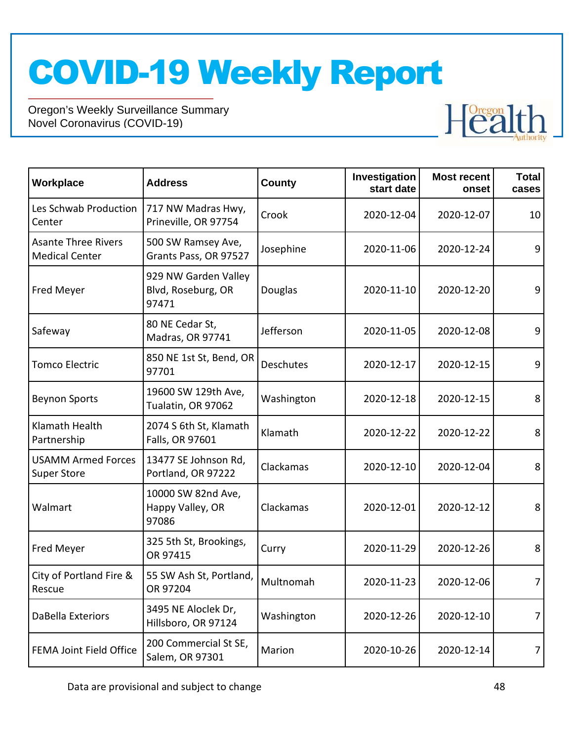

| Workplace                                           | <b>Address</b>                                      | <b>County</b> | Investigation<br>start date | <b>Most recent</b><br>onset | <b>Total</b><br>cases |  |    |
|-----------------------------------------------------|-----------------------------------------------------|---------------|-----------------------------|-----------------------------|-----------------------|--|----|
| Les Schwab Production<br>Center                     | 717 NW Madras Hwy,<br>Prineville, OR 97754          | Crook         | 2020-12-04<br>2020-12-07    |                             |                       |  | 10 |
| <b>Asante Three Rivers</b><br><b>Medical Center</b> | 500 SW Ramsey Ave,<br>Grants Pass, OR 97527         | Josephine     | 2020-11-06                  | 2020-12-24                  | 9                     |  |    |
| Fred Meyer                                          | 929 NW Garden Valley<br>Blvd, Roseburg, OR<br>97471 | Douglas       | 2020-11-10<br>2020-12-20    |                             | 9                     |  |    |
| Safeway                                             | 80 NE Cedar St,<br>Madras, OR 97741                 | Jefferson     | 2020-11-05                  | 2020-12-08                  |                       |  |    |
| <b>Tomco Electric</b>                               | 850 NE 1st St, Bend, OR<br>97701                    | Deschutes     | 2020-12-17                  | 2020-12-15                  | 9                     |  |    |
| <b>Beynon Sports</b>                                | 19600 SW 129th Ave,<br>Tualatin, OR 97062           | Washington    | 2020-12-18                  | 2020-12-15                  | 8                     |  |    |
| Klamath Health<br>Partnership                       | 2074 S 6th St, Klamath<br>Falls, OR 97601           | Klamath       | 2020-12-22                  | 2020-12-22                  | 8                     |  |    |
| <b>USAMM Armed Forces</b><br><b>Super Store</b>     | 13477 SE Johnson Rd,<br>Portland, OR 97222          | Clackamas     | 2020-12-10                  | 2020-12-04                  | 8                     |  |    |
| Walmart                                             | 10000 SW 82nd Ave,<br>Happy Valley, OR<br>97086     | Clackamas     | 2020-12-01                  | 2020-12-12                  | 8                     |  |    |
| Fred Meyer                                          | 325 5th St, Brookings,<br>OR 97415                  | Curry         | 2020-11-29                  | 2020-12-26                  | 8                     |  |    |
| City of Portland Fire &<br>Rescue                   | 55 SW Ash St, Portland,<br>OR 97204                 | Multnomah     | 2020-11-23                  | 2020-12-06                  | 7                     |  |    |
| DaBella Exteriors                                   | 3495 NE Aloclek Dr,<br>Hillsboro, OR 97124          | Washington    | 2020-12-26                  | 2020-12-10                  | 7                     |  |    |
| FEMA Joint Field Office                             | 200 Commercial St SE,<br>Salem, OR 97301            | Marion        | 2020-10-26                  | 2020-12-14                  | 7                     |  |    |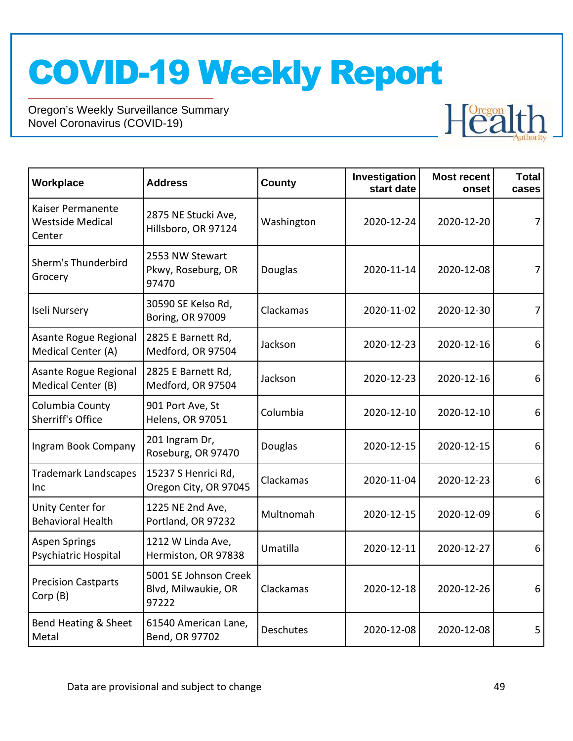

| Workplace                                              | <b>Address</b>                                        | County         | Investigation<br>start date | <b>Most recent</b><br>onset | <b>Total</b><br>cases |
|--------------------------------------------------------|-------------------------------------------------------|----------------|-----------------------------|-----------------------------|-----------------------|
| Kaiser Permanente<br><b>Westside Medical</b><br>Center | 2875 NE Stucki Ave,<br>Hillsboro, OR 97124            | Washington     | 2020-12-24                  | 2020-12-20                  | 7                     |
| Sherm's Thunderbird<br>Grocery                         | 2553 NW Stewart<br>Pkwy, Roseburg, OR<br>97470        | <b>Douglas</b> | 2020-11-14                  | 2020-12-08                  |                       |
| Iseli Nursery                                          | 30590 SE Kelso Rd,<br>Boring, OR 97009                | Clackamas      | 2020-11-02                  | 2020-12-30                  | 7                     |
| Asante Rogue Regional<br>Medical Center (A)            | 2825 E Barnett Rd,<br>Medford, OR 97504               | Jackson        | 2020-12-23                  | 2020-12-16                  | 6                     |
| Asante Rogue Regional<br>Medical Center (B)            | 2825 E Barnett Rd,<br>Medford, OR 97504               | Jackson        | 2020-12-23                  | 2020-12-16                  | 6                     |
| Columbia County<br>Sherriff's Office                   | 901 Port Ave, St<br>Helens, OR 97051                  | Columbia       | 2020-12-10                  | 2020-12-10                  | 6                     |
| Ingram Book Company                                    | 201 Ingram Dr,<br>Roseburg, OR 97470                  | Douglas        | 2020-12-15                  | 2020-12-15                  | 6                     |
| <b>Trademark Landscapes</b><br>Inc                     | 15237 S Henrici Rd,<br>Oregon City, OR 97045          | Clackamas      | 2020-11-04                  | 2020-12-23                  | 6                     |
| Unity Center for<br><b>Behavioral Health</b>           | 1225 NE 2nd Ave,<br>Portland, OR 97232                | Multnomah      | 2020-12-15                  | 2020-12-09                  | 6                     |
| <b>Aspen Springs</b><br>Psychiatric Hospital           | 1212 W Linda Ave,<br>Hermiston, OR 97838              | Umatilla       | 2020-12-11                  | 2020-12-27                  | 6                     |
| <b>Precision Castparts</b><br>Corp (B)                 | 5001 SE Johnson Creek<br>Blvd, Milwaukie, OR<br>97222 | Clackamas      | 2020-12-18                  | 2020-12-26                  | 6                     |
| Bend Heating & Sheet<br>Metal                          | 61540 American Lane,<br>Bend, OR 97702                | Deschutes      | 2020-12-08                  | 2020-12-08                  | 5                     |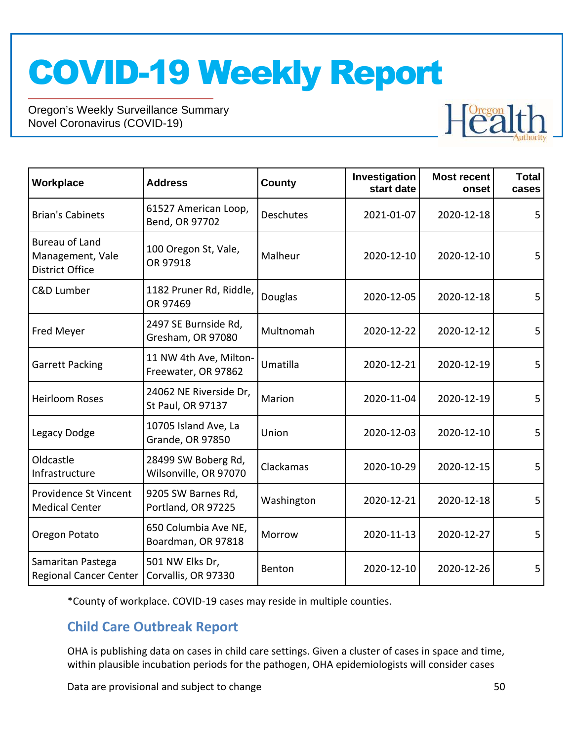Oregon's Weekly Surveillance Summary Novel Coronavirus (COVID-19)



| Workplace                                                           | <b>Address</b>                                | Investigation<br><b>County</b><br>start date |                          | <b>Most recent</b><br>onset | <b>Total</b><br>cases |
|---------------------------------------------------------------------|-----------------------------------------------|----------------------------------------------|--------------------------|-----------------------------|-----------------------|
| <b>Brian's Cabinets</b>                                             | 61527 American Loop,<br>Bend, OR 97702        | <b>Deschutes</b>                             | 2021-01-07<br>2020-12-18 | 5                           |                       |
| <b>Bureau of Land</b><br>Management, Vale<br><b>District Office</b> | 100 Oregon St, Vale,<br>OR 97918              | Malheur                                      | 2020-12-10               | 2020-12-10                  | 5                     |
| <b>C&amp;D Lumber</b>                                               | 1182 Pruner Rd, Riddle,<br>OR 97469           | Douglas                                      | 2020-12-05<br>2020-12-18 |                             | 5                     |
| Fred Meyer                                                          | 2497 SE Burnside Rd,<br>Gresham, OR 97080     | Multnomah                                    | 2020-12-22<br>2020-12-12 |                             | 5                     |
| <b>Garrett Packing</b>                                              | 11 NW 4th Ave, Milton-<br>Freewater, OR 97862 | Umatilla                                     | 2020-12-21<br>2020-12-19 |                             | 5                     |
| <b>Heirloom Roses</b>                                               | 24062 NE Riverside Dr,<br>St Paul, OR 97137   | Marion                                       | 2020-11-04               | 2020-12-19                  | 5                     |
| Legacy Dodge                                                        | 10705 Island Ave, La<br>Grande, OR 97850      | Union                                        | 2020-12-03               | 2020-12-10                  | 5                     |
| Oldcastle<br>Infrastructure                                         | 28499 SW Boberg Rd,<br>Wilsonville, OR 97070  | Clackamas                                    | 2020-10-29               | 2020-12-15                  | 5                     |
| Providence St Vincent<br><b>Medical Center</b>                      | 9205 SW Barnes Rd,<br>Portland, OR 97225      | Washington                                   | 2020-12-21<br>2020-12-18 |                             | 5                     |
| Oregon Potato                                                       | 650 Columbia Ave NE,<br>Boardman, OR 97818    | Morrow                                       | 2020-11-13               | 2020-12-27                  | 5                     |
| Samaritan Pastega<br><b>Regional Cancer Center</b>                  | 501 NW Elks Dr,<br>Corvallis, OR 97330        | Benton                                       | 2020-12-10               | 2020-12-26                  | 5                     |

\*County of workplace. COVID-19 cases may reside in multiple counties.

## **Child Care Outbreak Report**

OHA is publishing data on cases in child care settings. Given a cluster of cases in space and time, within plausible incubation periods for the pathogen, OHA epidemiologists will consider cases

Data are provisional and subject to change 50 and 50 and 50 and 50 and 50 and 50 and 50 and 50 and 50 and 50 and 50 and 50 and 50 and 50 and 50 and 50 and 50 and 50 and 50 and 50 and 50 and 50 and 50 and 50 and 50 and 50 a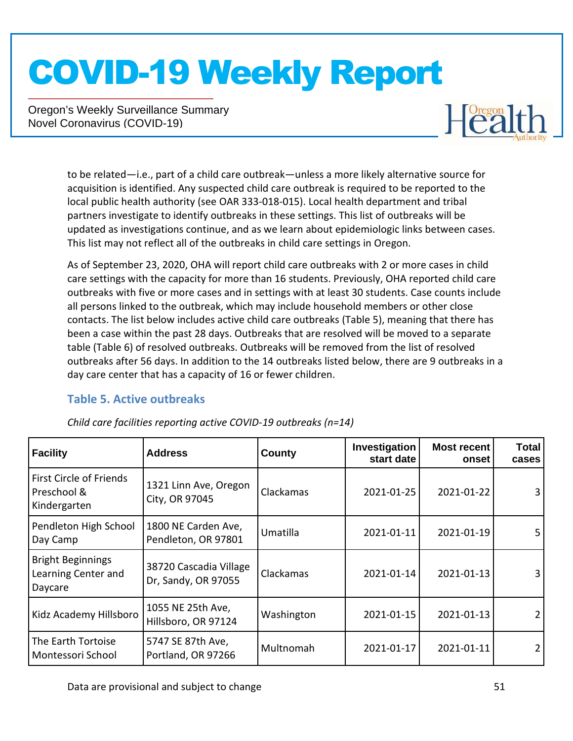Oregon's Weekly Surveillance Summary Novel Coronavirus (COVID-19)



to be related—i.e., part of a child care outbreak—unless a more likely alternative source for acquisition is identified. Any suspected child care outbreak is required to be reported to the local public health authority (see OAR 333-018-015). Local health department and tribal partners investigate to identify outbreaks in these settings. This list of outbreaks will be updated as investigations continue, and as we learn about epidemiologic links between cases. This list may not reflect all of the outbreaks in child care settings in Oregon.

As of September 23, 2020, OHA will report child care outbreaks with 2 or more cases in child care settings with the capacity for more than 16 students. Previously, OHA reported child care outbreaks with five or more cases and in settings with at least 30 students. Case counts include all persons linked to the outbreak, which may include household members or other close contacts. The list below includes active child care outbreaks (Table 5), meaning that there has been a case within the past 28 days. Outbreaks that are resolved will be moved to a separate table (Table 6) of resolved outbreaks. Outbreaks will be removed from the list of resolved outbreaks after 56 days. In addition to the 14 outbreaks listed below, there are 9 outbreaks in a day care center that has a capacity of 16 or fewer children.

### **Table 5. Active outbreaks**

| <b>Facility</b>                                            | <b>Address</b>                                | County     | Investigation<br>start date | <b>Most recent</b><br>onset | <b>Total</b><br>cases |
|------------------------------------------------------------|-----------------------------------------------|------------|-----------------------------|-----------------------------|-----------------------|
| First Circle of Friends<br>Preschool &<br>Kindergarten     | 1321 Linn Ave, Oregon<br>City, OR 97045       | Clackamas  | 2021-01-25                  | 2021-01-22                  | 3                     |
| Pendleton High School<br>Day Camp                          | 1800 NE Carden Ave,<br>Pendleton, OR 97801    | Umatilla   | 2021-01-11                  | 2021-01-19                  | 5.                    |
| <b>Bright Beginnings</b><br>Learning Center and<br>Daycare | 38720 Cascadia Village<br>Dr, Sandy, OR 97055 | Clackamas  | 2021-01-14                  | 2021-01-13                  |                       |
| Kidz Academy Hillsboro                                     | 1055 NE 25th Ave,<br>Hillsboro, OR 97124      | Washington | 2021-01-15<br>2021-01-13    |                             |                       |
| The Earth Tortoise<br>Montessori School                    | 5747 SE 87th Ave,<br>Portland, OR 97266       | Multnomah  | 2021-01-17                  | 2021-01-11                  |                       |

*Child care facilities reporting active COVID-19 outbreaks (n=14)*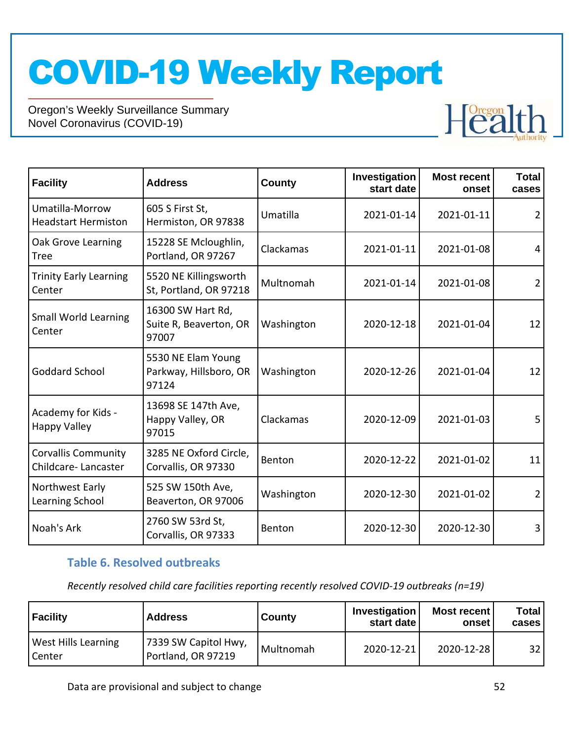Oregon's Weekly Surveillance Summary Novel Coronavirus (COVID-19)



| <b>Facility</b>                                   | <b>Address</b>                                        | County     | Investigation<br>start date | <b>Most recent</b><br>onset | <b>Total</b><br>cases |
|---------------------------------------------------|-------------------------------------------------------|------------|-----------------------------|-----------------------------|-----------------------|
| Umatilla-Morrow<br><b>Headstart Hermiston</b>     | 605 S First St,<br>Hermiston, OR 97838                | Umatilla   | 2021-01-14                  | 2021-01-11                  | $\overline{2}$        |
| Oak Grove Learning<br><b>Tree</b>                 | 15228 SE Mcloughlin,<br>Portland, OR 97267            | Clackamas  | 2021-01-11                  | 2021-01-08                  | 4                     |
| <b>Trinity Early Learning</b><br>Center           | 5520 NE Killingsworth<br>St, Portland, OR 97218       | Multnomah  | 2021-01-14                  | 2021-01-08                  | $\overline{2}$        |
| Small World Learning<br>Center                    | 16300 SW Hart Rd,<br>Suite R, Beaverton, OR<br>97007  | Washington | 2020-12-18<br>2021-01-04    |                             | 12                    |
| <b>Goddard School</b>                             | 5530 NE Elam Young<br>Parkway, Hillsboro, OR<br>97124 | Washington | 2020-12-26                  | 2021-01-04                  | 12                    |
| Academy for Kids -<br><b>Happy Valley</b>         | 13698 SE 147th Ave,<br>Happy Valley, OR<br>97015      | Clackamas  | 2020-12-09                  | 2021-01-03                  | 5                     |
| <b>Corvallis Community</b><br>Childcare-Lancaster | 3285 NE Oxford Circle,<br>Corvallis, OR 97330         | Benton     | 2020-12-22                  | 2021-01-02                  | 11                    |
| Northwest Early<br>Learning School                | 525 SW 150th Ave,<br>Beaverton, OR 97006              | Washington | 2020-12-30<br>2021-01-02    |                             | $\overline{2}$        |
| Noah's Ark                                        | 2760 SW 53rd St,<br>Corvallis, OR 97333               | Benton     | 2020-12-30                  | 2020-12-30                  | 3                     |

### **Table 6. Resolved outbreaks**

*Recently resolved child care facilities reporting recently resolved COVID-19 outbreaks (n=19)*

| <b>Facility</b>                             | <b>Address</b>                             | County    | Investigation<br>start date | Most recent<br>onset | <b>Total</b><br>cases |
|---------------------------------------------|--------------------------------------------|-----------|-----------------------------|----------------------|-----------------------|
| <b>West Hills Learning</b><br><b>Center</b> | 7339 SW Capitol Hwy,<br>Portland, OR 97219 | Multnomah | 2020-12-21                  | 2020-12-28           | 32                    |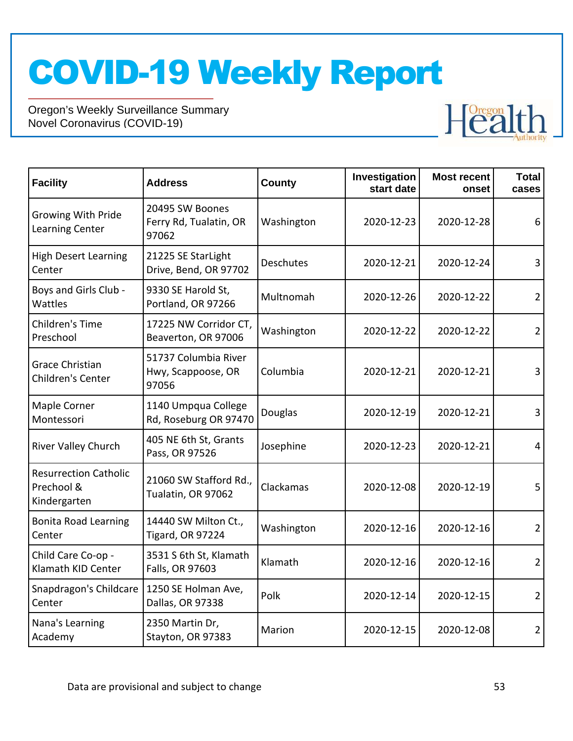

| <b>Facility</b>                                            | <b>Address</b>                                      | County     | Investigation<br>start date | <b>Most recent</b><br>onset | <b>Total</b><br>cases |  |                |
|------------------------------------------------------------|-----------------------------------------------------|------------|-----------------------------|-----------------------------|-----------------------|--|----------------|
| <b>Growing With Pride</b><br>Learning Center               | 20495 SW Boones<br>Ferry Rd, Tualatin, OR<br>97062  | Washington | 2020-12-23<br>2020-12-28    |                             | 6                     |  |                |
| <b>High Desert Learning</b><br>Center                      | 21225 SE StarLight<br>Drive, Bend, OR 97702         | Deschutes  | 2020-12-21                  | 2020-12-24                  | 3                     |  |                |
| Boys and Girls Club -<br>Wattles                           | 9330 SE Harold St,<br>Portland, OR 97266            | Multnomah  | 2020-12-26                  | 2020-12-22                  | $\overline{2}$        |  |                |
| Children's Time<br>Preschool                               | 17225 NW Corridor CT,<br>Beaverton, OR 97006        | Washington | 2020-12-22                  | 2020-12-22                  | $\overline{2}$        |  |                |
| <b>Grace Christian</b><br>Children's Center                | 51737 Columbia River<br>Hwy, Scappoose, OR<br>97056 | Columbia   | 2020-12-21                  | 2020-12-21                  | 3                     |  |                |
| Maple Corner<br>Montessori                                 | 1140 Umpqua College<br>Rd, Roseburg OR 97470        | Douglas    | 2020-12-19                  | 2020-12-21                  | 3                     |  |                |
| River Valley Church                                        | 405 NE 6th St, Grants<br>Pass, OR 97526             | Josephine  | 2020-12-23                  | 2020-12-21                  | 4                     |  |                |
| <b>Resurrection Catholic</b><br>Prechool &<br>Kindergarten | 21060 SW Stafford Rd.,<br>Tualatin, OR 97062        | Clackamas  | 2020-12-08                  | 2020-12-19                  | 5                     |  |                |
| <b>Bonita Road Learning</b><br>Center                      | 14440 SW Milton Ct.,<br>Tigard, OR 97224            | Washington | 2020-12-16                  | 2020-12-16                  | $\overline{2}$        |  |                |
| Child Care Co-op -<br>Klamath KID Center                   | 3531 S 6th St, Klamath<br>Falls, OR 97603           | Klamath    | 2020-12-16<br>2020-12-16    |                             |                       |  | $\overline{2}$ |
| Snapdragon's Childcare<br>Center                           | 1250 SE Holman Ave,<br>Dallas, OR 97338             | Polk       | 2020-12-14                  | 2020-12-15                  | 2                     |  |                |
| Nana's Learning<br>Academy                                 | 2350 Martin Dr,<br>Stayton, OR 97383                | Marion     | 2020-12-15                  | 2020-12-08                  | $\overline{2}$        |  |                |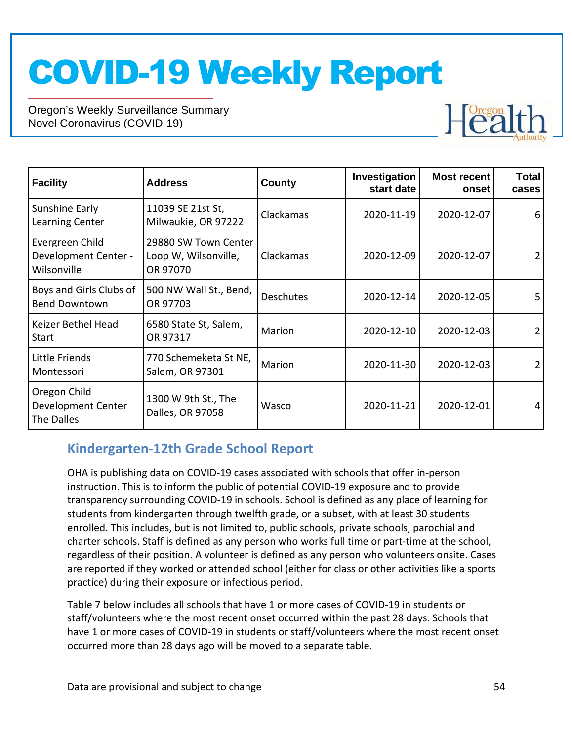Oregon's Weekly Surveillance Summary Novel Coronavirus (COVID-19)



| <b>Facility</b>                                        | <b>Address</b>                                           | County           | Investigation<br>start date | <b>Most recent</b><br>onset | <b>Total</b><br>cases |
|--------------------------------------------------------|----------------------------------------------------------|------------------|-----------------------------|-----------------------------|-----------------------|
| Sunshine Early<br>Learning Center                      | 11039 SE 21st St,<br>Milwaukie, OR 97222                 | Clackamas        | 2020-11-19                  | 2020-12-07                  | 6                     |
| Evergreen Child<br>Development Center -<br>Wilsonville | 29880 SW Town Center<br>Loop W, Wilsonville,<br>OR 97070 | Clackamas        | 2020-12-09<br>2020-12-07    |                             | $\overline{2}$        |
| Boys and Girls Clubs of<br><b>Bend Downtown</b>        | 500 NW Wall St., Bend,<br>OR 97703                       | <b>Deschutes</b> | 2020-12-14                  | 2020-12-05                  | 5                     |
| Keizer Bethel Head<br>Start                            | 6580 State St, Salem,<br>OR 97317                        | Marion           | 2020-12-10                  | 2020-12-03                  | $\overline{2}$        |
| Little Friends<br>Montessori                           | 770 Schemeketa St NE,<br>Salem, OR 97301                 | Marion           | 2020-11-30                  | 2020-12-03                  |                       |
| Oregon Child<br>Development Center<br>The Dalles       | 1300 W 9th St., The<br>Dalles, OR 97058                  | Wasco            | 2020-11-21                  | 2020-12-01                  | $\overline{4}$        |

## **Kindergarten-12th Grade School Report**

OHA is publishing data on COVID-19 cases associated with schools that offer in-person instruction. This is to inform the public of potential COVID-19 exposure and to provide transparency surrounding COVID-19 in schools. School is defined as any place of learning for students from kindergarten through twelfth grade, or a subset, with at least 30 students enrolled. This includes, but is not limited to, public schools, private schools, parochial and charter schools. Staff is defined as any person who works full time or part-time at the school, regardless of their position. A volunteer is defined as any person who volunteers onsite. Cases are reported if they worked or attended school (either for class or other activities like a sports practice) during their exposure or infectious period.

Table 7 below includes all schools that have 1 or more cases of COVID-19 in students or staff/volunteers where the most recent onset occurred within the past 28 days. Schools that have 1 or more cases of COVID-19 in students or staff/volunteers where the most recent onset occurred more than 28 days ago will be moved to a separate table.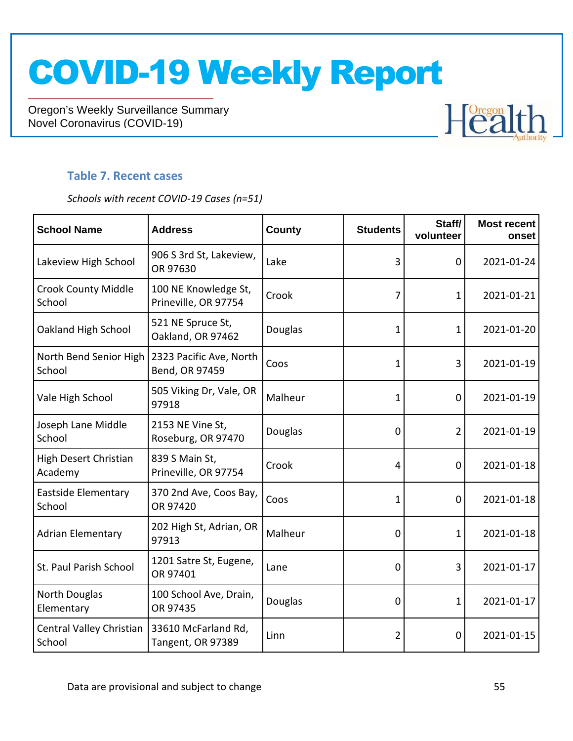Oregon's Weekly Surveillance Summary Novel Coronavirus (COVID-19)

# **Health**

### **Table 7. Recent cases**

*Schools with recent COVID-19 Cases (n=51)*

| <b>School Name</b>                   | <b>Address</b>                               | <b>County</b> | <b>Students</b> | Staff/<br>volunteer | <b>Most recent</b><br>onset |
|--------------------------------------|----------------------------------------------|---------------|-----------------|---------------------|-----------------------------|
| Lakeview High School                 | 906 S 3rd St, Lakeview,<br>OR 97630          | Lake          | 3               | 0                   | 2021-01-24                  |
| <b>Crook County Middle</b><br>School | 100 NE Knowledge St,<br>Prineville, OR 97754 | Crook         | 7               | $\mathbf 1$         | 2021-01-21                  |
| Oakland High School                  | 521 NE Spruce St,<br>Oakland, OR 97462       | Douglas       | 1               | 1                   | 2021-01-20                  |
| North Bend Senior High<br>School     | 2323 Pacific Ave, North<br>Bend, OR 97459    | Coos          | 1               | 3                   | 2021-01-19                  |
| Vale High School                     | 505 Viking Dr, Vale, OR<br>97918             | Malheur       | 1               | 0                   | 2021-01-19                  |
| Joseph Lane Middle<br>School         | 2153 NE Vine St,<br>Roseburg, OR 97470       | Douglas       | 0               | $\overline{2}$      | 2021-01-19                  |
| High Desert Christian<br>Academy     | 839 S Main St,<br>Prineville, OR 97754       | Crook         | 4               | 0                   | 2021-01-18                  |
| <b>Eastside Elementary</b><br>School | 370 2nd Ave, Coos Bay,<br>OR 97420           | Coos          | 1               | 0                   | 2021-01-18                  |
| <b>Adrian Elementary</b>             | 202 High St, Adrian, OR<br>97913             | Malheur       | 0               | 1                   | 2021-01-18                  |
| St. Paul Parish School               | 1201 Satre St, Eugene,<br>OR 97401           | Lane          | 0               | 3                   | 2021-01-17                  |
| North Douglas<br>Elementary          | 100 School Ave, Drain,<br>OR 97435           | Douglas       | 0               | $\mathbf{1}$        | 2021-01-17                  |
| Central Valley Christian<br>School   | 33610 McFarland Rd,<br>Tangent, OR 97389     | Linn          | $\overline{2}$  | $\mathbf 0$         | 2021-01-15                  |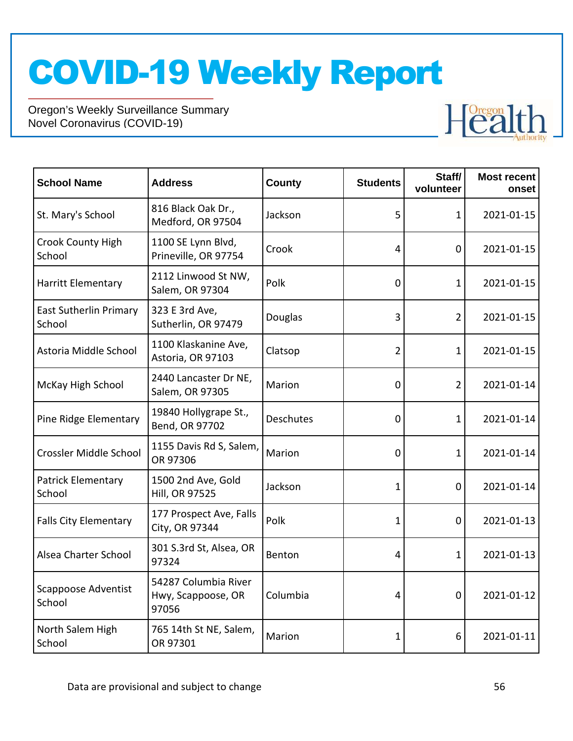Oregon's Weekly Surveillance Summary Novel Coronavirus (COVID-19)

| <b>School Name</b>                      | <b>Address</b>                                      | <b>County</b> | <b>Students</b> | Staff/<br>volunteer | <b>Most recent</b><br>onset |
|-----------------------------------------|-----------------------------------------------------|---------------|-----------------|---------------------|-----------------------------|
| St. Mary's School                       | 816 Black Oak Dr.,<br>Medford, OR 97504             | Jackson       | 5               | 1                   | 2021-01-15                  |
| <b>Crook County High</b><br>School      | 1100 SE Lynn Blvd,<br>Prineville, OR 97754          | Crook         | $\overline{4}$  | 0                   | 2021-01-15                  |
| Harritt Elementary                      | 2112 Linwood St NW,<br>Salem, OR 97304              | Polk          | $\mathbf 0$     | 1                   | 2021-01-15                  |
| <b>East Sutherlin Primary</b><br>School | 323 E 3rd Ave,<br>Sutherlin, OR 97479               | Douglas       | 3               | 2                   | 2021-01-15                  |
| Astoria Middle School                   | 1100 Klaskanine Ave,<br>Astoria, OR 97103           | Clatsop       | $\overline{2}$  | 1                   | 2021-01-15                  |
| McKay High School                       | 2440 Lancaster Dr NE,<br>Salem, OR 97305            | Marion        | $\mathbf 0$     | $\overline{2}$      | 2021-01-14                  |
| Pine Ridge Elementary                   | 19840 Hollygrape St.,<br>Bend, OR 97702             | Deschutes     | $\mathbf 0$     | 1                   | 2021-01-14                  |
| Crossler Middle School                  | 1155 Davis Rd S, Salem,<br>OR 97306                 | Marion        | $\mathbf 0$     | 1                   | 2021-01-14                  |
| <b>Patrick Elementary</b><br>School     | 1500 2nd Ave, Gold<br><b>Hill, OR 97525</b>         | Jackson       | $\mathbf 1$     | 0                   | 2021-01-14                  |
| <b>Falls City Elementary</b>            | 177 Prospect Ave, Falls<br>City, OR 97344           | Polk          | 1               | 0                   | 2021-01-13                  |
| Alsea Charter School                    | 301 S.3rd St, Alsea, OR<br>97324                    | Benton        | 4               | 1                   | 2021-01-13                  |
| Scappoose Adventist<br>School           | 54287 Columbia River<br>Hwy, Scappoose, OR<br>97056 | Columbia      | $\overline{4}$  | $\mathbf{0}$        | 2021-01-12                  |
| North Salem High<br>School              | 765 14th St NE, Salem,<br>OR 97301                  | Marion        | $\mathbf{1}$    | 6                   | 2021-01-11                  |

**Health**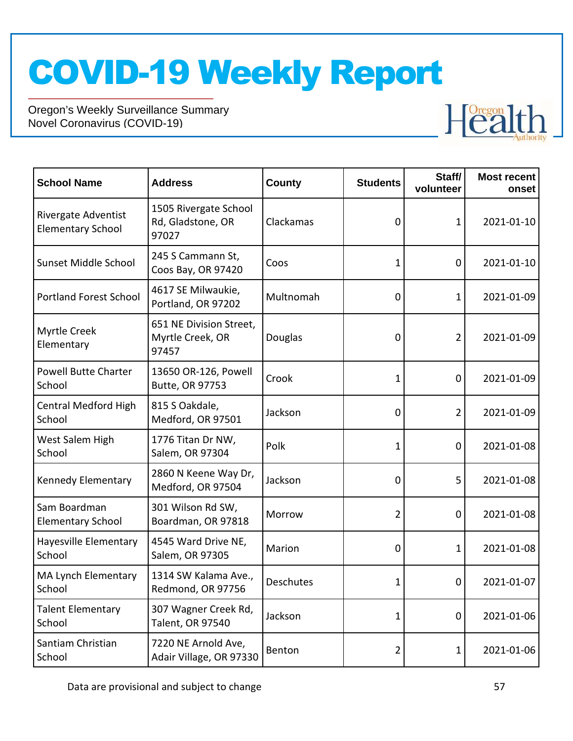

| <b>School Name</b>                              | <b>Address</b>                                       | County           | <b>Students</b> | Staff/<br>volunteer | <b>Most recent</b><br>onset |
|-------------------------------------------------|------------------------------------------------------|------------------|-----------------|---------------------|-----------------------------|
| Rivergate Adventist<br><b>Elementary School</b> | 1505 Rivergate School<br>Rd, Gladstone, OR<br>97027  | Clackamas        | 0               | 1                   | 2021-01-10                  |
| Sunset Middle School                            | 245 S Cammann St,<br>Coos Bay, OR 97420              | Coos             | 1               | 0                   | 2021-01-10                  |
| <b>Portland Forest School</b>                   | 4617 SE Milwaukie,<br>Portland, OR 97202             | Multnomah        | 0               | 1                   | 2021-01-09                  |
| Myrtle Creek<br>Elementary                      | 651 NE Division Street,<br>Myrtle Creek, OR<br>97457 | Douglas          | 0               | $\overline{2}$      | 2021-01-09                  |
| <b>Powell Butte Charter</b><br>School           | 13650 OR-126, Powell<br>Butte, OR 97753              | Crook            | 1               | $\mathbf 0$         | 2021-01-09                  |
| <b>Central Medford High</b><br>School           | 815 S Oakdale,<br>Medford, OR 97501                  | Jackson          | 0               | 2                   | 2021-01-09                  |
| West Salem High<br>School                       | 1776 Titan Dr NW,<br>Salem, OR 97304                 | Polk             | 1               | $\mathbf 0$         | 2021-01-08                  |
| Kennedy Elementary                              | 2860 N Keene Way Dr,<br>Medford, OR 97504            | Jackson          | 0               | 5                   | 2021-01-08                  |
| Sam Boardman<br><b>Elementary School</b>        | 301 Wilson Rd SW,<br>Boardman, OR 97818              | Morrow           | $\overline{2}$  | 0                   | 2021-01-08                  |
| Hayesville Elementary<br>School                 | 4545 Ward Drive NE,<br>Salem, OR 97305               | Marion           | 0               | 1                   | 2021-01-08                  |
| MA Lynch Elementary<br>School                   | 1314 SW Kalama Ave.,<br>Redmond, OR 97756            | <b>Deschutes</b> | 1               | 0                   | 2021-01-07                  |
| <b>Talent Elementary</b><br>School              | 307 Wagner Creek Rd,<br>Talent, OR 97540             | Jackson          | 1               | 0                   | 2021-01-06                  |
| Santiam Christian<br>School                     | 7220 NE Arnold Ave,<br>Adair Village, OR 97330       | Benton           | $\overline{2}$  | 1                   | 2021-01-06                  |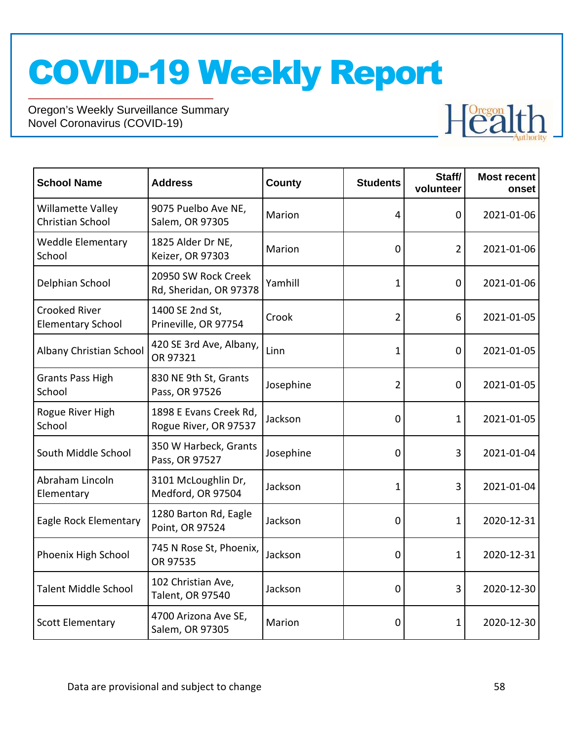Oregon's Weekly Surveillance Summary Novel Coronavirus (COVID-19)

| <b>School Name</b>                               | <b>Address</b>                                  | <b>County</b> | <b>Students</b> | Staff/<br>volunteer | <b>Most recent</b><br>onset |
|--------------------------------------------------|-------------------------------------------------|---------------|-----------------|---------------------|-----------------------------|
| Willamette Valley<br>Christian School            | 9075 Puelbo Ave NE,<br>Salem, OR 97305          | Marion        | 4               | 0                   | 2021-01-06                  |
| <b>Weddle Elementary</b><br>School               | 1825 Alder Dr NE,<br>Keizer, OR 97303           | Marion        | 0               | $\overline{2}$      | 2021-01-06                  |
| Delphian School                                  | 20950 SW Rock Creek<br>Rd, Sheridan, OR 97378   | Yamhill       | $\mathbf 1$     | $\mathbf 0$         | 2021-01-06                  |
| <b>Crooked River</b><br><b>Elementary School</b> | 1400 SE 2nd St,<br>Prineville, OR 97754         | Crook         | $\overline{2}$  | 6                   | 2021-01-05                  |
| Albany Christian School                          | 420 SE 3rd Ave, Albany,<br>OR 97321             | Linn          | 1               | 0                   | 2021-01-05                  |
| <b>Grants Pass High</b><br>School                | 830 NE 9th St, Grants<br>Pass, OR 97526         | Josephine     | $\overline{2}$  | $\mathbf 0$         | 2021-01-05                  |
| Rogue River High<br>School                       | 1898 E Evans Creek Rd,<br>Rogue River, OR 97537 | Jackson       | 0               | $\mathbf{1}$        | 2021-01-05                  |
| South Middle School                              | 350 W Harbeck, Grants<br>Pass, OR 97527         | Josephine     | $\mathbf 0$     | 3                   | 2021-01-04                  |
| Abraham Lincoln<br>Elementary                    | 3101 McLoughlin Dr,<br>Medford, OR 97504        | Jackson       | 1               | 3                   | 2021-01-04                  |
| Eagle Rock Elementary                            | 1280 Barton Rd, Eagle<br>Point, OR 97524        | Jackson       | $\mathbf 0$     | 1                   | 2020-12-31                  |
| Phoenix High School                              | 745 N Rose St, Phoenix,<br>OR 97535             | Jackson       | 0               | $\mathbf 1$         | 2020-12-31                  |
| <b>Talent Middle School</b>                      | 102 Christian Ave,<br>Talent, OR 97540          | Jackson       | 0               | 3                   | 2020-12-30                  |
| <b>Scott Elementary</b>                          | 4700 Arizona Ave SE,<br>Salem, OR 97305         | Marion        | $\mathbf 0$     | 1                   | 2020-12-30                  |

Health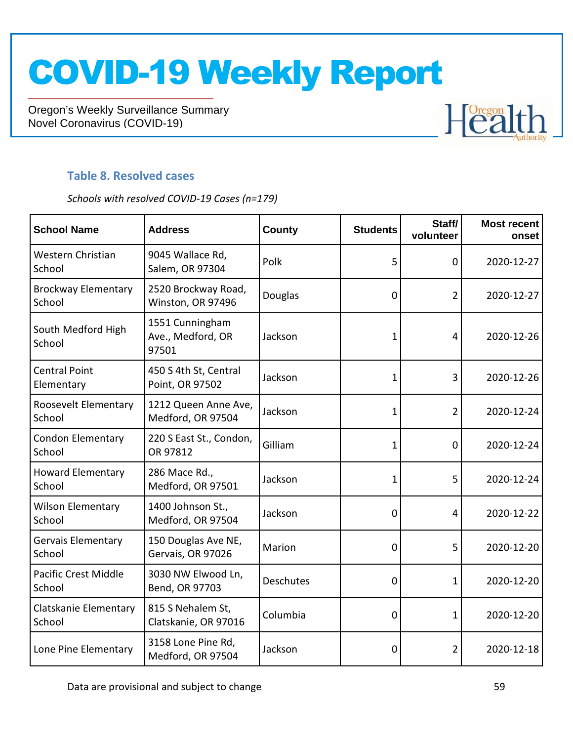Oregon's Weekly Surveillance Summary Novel Coronavirus (COVID-19)

### **Table 8. Resolved cases**

*Schools with resolved COVID-19 Cases (n=179)*

| <b>School Name</b>                    | <b>Address</b>                                | <b>County</b> | <b>Students</b> | Staff/<br>volunteer | <b>Most recent</b><br>onset |
|---------------------------------------|-----------------------------------------------|---------------|-----------------|---------------------|-----------------------------|
| Western Christian<br>School           | 9045 Wallace Rd,<br>Salem, OR 97304           | Polk          | 5               | $\mathbf 0$         | 2020-12-27                  |
| <b>Brockway Elementary</b><br>School  | 2520 Brockway Road,<br>Winston, OR 97496      | Douglas       | 0               | $\overline{2}$      | 2020-12-27                  |
| South Medford High<br>School          | 1551 Cunningham<br>Ave., Medford, OR<br>97501 | Jackson       | 1               | $\overline{4}$      | 2020-12-26                  |
| <b>Central Point</b><br>Elementary    | 450 S 4th St, Central<br>Point, OR 97502      | Jackson       | 1               | 3                   | 2020-12-26                  |
| Roosevelt Elementary<br>School        | 1212 Queen Anne Ave,<br>Medford, OR 97504     | Jackson       | 1               | $\overline{2}$      | 2020-12-24                  |
| <b>Condon Elementary</b><br>School    | 220 S East St., Condon,<br>OR 97812           | Gilliam       | 1               | $\mathbf 0$         | 2020-12-24                  |
| <b>Howard Elementary</b><br>School    | 286 Mace Rd.,<br>Medford, OR 97501            | Jackson       | 1               | 5                   | 2020-12-24                  |
| <b>Wilson Elementary</b><br>School    | 1400 Johnson St.,<br>Medford, OR 97504        | Jackson       | 0               | $\overline{4}$      | 2020-12-22                  |
| <b>Gervais Elementary</b><br>School   | 150 Douglas Ave NE,<br>Gervais, OR 97026      | Marion        | 0               | 5                   | 2020-12-20                  |
| <b>Pacific Crest Middle</b><br>School | 3030 NW Elwood Ln,<br>Bend, OR 97703          | Deschutes     | 0               | $\mathbf{1}$        | 2020-12-20                  |
| Clatskanie Elementary<br>School       | 815 S Nehalem St,<br>Clatskanie, OR 97016     | Columbia      | 0               | 1                   | 2020-12-20                  |
| Lone Pine Elementary                  | 3158 Lone Pine Rd,<br>Medford, OR 97504       | Jackson       | 0               | 2                   | 2020-12-18                  |

Health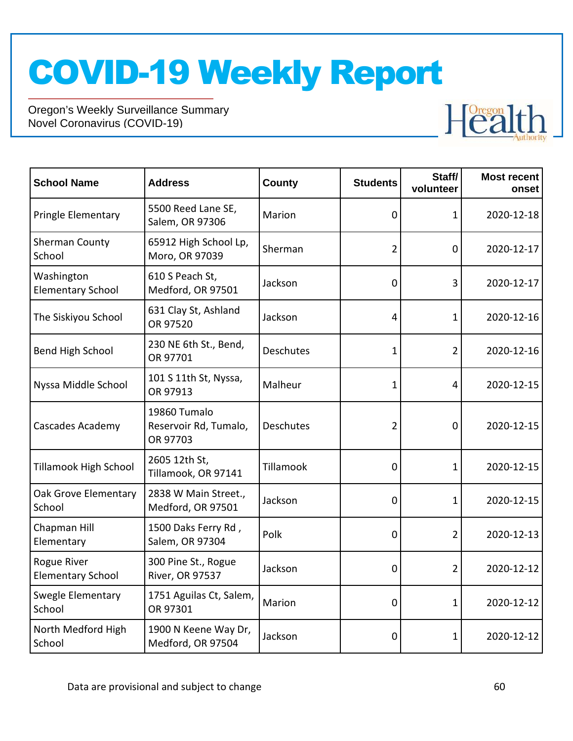

| <b>School Name</b>                      | <b>Address</b>                                    | <b>County</b>    | <b>Students</b> | Staff/<br>volunteer | <b>Most recent</b><br>onset |
|-----------------------------------------|---------------------------------------------------|------------------|-----------------|---------------------|-----------------------------|
| Pringle Elementary                      | 5500 Reed Lane SE,<br>Salem, OR 97306             | Marion           | 0               | 1                   | 2020-12-18                  |
| Sherman County<br>School                | 65912 High School Lp,<br>Moro, OR 97039           | Sherman          | $\overline{2}$  | $\mathbf 0$         | 2020-12-17                  |
| Washington<br><b>Elementary School</b>  | 610 S Peach St,<br>Medford, OR 97501              | Jackson          | 0               | 3                   | 2020-12-17                  |
| The Siskiyou School                     | 631 Clay St, Ashland<br>OR 97520                  | Jackson          | 4               | $\mathbf 1$         | 2020-12-16                  |
| Bend High School                        | 230 NE 6th St., Bend,<br>OR 97701                 | Deschutes        | 1               | $\overline{2}$      | 2020-12-16                  |
| Nyssa Middle School                     | 101 S 11th St, Nyssa,<br>OR 97913                 | Malheur          | 1               | 4                   | 2020-12-15                  |
| Cascades Academy                        | 19860 Tumalo<br>Reservoir Rd, Tumalo,<br>OR 97703 | <b>Deschutes</b> | $\overline{2}$  | $\mathbf 0$         | 2020-12-15                  |
| <b>Tillamook High School</b>            | 2605 12th St,<br>Tillamook, OR 97141              | Tillamook        | 0               | $\mathbf{1}$        | 2020-12-15                  |
| Oak Grove Elementary<br>School          | 2838 W Main Street.,<br>Medford, OR 97501         | Jackson          | 0               | 1                   | 2020-12-15                  |
| Chapman Hill<br>Elementary              | 1500 Daks Ferry Rd,<br>Salem, OR 97304            | Polk             | 0               | $\overline{2}$      | 2020-12-13                  |
| Rogue River<br><b>Elementary School</b> | 300 Pine St., Rogue<br><b>River, OR 97537</b>     | Jackson          | 0               | $\overline{2}$      | 2020-12-12                  |
| Swegle Elementary<br>School             | 1751 Aguilas Ct, Salem,<br>OR 97301               | Marion           | 0               | $\mathbf{1}$        | 2020-12-12                  |
| North Medford High<br>School            | 1900 N Keene Way Dr,<br>Medford, OR 97504         | Jackson          | 0               | 1                   | 2020-12-12                  |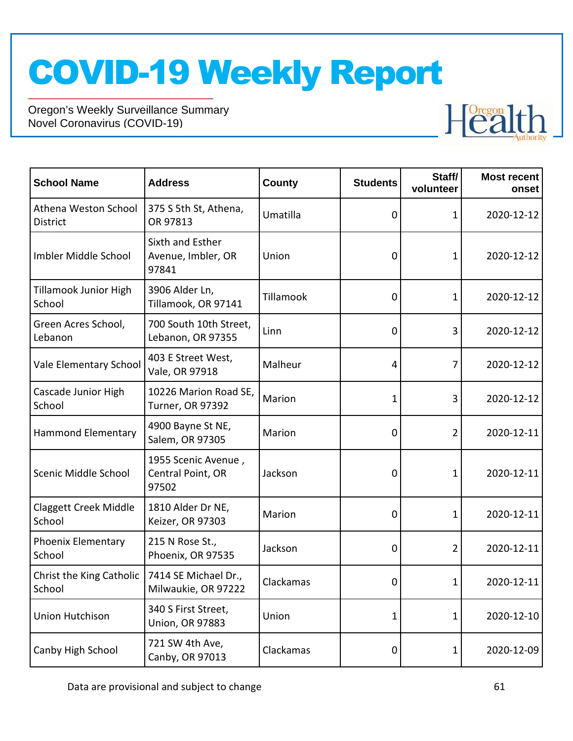

| <b>School Name</b>                      | <b>Address</b>                                    | <b>County</b> | <b>Students</b> | Staff/<br>volunteer | <b>Most recent</b><br>onset |
|-----------------------------------------|---------------------------------------------------|---------------|-----------------|---------------------|-----------------------------|
| Athena Weston School<br><b>District</b> | 375 S 5th St, Athena,<br>OR 97813                 | Umatilla      | 0               | 1                   | 2020-12-12                  |
| Imbler Middle School                    | Sixth and Esther<br>Avenue, Imbler, OR<br>97841   | Union         | 0               | 1                   | 2020-12-12                  |
| <b>Tillamook Junior High</b><br>School  | 3906 Alder Ln,<br>Tillamook, OR 97141             | Tillamook     | 0               | 1                   | 2020-12-12                  |
| Green Acres School,<br>Lebanon          | 700 South 10th Street,<br>Lebanon, OR 97355       | Linn          | 0               | 3                   | 2020-12-12                  |
| Vale Elementary School                  | 403 E Street West,<br>Vale, OR 97918              | Malheur       | 4               | 7                   | 2020-12-12                  |
| Cascade Junior High<br>School           | 10226 Marion Road SE,<br>Turner, OR 97392         | Marion        | 1               | 3                   | 2020-12-12                  |
| <b>Hammond Elementary</b>               | 4900 Bayne St NE,<br>Salem, OR 97305              | Marion        | 0               | 2                   | 2020-12-11                  |
| Scenic Middle School                    | 1955 Scenic Avenue,<br>Central Point, OR<br>97502 | Jackson       | 0               | 1                   | 2020-12-11                  |
| <b>Claggett Creek Middle</b><br>School  | 1810 Alder Dr NE,<br>Keizer, OR 97303             | Marion        | 0               | 1                   | 2020-12-11                  |
| <b>Phoenix Elementary</b><br>School     | 215 N Rose St.,<br>Phoenix, OR 97535              | Jackson       | 0               | 2                   | 2020-12-11                  |
| Christ the King Catholic<br>School      | 7414 SE Michael Dr.,<br>Milwaukie, OR 97222       | Clackamas     | 0               | $\mathbf 1$         | 2020-12-11                  |
| <b>Union Hutchison</b>                  | 340 S First Street,<br><b>Union, OR 97883</b>     | Union         | 1               | 1                   | 2020-12-10                  |
| Canby High School                       | 721 SW 4th Ave,<br>Canby, OR 97013                | Clackamas     | 0               | 1                   | 2020-12-09                  |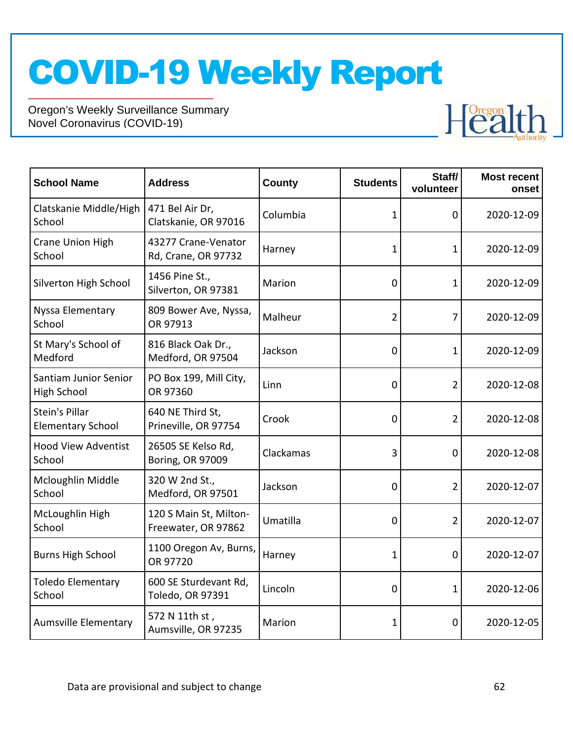

| <b>School Name</b>                          | <b>Address</b>                                | <b>County</b> | <b>Students</b> | Staff/<br>volunteer | <b>Most recent</b><br>onset |
|---------------------------------------------|-----------------------------------------------|---------------|-----------------|---------------------|-----------------------------|
| Clatskanie Middle/High<br>School            | 471 Bel Air Dr,<br>Clatskanie, OR 97016       | Columbia      | 1               | 0                   | 2020-12-09                  |
| Crane Union High<br>School                  | 43277 Crane-Venator<br>Rd, Crane, OR 97732    | Harney        | 1               | 1                   | 2020-12-09                  |
| Silverton High School                       | 1456 Pine St.,<br>Silverton, OR 97381         | Marion        | 0               | 1                   | 2020-12-09                  |
| Nyssa Elementary<br>School                  | 809 Bower Ave, Nyssa,<br>OR 97913             | Malheur       | $\overline{2}$  | 7                   | 2020-12-09                  |
| St Mary's School of<br>Medford              | 816 Black Oak Dr.,<br>Medford, OR 97504       | Jackson       | 0               | 1                   | 2020-12-09                  |
| Santiam Junior Senior<br><b>High School</b> | PO Box 199, Mill City,<br>OR 97360            | Linn          | 0               | $\overline{2}$      | 2020-12-08                  |
| Stein's Pillar<br><b>Elementary School</b>  | 640 NE Third St,<br>Prineville, OR 97754      | Crook         | 0               | 2                   | 2020-12-08                  |
| <b>Hood View Adventist</b><br>School        | 26505 SE Kelso Rd,<br>Boring, OR 97009        | Clackamas     | 3               | 0                   | 2020-12-08                  |
| Mcloughlin Middle<br>School                 | 320 W 2nd St.,<br>Medford, OR 97501           | Jackson       | 0               | $\overline{2}$      | 2020-12-07                  |
| McLoughlin High<br>School                   | 120 S Main St, Milton-<br>Freewater, OR 97862 | Umatilla      | 0               | $\overline{2}$      | 2020-12-07                  |
| <b>Burns High School</b>                    | 1100 Oregon Av, Burns,<br>OR 97720            | Harney        | 1               | 0                   | 2020-12-07                  |
| <b>Toledo Elementary</b><br>School          | 600 SE Sturdevant Rd,<br>Toledo, OR 97391     | Lincoln       | 0               | 1                   | 2020-12-06                  |
| <b>Aumsville Elementary</b>                 | 572 N 11th st,<br>Aumsville, OR 97235         | Marion        | 1               | 0                   | 2020-12-05                  |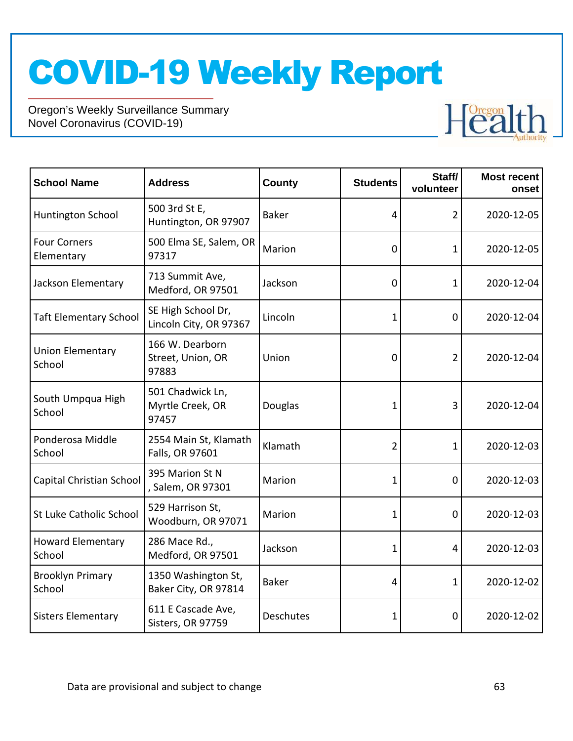

| <b>School Name</b>                 | <b>Address</b>                                | <b>County</b> | <b>Students</b> | Staff/<br>volunteer | <b>Most recent</b><br>onset |
|------------------------------------|-----------------------------------------------|---------------|-----------------|---------------------|-----------------------------|
| Huntington School                  | 500 3rd St E,<br>Huntington, OR 97907         | <b>Baker</b>  | $\overline{4}$  | 2                   | 2020-12-05                  |
| <b>Four Corners</b><br>Elementary  | 500 Elma SE, Salem, OR<br>97317               | Marion        | $\Omega$        | 1                   | 2020-12-05                  |
| Jackson Elementary                 | 713 Summit Ave,<br>Medford, OR 97501          | Jackson       | $\mathbf 0$     | 1                   | 2020-12-04                  |
| <b>Taft Elementary School</b>      | SE High School Dr,<br>Lincoln City, OR 97367  | Lincoln       | 1               | 0                   | 2020-12-04                  |
| <b>Union Elementary</b><br>School  | 166 W. Dearborn<br>Street, Union, OR<br>97883 | Union         | $\mathbf 0$     | 2                   | 2020-12-04                  |
| South Umpqua High<br>School        | 501 Chadwick Ln,<br>Myrtle Creek, OR<br>97457 | Douglas       | 1               | 3                   | 2020-12-04                  |
| Ponderosa Middle<br>School         | 2554 Main St, Klamath<br>Falls, OR 97601      | Klamath       | $\overline{2}$  | 1                   | 2020-12-03                  |
| Capital Christian School           | 395 Marion St N<br>, Salem, OR 97301          | Marion        | 1               | $\mathbf 0$         | 2020-12-03                  |
| <b>St Luke Catholic School</b>     | 529 Harrison St,<br>Woodburn, OR 97071        | Marion        | 1               | $\mathbf 0$         | 2020-12-03                  |
| <b>Howard Elementary</b><br>School | 286 Mace Rd.,<br>Medford, OR 97501            | Jackson       | 1               | 4                   | 2020-12-03                  |
| <b>Brooklyn Primary</b><br>School  | 1350 Washington St,<br>Baker City, OR 97814   | <b>Baker</b>  | 4               | 1                   | 2020-12-02                  |
| <b>Sisters Elementary</b>          | 611 E Cascade Ave,<br>Sisters, OR 97759       | Deschutes     | 1               | 0                   | 2020-12-02                  |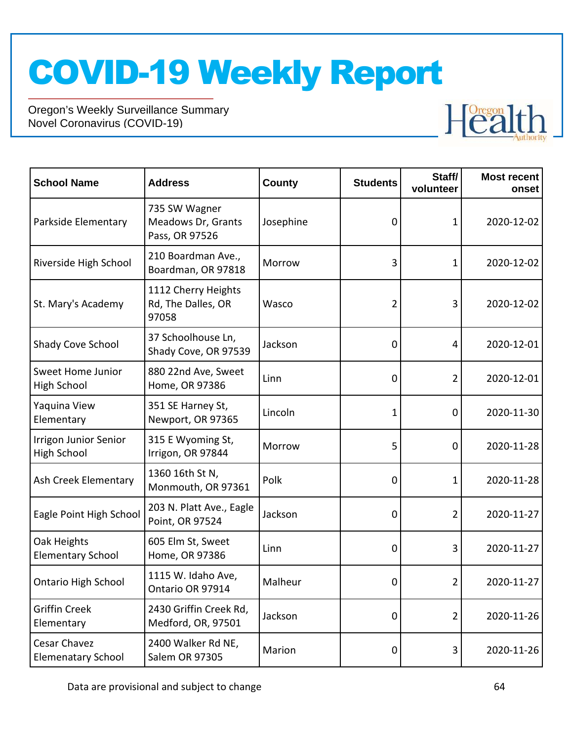

| <b>School Name</b>                                 | <b>Address</b>                                        | <b>County</b> | <b>Students</b> | Staff/<br>volunteer | <b>Most recent</b><br>onset |
|----------------------------------------------------|-------------------------------------------------------|---------------|-----------------|---------------------|-----------------------------|
| Parkside Elementary                                | 735 SW Wagner<br>Meadows Dr, Grants<br>Pass, OR 97526 | Josephine     | 0               | 1                   | 2020-12-02                  |
| Riverside High School                              | 210 Boardman Ave.,<br>Boardman, OR 97818              | Morrow        | 3               | 1                   | 2020-12-02                  |
| St. Mary's Academy                                 | 1112 Cherry Heights<br>Rd, The Dalles, OR<br>97058    | Wasco         | 2               | 3                   | 2020-12-02                  |
| Shady Cove School                                  | 37 Schoolhouse Ln,<br>Shady Cove, OR 97539            | Jackson       | 0               | 4                   | 2020-12-01                  |
| Sweet Home Junior<br>High School                   | 880 22nd Ave, Sweet<br>Home, OR 97386                 | Linn          | 0               | $\overline{2}$      | 2020-12-01                  |
| Yaquina View<br>Elementary                         | 351 SE Harney St,<br>Newport, OR 97365                | Lincoln       | 1               | 0                   | 2020-11-30                  |
| <b>Irrigon Junior Senior</b><br><b>High School</b> | 315 E Wyoming St,<br>Irrigon, OR 97844                | Morrow        | 5               | 0                   | 2020-11-28                  |
| Ash Creek Elementary                               | 1360 16th St N,<br>Monmouth, OR 97361                 | Polk          | 0               | 1                   | 2020-11-28                  |
| Eagle Point High School                            | 203 N. Platt Ave., Eagle<br>Point, OR 97524           | Jackson       | 0               | 2                   | 2020-11-27                  |
| Oak Heights<br><b>Elementary School</b>            | 605 Elm St, Sweet<br>Home, OR 97386                   | Linn          | 0               | 3                   | 2020-11-27                  |
| Ontario High School                                | 1115 W. Idaho Ave,<br>Ontario OR 97914                | Malheur       | 0               | 2                   | 2020-11-27                  |
| <b>Griffin Creek</b><br>Elementary                 | 2430 Griffin Creek Rd,<br>Medford, OR, 97501          | Jackson       | 0               | $\overline{2}$      | 2020-11-26                  |
| Cesar Chavez<br><b>Elemenatary School</b>          | 2400 Walker Rd NE,<br><b>Salem OR 97305</b>           | Marion        | 0               | 3                   | 2020-11-26                  |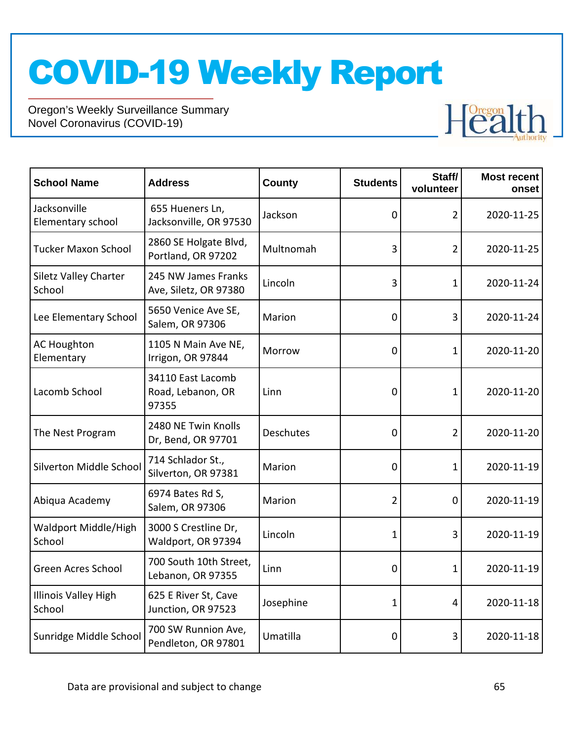

| <b>School Name</b>                     | <b>Address</b>                                  | <b>County</b> | <b>Students</b> | Staff/<br>volunteer | <b>Most recent</b><br>onset |
|----------------------------------------|-------------------------------------------------|---------------|-----------------|---------------------|-----------------------------|
| Jacksonville<br>Elementary school      | 655 Hueners Ln,<br>Jacksonville, OR 97530       | Jackson       | 0               | 2                   | 2020-11-25                  |
| <b>Tucker Maxon School</b>             | 2860 SE Holgate Blvd,<br>Portland, OR 97202     | Multnomah     | 3               | $\overline{2}$      | 2020-11-25                  |
| <b>Siletz Valley Charter</b><br>School | 245 NW James Franks<br>Ave, Siletz, OR 97380    | Lincoln       | 3               | 1                   | 2020-11-24                  |
| Lee Elementary School                  | 5650 Venice Ave SE,<br>Salem, OR 97306          | Marion        | 0               | 3                   | 2020-11-24                  |
| <b>AC Houghton</b><br>Elementary       | 1105 N Main Ave NE,<br>Irrigon, OR 97844        | Morrow        | 0               | 1                   | 2020-11-20                  |
| Lacomb School                          | 34110 East Lacomb<br>Road, Lebanon, OR<br>97355 | Linn          | 0               | 1                   | 2020-11-20                  |
| The Nest Program                       | 2480 NE Twin Knolls<br>Dr, Bend, OR 97701       | Deschutes     | 0               | $\overline{2}$      | 2020-11-20                  |
| Silverton Middle School                | 714 Schlador St.,<br>Silverton, OR 97381        | Marion        | 0               | $\mathbf{1}$        | 2020-11-19                  |
| Abiqua Academy                         | 6974 Bates Rd S,<br>Salem, OR 97306             | Marion        | $\overline{2}$  | 0                   | 2020-11-19                  |
| Waldport Middle/High<br>School         | 3000 S Crestline Dr,<br>Waldport, OR 97394      | Lincoln       | $\mathbf{1}$    | 3                   | 2020-11-19                  |
| <b>Green Acres School</b>              | 700 South 10th Street,<br>Lebanon, OR 97355     | Linn          | 0               | 1                   | 2020-11-19                  |
| <b>Illinois Valley High</b><br>School  | 625 E River St, Cave<br>Junction, OR 97523      | Josephine     | 1               | 4                   | 2020-11-18                  |
| Sunridge Middle School                 | 700 SW Runnion Ave,<br>Pendleton, OR 97801      | Umatilla      | 0               | 3                   | 2020-11-18                  |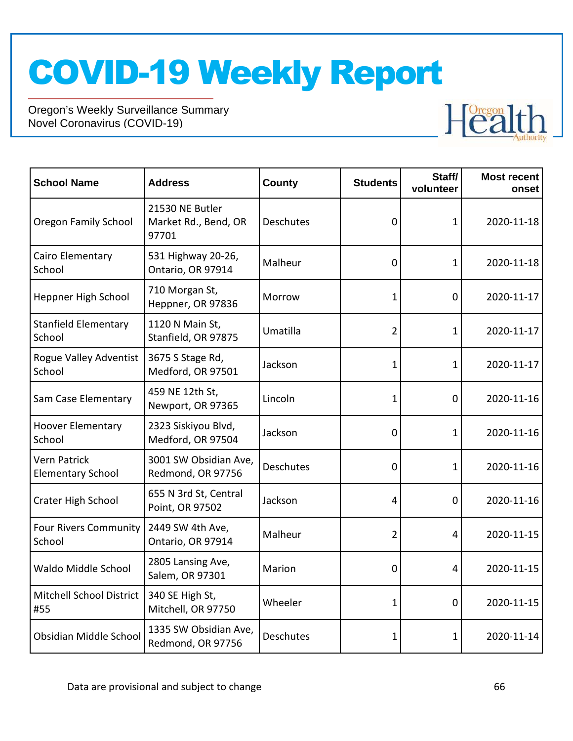

| <b>School Name</b>                              | <b>Address</b>                                   | County    | <b>Students</b> | Staff/<br>volunteer | <b>Most recent</b><br>onset |
|-------------------------------------------------|--------------------------------------------------|-----------|-----------------|---------------------|-----------------------------|
| <b>Oregon Family School</b>                     | 21530 NE Butler<br>Market Rd., Bend, OR<br>97701 | Deschutes | $\mathbf 0$     | 1                   | 2020-11-18                  |
| Cairo Elementary<br>School                      | 531 Highway 20-26,<br>Ontario, OR 97914          | Malheur   | 0               | 1                   | 2020-11-18                  |
| Heppner High School                             | 710 Morgan St,<br>Heppner, OR 97836              | Morrow    | 1               | 0                   | 2020-11-17                  |
| <b>Stanfield Elementary</b><br>School           | 1120 N Main St,<br>Stanfield, OR 97875           | Umatilla  | 2               | 1                   | 2020-11-17                  |
| Rogue Valley Adventist<br>School                | 3675 S Stage Rd,<br>Medford, OR 97501            | Jackson   | 1               | 1                   | 2020-11-17                  |
| Sam Case Elementary                             | 459 NE 12th St,<br>Newport, OR 97365             | Lincoln   | 1               | $\mathbf 0$         | 2020-11-16                  |
| <b>Hoover Elementary</b><br>School              | 2323 Siskiyou Blvd,<br>Medford, OR 97504         | Jackson   | $\mathbf 0$     | 1                   | 2020-11-16                  |
| <b>Vern Patrick</b><br><b>Elementary School</b> | 3001 SW Obsidian Ave,<br>Redmond, OR 97756       | Deschutes | 0               | $\mathbf{1}$        | 2020-11-16                  |
| Crater High School                              | 655 N 3rd St, Central<br>Point, OR 97502         | Jackson   | 4               | $\mathbf 0$         | 2020-11-16                  |
| <b>Four Rivers Community</b><br>School          | 2449 SW 4th Ave,<br>Ontario, OR 97914            | Malheur   | $\overline{2}$  | 4                   | 2020-11-15                  |
| Waldo Middle School                             | 2805 Lansing Ave,<br>Salem, OR 97301             | Marion    | $\mathbf 0$     | 4                   | 2020-11-15                  |
| <b>Mitchell School District</b><br>#55          | 340 SE High St,<br>Mitchell, OR 97750            | Wheeler   | 1               | 0                   | 2020-11-15                  |
| Obsidian Middle School                          | 1335 SW Obsidian Ave,<br>Redmond, OR 97756       | Deschutes | 1               | 1                   | 2020-11-14                  |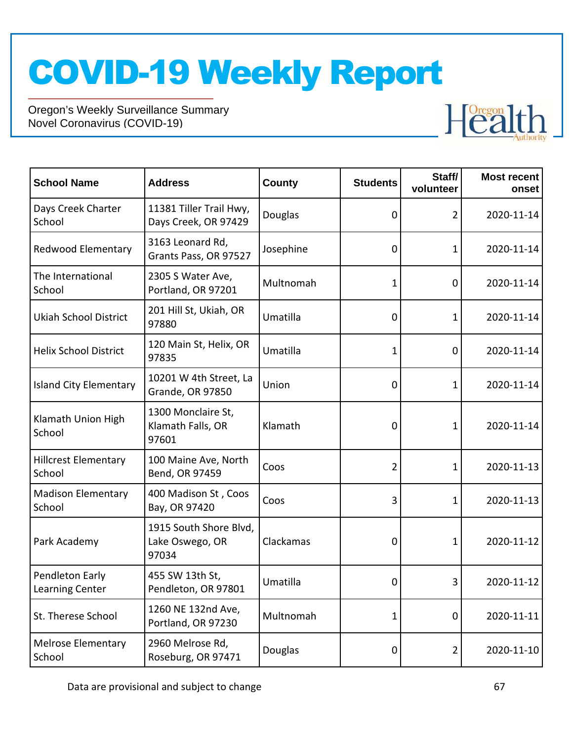

| <b>School Name</b>                        | <b>Address</b>                                     | <b>County</b> | <b>Students</b> | Staff/<br>volunteer | <b>Most recent</b><br>onset |
|-------------------------------------------|----------------------------------------------------|---------------|-----------------|---------------------|-----------------------------|
| Days Creek Charter<br>School              | 11381 Tiller Trail Hwy,<br>Days Creek, OR 97429    | Douglas       | 0               | 2                   | 2020-11-14                  |
| Redwood Elementary                        | 3163 Leonard Rd,<br>Grants Pass, OR 97527          | Josephine     | 0               | 1                   | 2020-11-14                  |
| The International<br>School               | 2305 S Water Ave,<br>Portland, OR 97201            | Multnomah     | 1               | 0                   | 2020-11-14                  |
| <b>Ukiah School District</b>              | 201 Hill St, Ukiah, OR<br>97880                    | Umatilla      | 0               | 1                   | 2020-11-14                  |
| <b>Helix School District</b>              | 120 Main St, Helix, OR<br>97835                    | Umatilla      | 1               | 0                   | 2020-11-14                  |
| <b>Island City Elementary</b>             | 10201 W 4th Street, La<br><b>Grande, OR 97850</b>  | Union         | 0               | 1                   | 2020-11-14                  |
| Klamath Union High<br>School              | 1300 Monclaire St,<br>Klamath Falls, OR<br>97601   | Klamath       | 0               | 1                   | 2020-11-14                  |
| <b>Hillcrest Elementary</b><br>School     | 100 Maine Ave, North<br>Bend, OR 97459             | Coos          | $\overline{2}$  | 1                   | 2020-11-13                  |
| <b>Madison Elementary</b><br>School       | 400 Madison St, Coos<br>Bay, OR 97420              | Coos          | 3               | 1                   | 2020-11-13                  |
| Park Academy                              | 1915 South Shore Blvd,<br>Lake Oswego, OR<br>97034 | Clackamas     | 0               | 1                   | 2020-11-12                  |
| Pendleton Early<br><b>Learning Center</b> | 455 SW 13th St,<br>Pendleton, OR 97801             | Umatilla      | 0               | 3                   | 2020-11-12                  |
| St. Therese School                        | 1260 NE 132nd Ave,<br>Portland, OR 97230           | Multnomah     | 1               | 0                   | 2020-11-11                  |
| <b>Melrose Elementary</b><br>School       | 2960 Melrose Rd,<br>Roseburg, OR 97471             | Douglas       | 0               | $\overline{2}$      | 2020-11-10                  |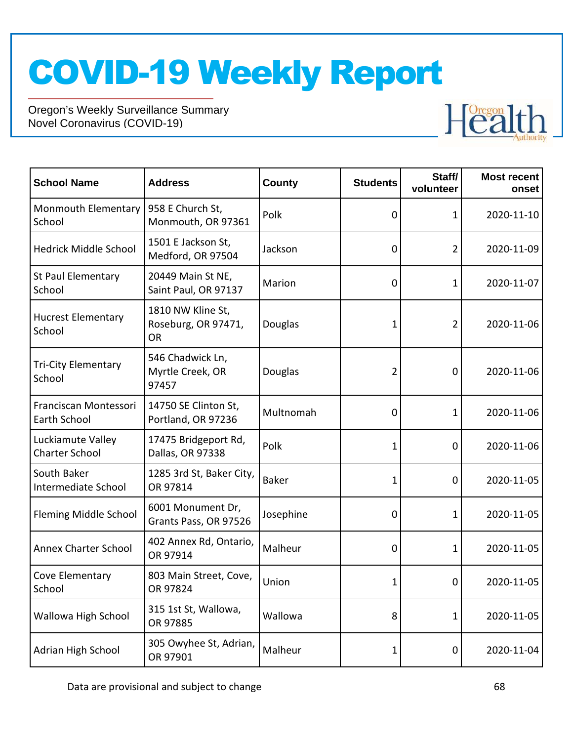

| <b>School Name</b>                         | <b>Address</b>                                        | <b>County</b> | <b>Students</b> | Staff/<br>volunteer | <b>Most recent</b><br>onset |
|--------------------------------------------|-------------------------------------------------------|---------------|-----------------|---------------------|-----------------------------|
| <b>Monmouth Elementary</b><br>School       | 958 E Church St,<br>Monmouth, OR 97361                | Polk          | 0               | 1                   | 2020-11-10                  |
| <b>Hedrick Middle School</b>               | 1501 E Jackson St,<br>Medford, OR 97504               | Jackson       | 0               | 2                   | 2020-11-09                  |
| St Paul Elementary<br>School               | 20449 Main St NE,<br>Saint Paul, OR 97137             | Marion        | 0               | 1                   | 2020-11-07                  |
| <b>Hucrest Elementary</b><br>School        | 1810 NW Kline St,<br>Roseburg, OR 97471,<br><b>OR</b> | Douglas       | 1               | $\overline{2}$      | 2020-11-06                  |
| <b>Tri-City Elementary</b><br>School       | 546 Chadwick Ln,<br>Myrtle Creek, OR<br>97457         | Douglas       | 2               | 0                   | 2020-11-06                  |
| Franciscan Montessori<br>Earth School      | 14750 SE Clinton St,<br>Portland, OR 97236            | Multnomah     | 0               | 1                   | 2020-11-06                  |
| Luckiamute Valley<br><b>Charter School</b> | 17475 Bridgeport Rd,<br>Dallas, OR 97338              | Polk          | 1               | 0                   | 2020-11-06                  |
| South Baker<br>Intermediate School         | 1285 3rd St, Baker City,<br>OR 97814                  | <b>Baker</b>  | 1               | 0                   | 2020-11-05                  |
| <b>Fleming Middle School</b>               | 6001 Monument Dr,<br>Grants Pass, OR 97526            | Josephine     | 0               | 1                   | 2020-11-05                  |
| <b>Annex Charter School</b>                | 402 Annex Rd, Ontario,<br>OR 97914                    | Malheur       | 0               | 1                   | 2020-11-05                  |
| Cove Elementary<br>School                  | 803 Main Street, Cove,<br>OR 97824                    | Union         | 1               | $\mathbf 0$         | 2020-11-05                  |
| Wallowa High School                        | 315 1st St, Wallowa,<br>OR 97885                      | Wallowa       | 8               | 1                   | 2020-11-05                  |
| Adrian High School                         | 305 Owyhee St, Adrian,<br>OR 97901                    | Malheur       | 1               | 0                   | 2020-11-04                  |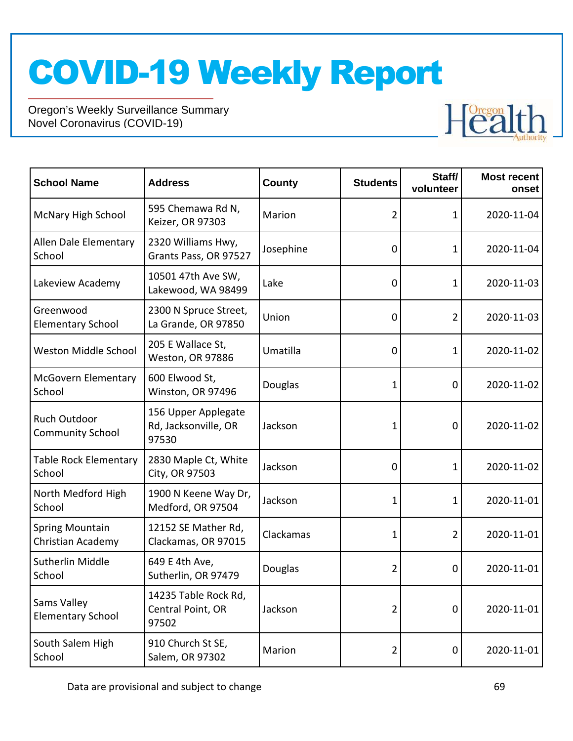

| <b>School Name</b>                             | <b>Address</b>                                       | <b>County</b> | <b>Students</b> | Staff/<br>volunteer | <b>Most recent</b><br>onset |
|------------------------------------------------|------------------------------------------------------|---------------|-----------------|---------------------|-----------------------------|
| <b>McNary High School</b>                      | 595 Chemawa Rd N,<br>Keizer, OR 97303                | Marion        | 2               | 1                   | 2020-11-04                  |
| Allen Dale Elementary<br>School                | 2320 Williams Hwy,<br>Grants Pass, OR 97527          | Josephine     | 0               | 1                   | 2020-11-04                  |
| Lakeview Academy                               | 10501 47th Ave SW,<br>Lakewood, WA 98499             | Lake          | 0               | 1                   | 2020-11-03                  |
| Greenwood<br><b>Elementary School</b>          | 2300 N Spruce Street,<br>La Grande, OR 97850         | Union         | 0               | 2                   | 2020-11-03                  |
| Weston Middle School                           | 205 E Wallace St,<br>Weston, OR 97886                | Umatilla      | 0               | 1                   | 2020-11-02                  |
| <b>McGovern Elementary</b><br>School           | 600 Elwood St,<br>Winston, OR 97496                  | Douglas       | 1               | 0                   | 2020-11-02                  |
| <b>Ruch Outdoor</b><br><b>Community School</b> | 156 Upper Applegate<br>Rd, Jacksonville, OR<br>97530 | Jackson       | 1               | $\mathbf 0$         | 2020-11-02                  |
| <b>Table Rock Elementary</b><br>School         | 2830 Maple Ct, White<br>City, OR 97503               | Jackson       | 0               | 1                   | 2020-11-02                  |
| North Medford High<br>School                   | 1900 N Keene Way Dr,<br>Medford, OR 97504            | Jackson       | 1               | 1                   | 2020-11-01                  |
| <b>Spring Mountain</b><br>Christian Academy    | 12152 SE Mather Rd,<br>Clackamas, OR 97015           | Clackamas     | 1               | $\overline{2}$      | 2020-11-01                  |
| <b>Sutherlin Middle</b><br>School              | 649 E 4th Ave,<br>Sutherlin, OR 97479                | Douglas       | 2               | 0                   | 2020-11-01                  |
| Sams Valley<br><b>Elementary School</b>        | 14235 Table Rock Rd,<br>Central Point, OR<br>97502   | Jackson       | 2               | $\mathbf 0$         | 2020-11-01                  |
| South Salem High<br>School                     | 910 Church St SE,<br>Salem, OR 97302                 | Marion        | $\overline{2}$  | 0                   | 2020-11-01                  |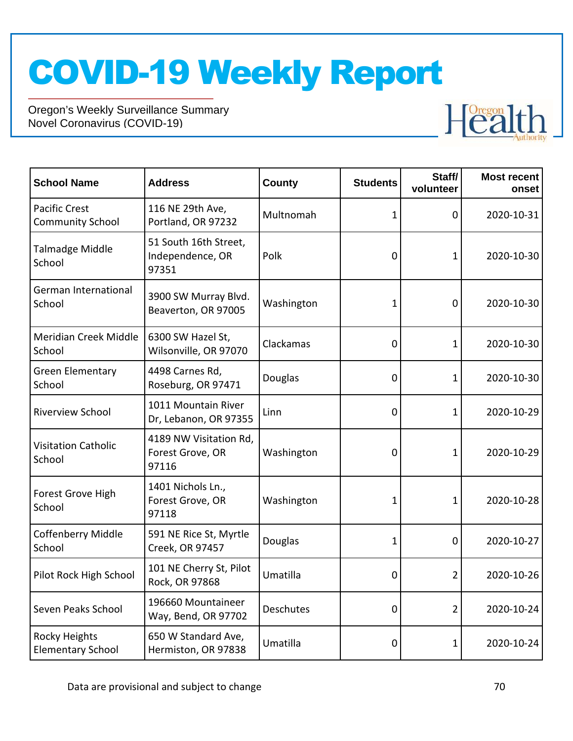

| <b>School Name</b>                               | <b>Address</b>                                      | <b>County</b> | <b>Students</b> | Staff/<br>volunteer | <b>Most recent</b><br>onset |
|--------------------------------------------------|-----------------------------------------------------|---------------|-----------------|---------------------|-----------------------------|
| <b>Pacific Crest</b><br><b>Community School</b>  | 116 NE 29th Ave,<br>Portland, OR 97232              | Multnomah     | 1               | 0                   | 2020-10-31                  |
| Talmadge Middle<br>School                        | 51 South 16th Street,<br>Independence, OR<br>97351  | Polk          | 0               | 1                   | 2020-10-30                  |
| German International<br>School                   | 3900 SW Murray Blvd.<br>Beaverton, OR 97005         | Washington    | 1               | $\mathbf 0$         | 2020-10-30                  |
| Meridian Creek Middle<br>School                  | 6300 SW Hazel St,<br>Wilsonville, OR 97070          | Clackamas     | $\mathbf 0$     | 1                   | 2020-10-30                  |
| <b>Green Elementary</b><br>School                | 4498 Carnes Rd,<br>Roseburg, OR 97471               | Douglas       | 0               | 1                   | 2020-10-30                  |
| <b>Riverview School</b>                          | 1011 Mountain River<br>Dr, Lebanon, OR 97355        | Linn          | $\mathbf 0$     | 1                   | 2020-10-29                  |
| <b>Visitation Catholic</b><br>School             | 4189 NW Visitation Rd,<br>Forest Grove, OR<br>97116 | Washington    | 0               | 1                   | 2020-10-29                  |
| Forest Grove High<br>School                      | 1401 Nichols Ln.,<br>Forest Grove, OR<br>97118      | Washington    | 1               | 1                   | 2020-10-28                  |
| <b>Coffenberry Middle</b><br>School              | 591 NE Rice St, Myrtle<br>Creek, OR 97457           | Douglas       | 1               | 0                   | 2020-10-27                  |
| Pilot Rock High School                           | 101 NE Cherry St, Pilot<br>Rock, OR 97868           | Umatilla      | 0               | 2                   | 2020-10-26                  |
| Seven Peaks School                               | 196660 Mountaineer<br>Way, Bend, OR 97702           | Deschutes     | 0               | 2                   | 2020-10-24                  |
| <b>Rocky Heights</b><br><b>Elementary School</b> | 650 W Standard Ave,<br>Hermiston, OR 97838          | Umatilla      | 0               | 1                   | 2020-10-24                  |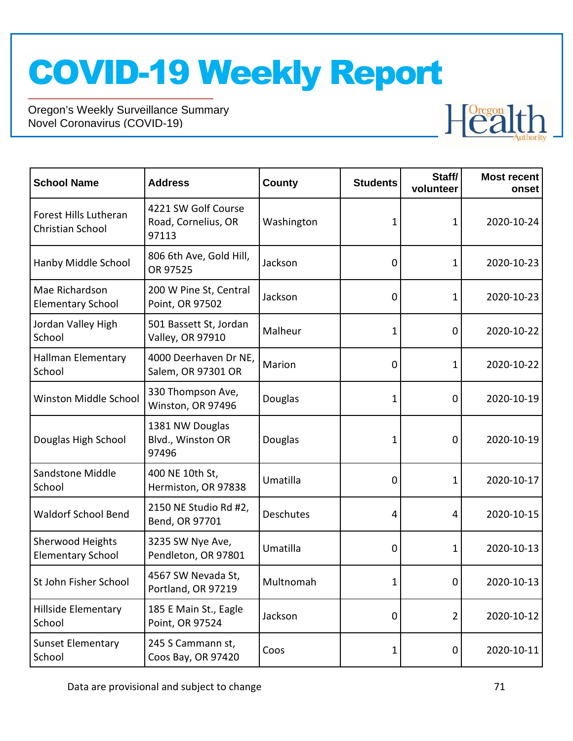

| <b>School Name</b>                           | <b>Address</b>                                      | <b>County</b> | <b>Students</b> | Staff/<br>volunteer | <b>Most recent</b><br>onset |
|----------------------------------------------|-----------------------------------------------------|---------------|-----------------|---------------------|-----------------------------|
| Forest Hills Lutheran<br>Christian School    | 4221 SW Golf Course<br>Road, Cornelius, OR<br>97113 | Washington    | 1               | 1                   | 2020-10-24                  |
| Hanby Middle School                          | 806 6th Ave, Gold Hill,<br>OR 97525                 | Jackson       | 0               | 1                   | 2020-10-23                  |
| Mae Richardson<br><b>Elementary School</b>   | 200 W Pine St, Central<br>Point, OR 97502           | Jackson       | 0               | 1                   | 2020-10-23                  |
| Jordan Valley High<br>School                 | 501 Bassett St, Jordan<br>Valley, OR 97910          | Malheur       | 1               | 0                   | 2020-10-22                  |
| Hallman Elementary<br>School                 | 4000 Deerhaven Dr NE,<br>Salem, OR 97301 OR         | Marion        | 0               | 1                   | 2020-10-22                  |
| Winston Middle School                        | 330 Thompson Ave,<br>Winston, OR 97496              | Douglas       | 1               | $\mathbf 0$         | 2020-10-19                  |
| Douglas High School                          | 1381 NW Douglas<br>Blvd., Winston OR<br>97496       | Douglas       | 1               | 0                   | 2020-10-19                  |
| Sandstone Middle<br>School                   | 400 NE 10th St,<br>Hermiston, OR 97838              | Umatilla      | 0               | 1                   | 2020-10-17                  |
| <b>Waldorf School Bend</b>                   | 2150 NE Studio Rd #2,<br>Bend, OR 97701             | Deschutes     | 4               | $\overline{4}$      | 2020-10-15                  |
| Sherwood Heights<br><b>Elementary School</b> | 3235 SW Nye Ave,<br>Pendleton, OR 97801             | Umatilla      | 0               | 1                   | 2020-10-13                  |
| St John Fisher School                        | 4567 SW Nevada St,<br>Portland, OR 97219            | Multnomah     | 1               | 0                   | 2020-10-13                  |
| Hillside Elementary<br>School                | 185 E Main St., Eagle<br>Point, OR 97524            | Jackson       | 0               | 2                   | 2020-10-12                  |
| <b>Sunset Elementary</b><br>School           | 245 S Cammann st,<br>Coos Bay, OR 97420             | Coos          | 1               | 0                   | 2020-10-11                  |